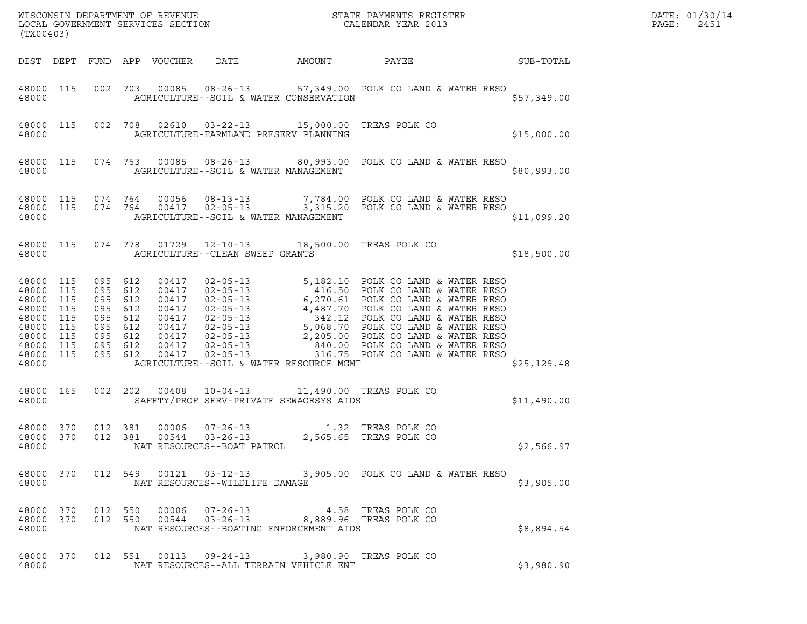|       | DATE: 01/30/14 |
|-------|----------------|
| PAGE: | 2451           |

| (TX00403)                                                                                      |                                               |                                                                                                 |                                                                               |                                                                |        | $\tt WISCONSIM DEPARTMENT OF REVENUE$ $\tt WISCONBINS REGISTER$<br>LOCAL GOVERNMENT SERVICES SECTION $\tt CALENDAR YEAR$ 2013                                                                                                                                                                  |              | DATE: 01/30/14<br>PAGE:<br>2451 |
|------------------------------------------------------------------------------------------------|-----------------------------------------------|-------------------------------------------------------------------------------------------------|-------------------------------------------------------------------------------|----------------------------------------------------------------|--------|------------------------------------------------------------------------------------------------------------------------------------------------------------------------------------------------------------------------------------------------------------------------------------------------|--------------|---------------------------------|
|                                                                                                |                                               |                                                                                                 | DIST DEPT FUND APP VOUCHER                                                    | DATE                                                           | AMOUNT | PAYEE                                                                                                                                                                                                                                                                                          | SUB-TOTAL    |                                 |
| 48000 115<br>48000                                                                             |                                               |                                                                                                 |                                                                               | AGRICULTURE--SOIL & WATER CONSERVATION                         |        | 002 703 00085 08-26-13 57,349.00 POLK CO LAND & WATER RESO                                                                                                                                                                                                                                     | \$57,349.00  |                                 |
| 48000 115<br>48000                                                                             |                                               |                                                                                                 |                                                                               | AGRICULTURE-FARMLAND PRESERV PLANNING                          |        | 002 708 02610 03-22-13 15,000.00 TREAS POLK CO                                                                                                                                                                                                                                                 | \$15,000.00  |                                 |
| 48000 115<br>48000                                                                             |                                               |                                                                                                 |                                                                               | AGRICULTURE--SOIL & WATER MANAGEMENT                           |        | 074 763 00085 08-26-13 80,993.00 POLK CO LAND & WATER RESO                                                                                                                                                                                                                                     | \$80,993.00  |                                 |
| 48000 115<br>48000                                                                             |                                               | 48000 115 074 764                                                                               | 00056                                                                         | $08 - 13 - 13$<br>AGRICULTURE--SOIL & WATER MANAGEMENT         |        | 7,784.00 POLK CO LAND & WATER RESO<br>074  764  00417  02-05-13  3,315.20  POLK CO LAND & WATER RESO                                                                                                                                                                                           | \$11,099.20  |                                 |
| 48000 115<br>48000                                                                             |                                               |                                                                                                 |                                                                               | AGRICULTURE--CLEAN SWEEP GRANTS                                |        | 074 778 01729 12-10-13 18,500.00 TREAS POLK CO                                                                                                                                                                                                                                                 | \$18,500.00  |                                 |
| 48000 115<br>48000<br>48000<br>48000<br>48000<br>48000<br>48000<br>48000<br>48000 115<br>48000 | 115<br>115<br>115<br>115<br>115<br>115<br>115 | 095 612<br>095 612<br>095 612<br>095 612<br>095 612<br>095 612<br>095 612<br>095 612<br>095 612 | 00417<br>00417<br>00417<br>00417<br>00417<br>00417<br>00417<br>00417<br>00417 | AGRICULTURE--SOIL & WATER RESOURCE MGMT                        |        | 02-05-13<br>02-05-13<br>02-05-13<br>02-05-13<br>02-05-13<br>02-05-13<br>02-05-13<br>02-05-13<br>02-05-13<br>5,068.70<br>00LK CO LAND & WATER RESO<br>02-05-13<br>5,068.70<br>POLK CO LAND & WATER RESO<br>02-05-13<br>2,205.00<br>POLK CO LAND & WATER RESO<br>                                | \$25, 129.48 |                                 |
| 48000 165<br>48000                                                                             |                                               | 002 202                                                                                         | 00408                                                                         | SAFETY/PROF SERV-PRIVATE SEWAGESYS AIDS                        |        | 10-04-13 11,490.00 TREAS POLK CO                                                                                                                                                                                                                                                               | \$11,490.00  |                                 |
| 48000 370<br>48000 370<br>48000                                                                |                                               | 012 381<br>012 381                                                                              | 00006<br>00544                                                                | $07 - 26 - 13$<br>$03 - 26 - 13$<br>NAT RESOURCES--BOAT PATROL |        | 1.32 TREAS POLK CO<br>2,565.65 TREAS POLK CO                                                                                                                                                                                                                                                   | \$2,566.97   |                                 |
| 48000                                                                                          |                                               |                                                                                                 |                                                                               | NAT RESOURCES--WILDLIFE DAMAGE                                 |        | 48000 370 012 549 00121 03-12-13 3,905.00 POLK CO LAND & WATER RESO                                                                                                                                                                                                                            | \$3,905.00   |                                 |
| 48000                                                                                          |                                               |                                                                                                 |                                                                               | NAT RESOURCES--BOATING ENFORCEMENT AIDS                        |        | $\begin{array}{cccccccc} 4\,8\,0\,00 & 3\,7\,0 & 0\,12 & 5\,5\,0 & 0\,0\,0\,06 & 0\,7\,-2\,6\,-1\,3 & & & & 4\,.5\,8 & \text{TREAS POLK CO} \\ 4\,8\,0\,00 & 3\,7\,0 & 0\,1\,2 & 5\,5\,0 & 0\,0\,5\,4\,4 & 0\,3\,-2\,6\,-1\,3 & & & & 8\,,\,8\,8\,9\,.9\,6 & \text{TREAS POLK CO} \end{array}$ | \$8,894.54   |                                 |
| 48000                                                                                          |                                               |                                                                                                 |                                                                               | NAT RESOURCES--ALL TERRAIN VEHICLE ENF                         |        | 48000 370 012 551 00113 09-24-13 3,980.90 TREAS POLK CO                                                                                                                                                                                                                                        | \$3,980.90   |                                 |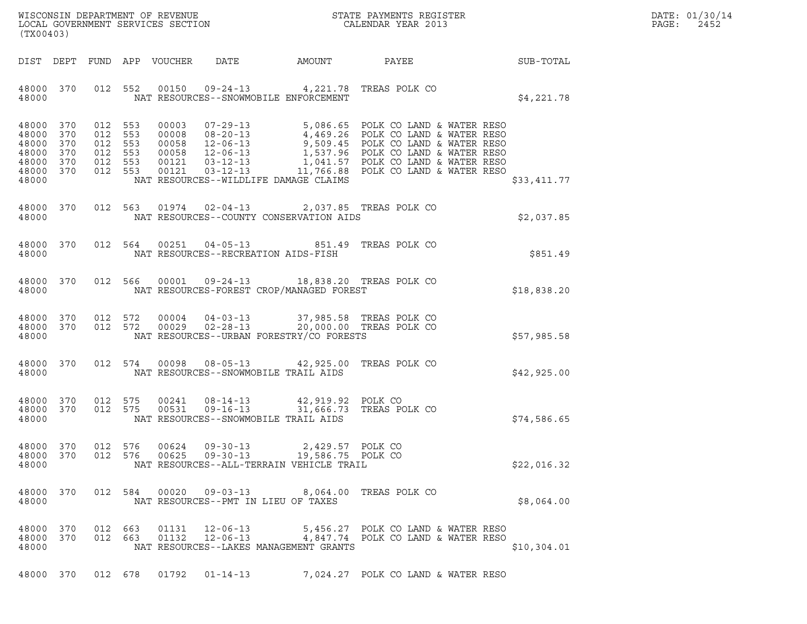|       | DATE: 01/30/14 |
|-------|----------------|
| PAGE: | 2452           |

| (TX00403)                                                               |                   |                                                     |         |                |                                                                                                                                    |                                       |                                                                                                                                                                                                                                            |             | DATE: 01/30/14<br>PAGE:<br>2452 |
|-------------------------------------------------------------------------|-------------------|-----------------------------------------------------|---------|----------------|------------------------------------------------------------------------------------------------------------------------------------|---------------------------------------|--------------------------------------------------------------------------------------------------------------------------------------------------------------------------------------------------------------------------------------------|-------------|---------------------------------|
|                                                                         |                   |                                                     |         |                |                                                                                                                                    |                                       |                                                                                                                                                                                                                                            |             |                                 |
| 48000 370<br>48000                                                      |                   |                                                     |         |                | 012 552 00150 09-24-13 4,221.78 TREAS POLK CO<br>NAT RESOURCES--SNOWMOBILE ENFORCEMENT                                             |                                       |                                                                                                                                                                                                                                            | \$4,221.78  |                                 |
| 48000 370<br>48000<br>48000<br>48000<br>48000 370<br>48000 370<br>48000 | 370<br>370<br>370 | 012 553<br>012 553<br>012 553<br>012 553<br>012 553 | 012 553 |                | NAT RESOURCES--WILDLIFE DAMAGE CLAIMS                                                                                              |                                       | 00003 07-29-13 5,086.65 POLK CO LAND & WATER RESO<br>00008 08-20-13 4,469.26 POLK CO LAND & WATER RESO<br>00058 12-06-13 9,509.45 POLK CO LAND & WATER RESO<br>00058 12-06-13 1,537.96 POLK CO LAND & WATER RESO<br>00121 03-12-13 1,041.5 | \$33,411.77 |                                 |
| 48000                                                                   |                   |                                                     |         |                | 48000 370 012 563 01974 02-04-13 2,037.85 TREAS POLK CO<br>NAT RESOURCES--COUNTY CONSERVATION AIDS                                 |                                       |                                                                                                                                                                                                                                            | \$2,037.85  |                                 |
| 48000 370<br>48000                                                      |                   |                                                     |         |                | 012 564 00251 04-05-13 851.49 TREAS POLK CO<br>NAT RESOURCES--RECREATION AIDS-FISH                                                 |                                       |                                                                                                                                                                                                                                            | \$851.49    |                                 |
| 48000                                                                   |                   |                                                     |         |                | 48000 370 012 566 00001 09-24-13 18,838.20 TREAS POLK CO<br>NAT RESOURCES-FOREST CROP/MANAGED FOREST                               |                                       |                                                                                                                                                                                                                                            | \$18,838.20 |                                 |
| 48000 370<br>48000 370<br>48000                                         |                   | 012 572                                             | 012 572 |                | 00004  04-03-13  37,985.58  TREAS POLK CO<br>00029  02-28-13  20,000.00  TREAS POLK CO<br>NAT RESOURCES--URBAN FORESTRY/CO FORESTS |                                       |                                                                                                                                                                                                                                            | \$57,985.58 |                                 |
| 48000 370<br>48000                                                      |                   |                                                     |         |                | 012 574 00098 08-05-13 42,925.00 TREAS POLK CO<br>NAT RESOURCES--SNOWMOBILE TRAIL AIDS                                             |                                       |                                                                                                                                                                                                                                            | \$42,925.00 |                                 |
| 48000 370<br>48000 370<br>48000                                         |                   | 012 575                                             | 012 575 | 00531          | 00241 08-14-13 42,919.92 POLK CO<br>$09 - 16 - 13$<br>NAT RESOURCES--SNOWMOBILE TRAIL AIDS                                         |                                       | 31,666.73 TREAS POLK CO                                                                                                                                                                                                                    | \$74,586.65 |                                 |
| 48000 370<br>48000 370<br>48000                                         |                   | 012 576                                             | 012 576 | 00624<br>00625 | $09 - 30 - 13$<br>$09 - 30 - 13$<br>NAT RESOURCES--ALL-TERRAIN VEHICLE TRAIL                                                       | 2,429.57 POLK CO<br>19,586.75 POLK CO |                                                                                                                                                                                                                                            | \$22,016.32 |                                 |
| 48000 370<br>48000                                                      |                   |                                                     | 012 584 |                | 00020  09-03-13<br>NAT RESOURCES--PMT IN LIEU OF TAXES                                                                             |                                       | 8,064.00 TREAS POLK CO                                                                                                                                                                                                                     | \$8,064.00  |                                 |
| 48000 370<br>48000 370<br>48000                                         |                   | 012 663<br>012 663                                  |         | 01131<br>01132 | 12-06-13<br>12-06-13<br>NAT RESOURCES--LAKES MANAGEMENT GRANTS                                                                     |                                       | 5,456.27 POLK CO LAND & WATER RESO<br>4,847.74 POLK CO LAND & WATER RESO                                                                                                                                                                   | \$10,304.01 |                                 |
|                                                                         |                   |                                                     |         |                |                                                                                                                                    |                                       | 48000 370 012 678 01792 01-14-13 7,024.27 POLK CO LAND & WATER RESO                                                                                                                                                                        |             |                                 |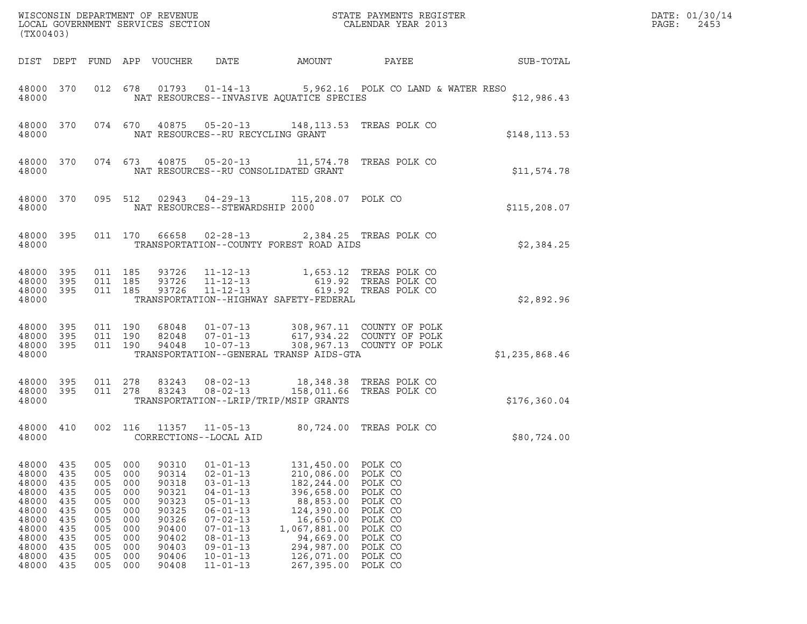| DATE: | 01/30/14 |
|-------|----------|
| PAGE: | 2453     |

| (TX00403)                                                                                                |                                                                                  |                                                                                  |                                                                                  | LOCAL GOVERNMENT SERVICES SECTION                                                                        | WISCONSIN DEPARTMENT OF REVENUE                                                                                                                                                                                      |                                                                                                                                                                     | STATE PAYMENTS REGISTER<br>CALENDAR YEAR 2013                                                                                    |                | DATE: 01/30/14<br>PAGE:<br>2453 |
|----------------------------------------------------------------------------------------------------------|----------------------------------------------------------------------------------|----------------------------------------------------------------------------------|----------------------------------------------------------------------------------|----------------------------------------------------------------------------------------------------------|----------------------------------------------------------------------------------------------------------------------------------------------------------------------------------------------------------------------|---------------------------------------------------------------------------------------------------------------------------------------------------------------------|----------------------------------------------------------------------------------------------------------------------------------|----------------|---------------------------------|
|                                                                                                          |                                                                                  |                                                                                  |                                                                                  | DIST DEPT FUND APP VOUCHER                                                                               | DATE                                                                                                                                                                                                                 | AMOUNT                                                                                                                                                              | PAYEE                                                                                                                            | SUB-TOTAL      |                                 |
| 48000 370<br>48000                                                                                       |                                                                                  |                                                                                  |                                                                                  |                                                                                                          |                                                                                                                                                                                                                      | NAT RESOURCES--INVASIVE AQUATICE SPECIES                                                                                                                            | 012  678  01793  01-14-13   5,962.16  POLK CO LAND & WATER RESO                                                                  | \$12,986.43    |                                 |
| 48000                                                                                                    |                                                                                  |                                                                                  |                                                                                  |                                                                                                          | 48000 370 074 670 40875 05-20-13<br>NAT RESOURCES--RU RECYCLING GRANT                                                                                                                                                | 148, 113.53 TREAS POLK CO                                                                                                                                           |                                                                                                                                  | \$148, 113.53  |                                 |
| 48000                                                                                                    |                                                                                  |                                                                                  |                                                                                  |                                                                                                          |                                                                                                                                                                                                                      | 48000 370 074 673 40875 05-20-13 11,574.78 TREAS POLK CO<br>NAT RESOURCES--RU CONSOLIDATED GRANT                                                                    |                                                                                                                                  | \$11,574.78    |                                 |
| 48000 370<br>48000                                                                                       |                                                                                  |                                                                                  |                                                                                  |                                                                                                          | 095 512 02943 04-29-13<br>NAT RESOURCES--STEWARDSHIP 2000                                                                                                                                                            | 115,208.07 POLK CO                                                                                                                                                  |                                                                                                                                  | \$115, 208.07  |                                 |
| 48000 395<br>48000                                                                                       |                                                                                  |                                                                                  |                                                                                  |                                                                                                          |                                                                                                                                                                                                                      | 011 170 66658 02-28-13 2,384.25 TREAS POLK CO<br>TRANSPORTATION--COUNTY FOREST ROAD AIDS                                                                            |                                                                                                                                  | \$2,384.25     |                                 |
| 48000<br>48000<br>48000<br>48000                                                                         | 395<br>395<br>395                                                                | 011 185                                                                          |                                                                                  | 011 185 93726                                                                                            | $11 - 12 - 13$                                                                                                                                                                                                       | 011  185  93726  11-12-13   1,653.12  TREAS POLK CO<br>93726 11-12-13 619.92 TREAS POLK CO<br>TRANSPORTATION--HIGHWAY SAFETY-FEDERAL                                | 619.92 TREAS POLK CO                                                                                                             | \$2,892.96     |                                 |
| 48000<br>48000<br>48000<br>48000                                                                         | 395<br>395<br>395                                                                | 011 190<br>011 190                                                               |                                                                                  | 011 190 94048                                                                                            | 68048 01-07-13<br>82048 07-01-13<br>10-07-13                                                                                                                                                                         | TRANSPORTATION--GENERAL TRANSP AIDS-GTA                                                                                                                             | 308,967.11 COUNTY OF POLK<br>617,934.22 COUNTY OF POLK<br>308.967.13 COUNTY OF POLK<br>308,967.13 COUNTY OF POLK                 | \$1,235,868.46 |                                 |
| 48000<br>48000                                                                                           | 395                                                                              |                                                                                  |                                                                                  |                                                                                                          |                                                                                                                                                                                                                      | 48000 395 011 278 83243 08-02-13 18,348.38 TREAS POLK CO<br>011 278 83243 08-02-13 158,011.66 TREAS POLK CO<br>TRANSPORTATION--LRIP/TRIP/MSIP GRANTS                |                                                                                                                                  | \$176,360.04   |                                 |
| 48000 410<br>48000                                                                                       |                                                                                  |                                                                                  |                                                                                  |                                                                                                          | 002 116 11357 11-05-13<br>CORRECTIONS--LOCAL AID                                                                                                                                                                     |                                                                                                                                                                     | 80,724.00 TREAS POLK CO                                                                                                          | \$80,724.00    |                                 |
| 48000<br>48000<br>48000<br>48000<br>48000<br>48000<br>48000<br>48000<br>48000<br>48000<br>48000<br>48000 | 435<br>435<br>435<br>435<br>435<br>435<br>435<br>435<br>435<br>435<br>435<br>435 | 005<br>005<br>005<br>005<br>005<br>005<br>005<br>005<br>005<br>005<br>005<br>005 | 000<br>000<br>000<br>000<br>000<br>000<br>000<br>000<br>000<br>000<br>000<br>000 | 90310<br>90314<br>90318<br>90321<br>90323<br>90325<br>90326<br>90400<br>90402<br>90403<br>90406<br>90408 | $01 - 01 - 13$<br>$02 - 01 - 13$<br>$03 - 01 - 13$<br>$04 - 01 - 13$<br>$05 - 01 - 13$<br>$06 - 01 - 13$<br>$07 - 02 - 13$<br>$07 - 01 - 13$<br>$08 - 01 - 13$<br>$09 - 01 - 13$<br>$10 - 01 - 13$<br>$11 - 01 - 13$ | 131,450.00<br>210,086.00<br>182,244.00<br>396,658.00<br>88,853.00<br>124,390.00<br>16,650.00<br>1,067,881.00<br>94,669.00<br>294,987.00<br>126,071.00<br>267,395.00 | POLK CO<br>POLK CO<br>POLK CO<br>POLK CO<br>POLK CO<br>POLK CO<br>POLK CO<br>POLK CO<br>POLK CO<br>POLK CO<br>POLK CO<br>POLK CO |                |                                 |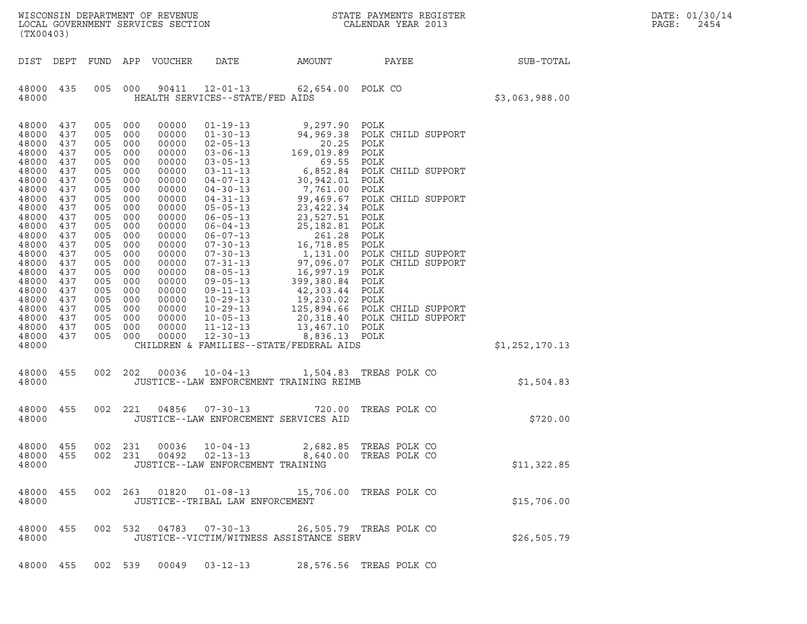| WISCONSIN DEPARTMENT OF REVENUE<br>LOCAL GOVERNMENT SERVICES SECTION<br>(TX00403) |                                               |                                               |                                               |                                                             |                                                                                                                            |                                                                                                                               | STATE PAYMENTS REGISTER<br>CALENDAR YEAR 2013                                    |                | DATE: 01/30/14<br>PAGE:<br>2454 |
|-----------------------------------------------------------------------------------|-----------------------------------------------|-----------------------------------------------|-----------------------------------------------|-------------------------------------------------------------|----------------------------------------------------------------------------------------------------------------------------|-------------------------------------------------------------------------------------------------------------------------------|----------------------------------------------------------------------------------|----------------|---------------------------------|
| DIST                                                                              | DEPT                                          |                                               |                                               | FUND APP VOUCHER                                            | DATE                                                                                                                       | AMOUNT                                                                                                                        | PAYEE                                                                            | SUB-TOTAL      |                                 |
| 48000 435<br>48000                                                                |                                               | 005                                           | 000                                           | 90411                                                       | $12 - 01 - 13$<br>HEALTH SERVICES--STATE/FED AIDS                                                                          | 62,654.00 POLK CO                                                                                                             |                                                                                  | \$3,063,988.00 |                                 |
| 48000<br>48000<br>48000<br>48000<br>48000<br>48000                                | 437<br>437<br>437<br>437<br>437<br>437        | 005<br>005<br>005<br>005<br>005<br>005        | 000<br>000<br>000<br>000<br>000<br>000        | 00000<br>00000<br>00000<br>00000<br>00000<br>00000          | $01 - 19 - 13$<br>$01 - 30 - 13$<br>$02 - 05 - 13$<br>$03 - 06 - 13$<br>$03 - 05 - 13$<br>$03 - 11 - 13$                   | 9,297.90<br>94,969.38<br>20.25<br>169,019.89<br>69.55<br>6,852.84<br>30,942.01                                                | POLK<br>POLK CHILD SUPPORT<br>POLK<br>POLK<br>POLK<br>POLK CHILD SUPPORT         |                |                                 |
| 48000<br>48000<br>48000<br>48000<br>48000<br>48000<br>48000                       | 437<br>437<br>437<br>437<br>437<br>437<br>437 | 005<br>005<br>005<br>005<br>005<br>005<br>005 | 000<br>000<br>000<br>000<br>000<br>000<br>000 | 00000<br>00000<br>00000<br>00000<br>00000<br>00000<br>00000 | $04 - 07 - 13$<br>$04 - 30 - 13$<br>$04 - 31 - 13$<br>$05 - 05 - 13$<br>$06 - 05 - 13$<br>$06 - 04 - 13$<br>$06 - 07 - 13$ | 30,942.01<br>7,761.00<br>99,469.67<br>99,469.67<br>23,422.34<br>23,527.51<br>23,527.51<br>25,182.81<br>261.28                 | POLK<br>POLK<br>POLK CHILD SUPPORT<br>POLK<br>POLK<br>POLK<br>POLK               |                |                                 |
| 48000<br>48000<br>48000<br>48000<br>48000<br>48000<br>48000                       | 437<br>437<br>437<br>437<br>437<br>437<br>437 | 005<br>005<br>005<br>005<br>005<br>005<br>005 | 000<br>000<br>000<br>000<br>000<br>000<br>000 | 00000<br>00000<br>00000<br>00000<br>00000<br>00000<br>00000 | $07 - 30 - 13$<br>$07 - 30 - 13$<br>$07 - 31 - 13$<br>$08 - 05 - 13$<br>$09 - 05 - 13$<br>$09 - 11 - 13$<br>$10 - 29 - 13$ | $16, 718.85$<br>$1, 131.00$<br>$0.07$<br>$97,096.07$<br>$16,997.19$<br>$399,380.84$<br>$42,303.44$<br>19,230.02<br>125,894.66 | POLK<br>POLK CHILD SUPPORT<br>POLK CHILD SUPPORT<br>POLK<br>POLK<br>POLK<br>POLK |                |                                 |
| 48000<br>48000<br>48000<br>48000<br>48000                                         | 437<br>437<br>437<br>437                      | 005<br>005<br>005<br>005                      | 000<br>000<br>000<br>000                      | 00000<br>00000<br>00000<br>00000                            | $10 - 29 - 13$<br>$10 - 05 - 13$<br>$11 - 12 - 13$<br>$12 - 30 - 13$                                                       | 125,894.66<br>20,318.40<br>13,467.10 POLK<br>8,836.13 POLK<br>CHILDREN & FAMILIES--STATE/FEDERAL AIDS                         | POLK CHILD SUPPORT<br>POLK CHILD SUPPORT                                         | \$1,252,170.13 |                                 |
| 48000<br>48000                                                                    | 455                                           | 002                                           | 202                                           | 00036                                                       | $10 - 04 - 13$                                                                                                             | JUSTICE--LAW ENFORCEMENT TRAINING REIMB                                                                                       | 1,504.83 TREAS POLK CO                                                           | \$1,504.83     |                                 |
| 48000 455<br>48000                                                                |                                               |                                               | 002 221                                       | 04856                                                       | $07 - 30 - 13$                                                                                                             | JUSTICE--LAW ENFORCEMENT SERVICES AID                                                                                         | 720.00 TREAS POLK CO                                                             | \$720.00       |                                 |
| 48000 455<br>48000 455<br>48000                                                   |                                               |                                               | 002 231<br>002 231                            | 00036<br>00492                                              | $10 - 04 - 13$<br>$02 - 13 - 13$<br>JUSTICE--LAW ENFORCEMENT TRAINING                                                      | 2,682.85                                                                                                                      | TREAS POLK CO<br>8,640.00 TREAS POLK CO                                          | \$11,322.85    |                                 |
| 48000 455<br>48000                                                                |                                               |                                               |                                               | 002 263 01820                                               | $01 - 08 - 13$<br>JUSTICE--TRIBAL LAW ENFORCEMENT                                                                          |                                                                                                                               | 15,706.00 TREAS POLK CO                                                          | \$15,706.00    |                                 |
| 48000 455<br>48000                                                                |                                               |                                               |                                               | 002 532 04783                                               | $07 - 30 - 13$                                                                                                             | JUSTICE--VICTIM/WITNESS ASSISTANCE SERV                                                                                       | 26,505.79 TREAS POLK CO                                                          | \$26,505.79    |                                 |
| 48000 455                                                                         |                                               |                                               | 002 539                                       | 00049                                                       | $03 - 12 - 13$                                                                                                             |                                                                                                                               | 28,576.56 TREAS POLK CO                                                          |                |                                 |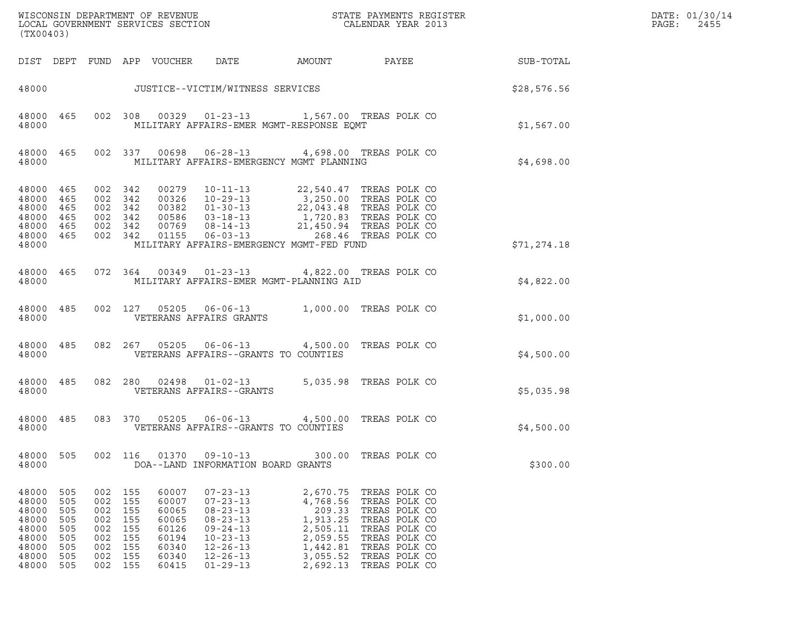| (TX00403)                                                                       |                                                             |                                                             |                                                             |                                                                               |                                                                                                                                                                                                               |                                                                                                        |                                                                                                                                                             |             | DATE: 01/30/14<br>PAGE:<br>2455 |
|---------------------------------------------------------------------------------|-------------------------------------------------------------|-------------------------------------------------------------|-------------------------------------------------------------|-------------------------------------------------------------------------------|---------------------------------------------------------------------------------------------------------------------------------------------------------------------------------------------------------------|--------------------------------------------------------------------------------------------------------|-------------------------------------------------------------------------------------------------------------------------------------------------------------|-------------|---------------------------------|
| DIST DEPT                                                                       |                                                             |                                                             |                                                             | FUND APP VOUCHER                                                              | DATE                                                                                                                                                                                                          | AMOUNT                                                                                                 | PAYEE                                                                                                                                                       | SUB-TOTAL   |                                 |
| 48000                                                                           |                                                             |                                                             |                                                             |                                                                               | JUSTICE--VICTIM/WITNESS SERVICES                                                                                                                                                                              |                                                                                                        |                                                                                                                                                             | \$28,576.56 |                                 |
| 48000                                                                           | 48000 465                                                   |                                                             | 002 308                                                     |                                                                               | 00329  01-23-13  1,567.00 TREAS POLK CO<br>MILITARY AFFAIRS-EMER MGMT-RESPONSE EOMT                                                                                                                           |                                                                                                        |                                                                                                                                                             | \$1,567.00  |                                 |
| 48000                                                                           | 48000 465                                                   |                                                             | 002 337                                                     | 00698                                                                         | 06-28-13 4,698.00 TREAS POLK CO<br>MILITARY AFFAIRS-EMERGENCY MGMT PLANNING                                                                                                                                   |                                                                                                        |                                                                                                                                                             | \$4,698.00  |                                 |
| 48000 465<br>48000 465<br>48000<br>48000 465<br>48000 465<br>48000 465<br>48000 | 465                                                         | 002 342<br>002 342<br>002 342<br>002 342                    | 002 342<br>002 342                                          | 00279                                                                         | $10 - 11 - 13$<br>$0.0326$<br>$10-29-13$<br>$0.0382$<br>$01-30-13$<br>$0.0586$<br>$03-18-13$<br>$0.0769$<br>$08-14-13$<br>$0.1155$<br>$0.06-03-13$<br>$0.06-0.13$<br>MILITARY AFFAIRS-EMERGENCY MGMT-FED FUND |                                                                                                        | 22,540.47 TREAS POLK CO<br>3,250.00 TREAS POLK CO<br>22,043.48 TREAS POLK CO<br>1,720.83 TREAS POLK CO<br>21,450.94 TREAS POLK CO<br>268.46   TREAS POLK CO | \$71,274.18 |                                 |
| 48000                                                                           | 48000 465                                                   |                                                             |                                                             |                                                                               | 072  364  00349  01-23-13  4,822.00 TREAS POLK CO<br>MILITARY AFFAIRS-EMER MGMT-PLANNING AID                                                                                                                  |                                                                                                        |                                                                                                                                                             | \$4,822.00  |                                 |
| 48000 485<br>48000                                                              |                                                             |                                                             |                                                             |                                                                               | 002 127 05205 06-06-13 1,000.00 TREAS POLK CO<br>VETERANS AFFAIRS GRANTS                                                                                                                                      |                                                                                                        |                                                                                                                                                             | \$1,000.00  |                                 |
| 48000                                                                           | 48000 485                                                   |                                                             |                                                             |                                                                               | 082  267  05205  06-06-13  4,500.00 TREAS POLK CO<br>VETERANS AFFAIRS--GRANTS TO COUNTIES                                                                                                                     |                                                                                                        |                                                                                                                                                             | \$4,500.00  |                                 |
| 48000 485<br>48000                                                              |                                                             |                                                             | 082 280                                                     |                                                                               | $02498$ $01-02-13$<br>VETERANS AFFAIRS--GRANTS                                                                                                                                                                |                                                                                                        | 5,035.98 TREAS POLK CO                                                                                                                                      | \$5,035.98  |                                 |
| 48000<br>48000                                                                  | 485                                                         |                                                             |                                                             |                                                                               | 083 370 05205 06-06-13<br>VETERANS AFFAIRS--GRANTS TO COUNTIES                                                                                                                                                |                                                                                                        | 4,500.00 TREAS POLK CO                                                                                                                                      | \$4,500.00  |                                 |
| 48000<br>48000                                                                  | 505                                                         | 002                                                         | 116                                                         | 01370                                                                         | $09 - 10 - 13$<br>DOA--LAND INFORMATION BOARD GRANTS                                                                                                                                                          | 300.00                                                                                                 | TREAS POLK CO                                                                                                                                               | \$300.00    |                                 |
| 48000<br>48000<br>48000<br>48000<br>48000<br>48000<br>48000<br>48000<br>48000   | 505<br>505<br>505<br>505<br>505<br>505<br>505<br>505<br>505 | 002<br>002<br>002<br>002<br>002<br>002<br>002<br>002<br>002 | 155<br>155<br>155<br>155<br>155<br>155<br>155<br>155<br>155 | 60007<br>60007<br>60065<br>60065<br>60126<br>60194<br>60340<br>60340<br>60415 | $07 - 23 - 13$<br>$07 - 23 - 13$<br>$08 - 23 - 13$<br>$08 - 23 - 13$<br>$09 - 24 - 13$<br>$10 - 23 - 13$<br>$12 - 26 - 13$<br>$12 - 26 - 13$<br>$01 - 29 - 13$                                                | 2,670.75<br>4,768.56<br>209.33<br>1,913.25<br>2,505.11<br>2,059.55<br>1,442.81<br>3,055.52<br>2,692.13 | TREAS POLK CO<br>TREAS POLK CO<br>TREAS POLK CO<br>TREAS POLK CO<br>TREAS POLK CO<br>TREAS POLK CO<br>TREAS POLK CO<br>TREAS POLK CO<br>TREAS POLK CO       |             |                                 |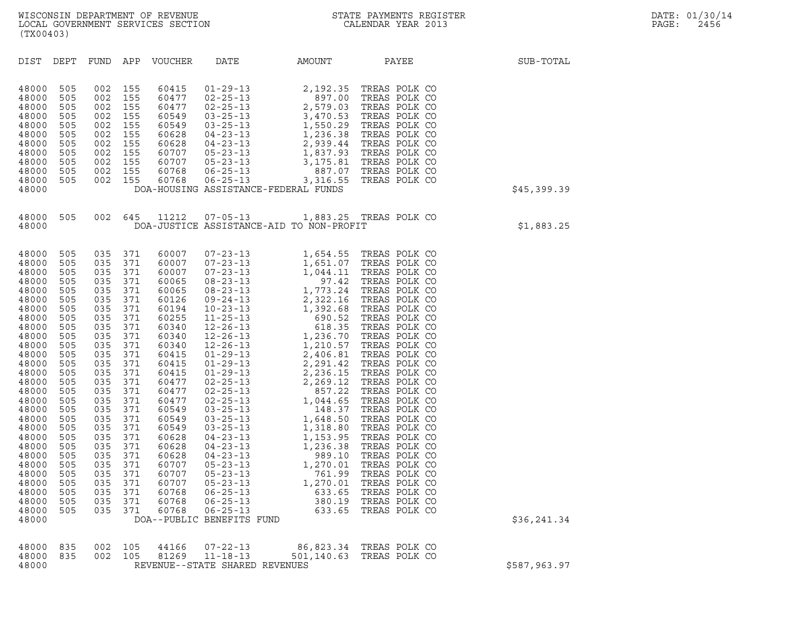| (TX00403)                                                                                                                                                                                                                                                                  |                                                                                                                                                                                                         |                                                                                                                                                                                                         |                                                                                                                                                                                                         |                                                                                                                                                                                                                                                                   |                                                                                 |                                          |                                                 |              |
|----------------------------------------------------------------------------------------------------------------------------------------------------------------------------------------------------------------------------------------------------------------------------|---------------------------------------------------------------------------------------------------------------------------------------------------------------------------------------------------------|---------------------------------------------------------------------------------------------------------------------------------------------------------------------------------------------------------|---------------------------------------------------------------------------------------------------------------------------------------------------------------------------------------------------------|-------------------------------------------------------------------------------------------------------------------------------------------------------------------------------------------------------------------------------------------------------------------|---------------------------------------------------------------------------------|------------------------------------------|-------------------------------------------------|--------------|
| DIST                                                                                                                                                                                                                                                                       | DEPT                                                                                                                                                                                                    | FUND                                                                                                                                                                                                    | APP                                                                                                                                                                                                     | VOUCHER                                                                                                                                                                                                                                                           | DATE                                                                            | AMOUNT PAYEE                             |                                                 | SUB-TOTAL    |
| 48000<br>48000<br>48000<br>48000<br>48000<br>48000<br>48000<br>48000<br>48000<br>48000<br>48000<br>48000                                                                                                                                                                   | 505<br>505<br>505<br>505<br>505<br>505<br>505<br>505<br>505<br>505<br>505                                                                                                                               | 002<br>002<br>002<br>002<br>002<br>002<br>002<br>002<br>002<br>002<br>002                                                                                                                               | 155<br>155<br>155<br>155<br>155<br>155<br>155<br>155<br>155<br>155<br>155                                                                                                                               |                                                                                                                                                                                                                                                                   |                                                                                 | DOA-HOUSING ASSISTANCE-FEDERAL FUNDS     |                                                 | \$45,399.39  |
| 48000<br>48000                                                                                                                                                                                                                                                             | 505                                                                                                                                                                                                     |                                                                                                                                                                                                         |                                                                                                                                                                                                         |                                                                                                                                                                                                                                                                   | 002 645 11212 07-05-13                                                          | DOA-JUSTICE ASSISTANCE-AID TO NON-PROFIT | 1,883.25 TREAS POLK CO                          | \$1,883.25   |
| 48000<br>48000<br>48000<br>48000<br>48000<br>48000<br>48000<br>48000<br>48000<br>48000<br>48000<br>48000<br>48000<br>48000<br>48000<br>48000<br>48000<br>48000<br>48000<br>48000<br>48000<br>48000<br>48000<br>48000<br>48000<br>48000<br>48000<br>48000<br>48000<br>48000 | 505<br>505<br>505<br>505<br>505<br>505<br>505<br>505<br>505<br>505<br>505<br>505<br>505<br>505<br>505<br>505<br>505<br>505<br>505<br>505<br>505<br>505<br>505<br>505<br>505<br>505<br>505<br>505<br>505 | 035<br>035<br>035<br>035<br>035<br>035<br>035<br>035<br>035<br>035<br>035<br>035<br>035<br>035<br>035<br>035<br>035<br>035<br>035<br>035<br>035<br>035<br>035<br>035<br>035<br>035<br>035<br>035<br>035 | 371<br>371<br>371<br>371<br>371<br>371<br>371<br>371<br>371<br>371<br>371<br>371<br>371<br>371<br>371<br>371<br>371<br>371<br>371<br>371<br>371<br>371<br>371<br>371<br>371<br>371<br>371<br>371<br>371 | 60007<br>60007<br>60007<br>60065<br>60065<br>60126<br>60194<br>60255<br>60340<br>60340<br>60340<br>60415<br>60415<br>60415<br>60477<br>60477<br>60477<br>60549<br>60549<br>60549<br>60628<br>60628<br>60628<br>60707<br>60707<br>60707<br>60768<br>60768<br>60768 | $06 - 25 - 13$<br>$06 - 25 - 13$<br>$06 - 25 - 13$<br>DOA--PUBLIC BENEFITS FUND | 633.65<br>380.19<br>633.65               | TREAS POLK CO<br>TREAS POLK CO<br>TREAS POLK CO | \$36,241.34  |
| 48000<br>48000<br>48000                                                                                                                                                                                                                                                    | 835<br>835                                                                                                                                                                                              | 002<br>002                                                                                                                                                                                              | 105<br>105                                                                                                                                                                                              | 44166<br>81269                                                                                                                                                                                                                                                    | $07 - 22 - 13$<br>$11 - 18 - 13$<br>REVENUE--STATE SHARED REVENUES              | 86,823.34<br>501,140.63                  | TREAS POLK CO<br>TREAS POLK CO                  | \$587,963.97 |

| \$587,963.97 |  |
|--------------|--|
|              |  |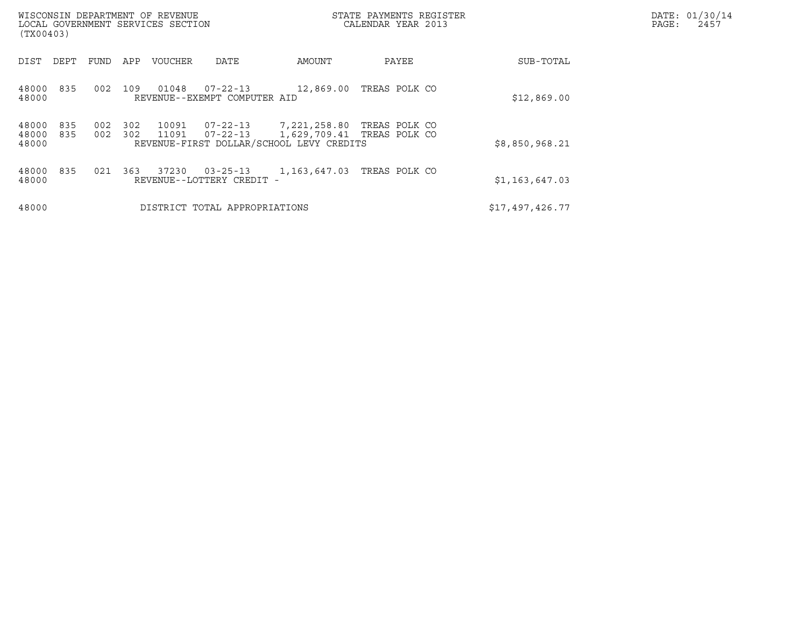| WISCONSIN DEPARTMENT OF REVENUE<br>LOCAL GOVERNMENT SERVICES SECTION<br>(TX00403) |                          |                |                                                | STATE PAYMENTS REGISTER<br>CALENDAR YEAR 2013                                          |               |                 | DATE: 01/30/14<br>PAGE:<br>2457 |
|-----------------------------------------------------------------------------------|--------------------------|----------------|------------------------------------------------|----------------------------------------------------------------------------------------|---------------|-----------------|---------------------------------|
| FUND<br>DIST<br>DEPT                                                              | APP                      | <b>VOUCHER</b> | DATE                                           | AMOUNT                                                                                 | PAYEE         | SUB-TOTAL       |                                 |
| 48000<br>835<br>48000                                                             | 002<br>109               | 01048          | $07 - 22 - 13$<br>REVENUE--EXEMPT COMPUTER AID | 12,869.00                                                                              | TREAS POLK CO | \$12,869.00     |                                 |
| 48000<br>835<br>48000<br>835<br>48000                                             | 302<br>002<br>002<br>302 | 10091<br>11091 | 07-22-13<br>$07 - 22 - 13$                     | 7,221,258.80<br>1,629,709.41 TREAS POLK CO<br>REVENUE-FIRST DOLLAR/SCHOOL LEVY CREDITS | TREAS POLK CO | \$8,850,968.21  |                                 |
| 48000<br>835<br>48000                                                             | 021<br>363               | 37230          | $03 - 25 - 13$<br>REVENUE--LOTTERY CREDIT -    | 1,163,647.03                                                                           | TREAS POLK CO | \$1,163,647.03  |                                 |
| 48000                                                                             |                          |                | DISTRICT TOTAL APPROPRIATIONS                  |                                                                                        |               | \$17,497,426.77 |                                 |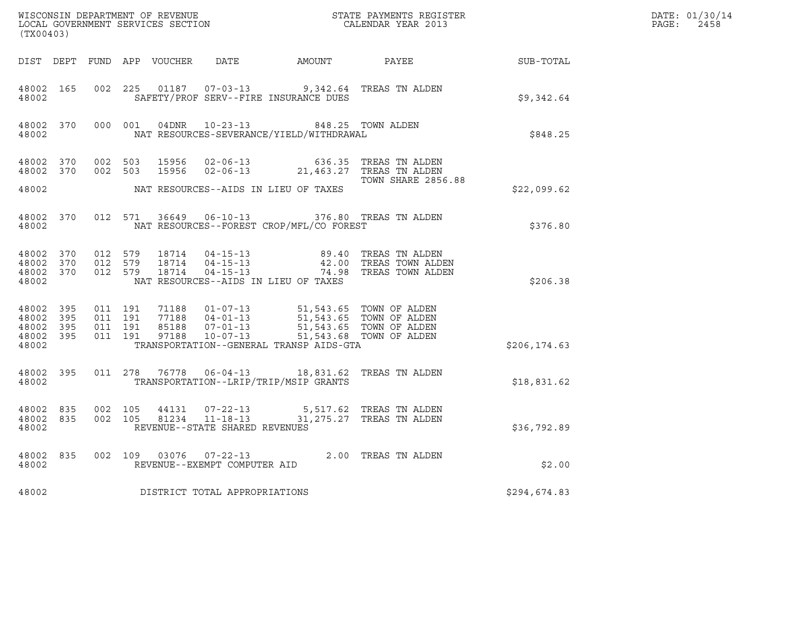| (TX00403)                                                                 |  |                   |         |  |                                |                                                                                                                                                                                                                          |                                                                                                                                                                                                                                                                                                   |               | DATE: 01/30/14<br>$\mathtt{PAGE:}$<br>2458 |
|---------------------------------------------------------------------------|--|-------------------|---------|--|--------------------------------|--------------------------------------------------------------------------------------------------------------------------------------------------------------------------------------------------------------------------|---------------------------------------------------------------------------------------------------------------------------------------------------------------------------------------------------------------------------------------------------------------------------------------------------|---------------|--------------------------------------------|
|                                                                           |  |                   |         |  |                                |                                                                                                                                                                                                                          | DIST DEPT FUND APP VOUCHER DATE AMOUNT PAYEE PATE SUB-TOTAL                                                                                                                                                                                                                                       |               |                                            |
| 48002                                                                     |  |                   |         |  |                                | 48002 165 002 225 01187 07-03-13 9,342.64 TREAS TN ALDEN<br>SAFETY/PROF SERV--FIRE INSURANCE DUES                                                                                                                        |                                                                                                                                                                                                                                                                                                   | \$9,342.64    |                                            |
|                                                                           |  |                   |         |  |                                | 48002 NAT RESOURCES-SEVERANCE/YIELD/WITHDRAWAL                                                                                                                                                                           | 48002 370 000 001 04DNR 10-23-13 , 848.25 TOWN ALDEN                                                                                                                                                                                                                                              | \$848.25      |                                            |
|                                                                           |  |                   |         |  |                                | 48002 370 002 503 15956 02-06-13 636.35 TREAS TN ALDEN<br>48002 370 002 503 15956 02-06-13 21,463.27 TREAS TN ALDEN                                                                                                      | <b>TOWN SHARE 2856.88</b>                                                                                                                                                                                                                                                                         |               |                                            |
| 48002                                                                     |  |                   |         |  |                                | NAT RESOURCES--AIDS IN LIEU OF TAXES                                                                                                                                                                                     |                                                                                                                                                                                                                                                                                                   | \$22,099.62   |                                            |
| 48002 370<br>48002                                                        |  |                   |         |  |                                | 012 571 36649 06-10-13 376.80 TREAS TN ALDEN<br>NAT RESOURCES--FOREST CROP/MFL/CO FOREST                                                                                                                                 |                                                                                                                                                                                                                                                                                                   | \$376.80      |                                            |
| 48002                                                                     |  |                   |         |  |                                | NAT RESOURCES--AIDS IN LIEU OF TAXES                                                                                                                                                                                     | $\begin{array}{cccccccc} 4\,8\,0\,0\,2 & 3\,7\,0 & 0\,1\,2 & 5\,7\,9 & 1\,8\,7\,1\,4 & 0\,4\,-1\,5\,-1\,3 & 8\,9\,.4\,0 & \text{TREAS TN ALDEN} \\ 4\,8\,0\,0\,2 & 3\,7\,0 & 0\,1\,2 & 5\,7\,9 & 1\,8\,7\,1\,4 & 0\,4\,-1\,5\,-1\,3 & 4\,2\,.0 & \text{TREAS TOWN ALDEN} \\ 4\,8\,0\,0\,2 & 3\,7$ | \$206.38      |                                            |
| 48002 395 011 191<br>48002 395<br>48002 395 011 191<br>48002 395<br>48002 |  | 011 191           | 011 191 |  |                                | 71188  01-07-13  51,543.65  TOWN OF ALDEN<br>77188  04-01-13  51,543.65  TOWN OF ALDEN<br>85188  07-01-13  51,543.65  TOWN OF ALDEN<br>97188  10-07-13  543.68  TOWN OF ALDEN<br>TRANSPORTATION--GENERAL TRANSP AIDS-GTA |                                                                                                                                                                                                                                                                                                   | \$206, 174.63 |                                            |
| 48002 395                                                                 |  |                   |         |  |                                | 011 278 76778 06-04-13 18,831.62 TREAS TN ALDEN<br>48002 TRANSPORTATION--LRIP/TRIP/MSIP GRANTS                                                                                                                           |                                                                                                                                                                                                                                                                                                   | \$18,831.62   |                                            |
| 48002 835<br>48002                                                        |  | 48002 835 002 105 | 002 105 |  | REVENUE--STATE SHARED REVENUES | $\begin{array}{cccc} 44131 & 07\text{-}22\text{-}13 & 5\text{,}517.62 & \text{TREAS TN ALDEN} \\ 81234 & 11\text{-}18\text{-}13 & 31\text{,}275.27 & \text{TREAS TN ALDEN} \end{array}$                                  |                                                                                                                                                                                                                                                                                                   | \$36,792.89   |                                            |
| 48002 and $\sim$                                                          |  |                   |         |  | REVENUE--EXEMPT COMPUTER AID   | 48002 835 002 109 03076 07-22-13 2.00 TREAS TN ALDEN                                                                                                                                                                     |                                                                                                                                                                                                                                                                                                   | \$2.00        |                                            |
| 48002                                                                     |  |                   |         |  | DISTRICT TOTAL APPROPRIATIONS  |                                                                                                                                                                                                                          |                                                                                                                                                                                                                                                                                                   | \$294,674.83  |                                            |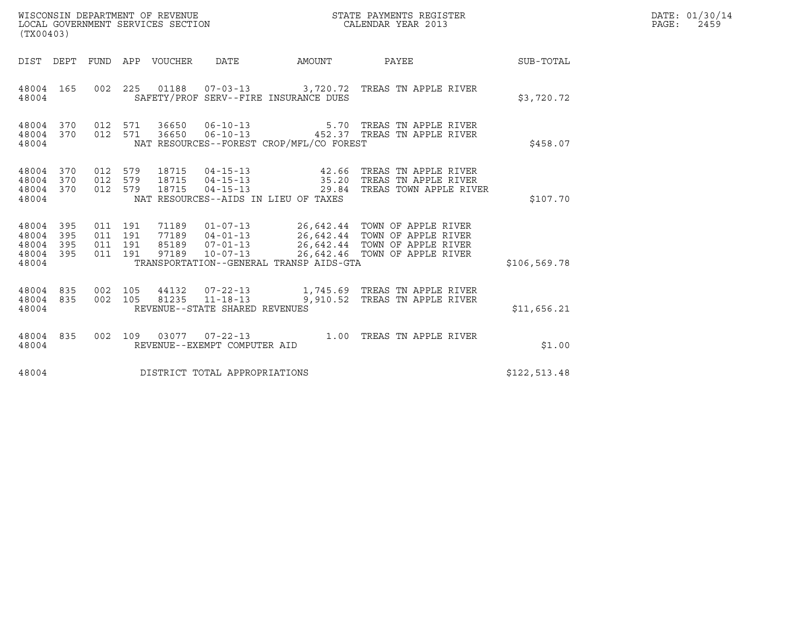| (TX00403)                                 |                            |                                          | WISCONSIN DEPARTMENT OF REVENUE<br>LOCAL GOVERNMENT SERVICES SECTION |                                                  |                                                              | STATE PAYMENTS REGISTER<br>CALENDAR YEAR 2013                                                                                                                                                         |               | DATE: 01/30/14<br>PAGE:<br>2459 |
|-------------------------------------------|----------------------------|------------------------------------------|----------------------------------------------------------------------|--------------------------------------------------|--------------------------------------------------------------|-------------------------------------------------------------------------------------------------------------------------------------------------------------------------------------------------------|---------------|---------------------------------|
|                                           |                            |                                          | DIST DEPT FUND APP VOUCHER                                           | DATE                                             | AMOUNT                                                       | PAYEE                                                                                                                                                                                                 | SUB-TOTAL     |                                 |
| 48004 165<br>48004                        |                            | 002 225                                  | 01188                                                                |                                                  | SAFETY/PROF SERV--FIRE INSURANCE DUES                        | 07-03-13 3,720.72 TREAS TN APPLE RIVER                                                                                                                                                                | \$3,720.72    |                                 |
| 48004 370<br>48004 370<br>48004           |                            | 012 571<br>012 571                       | 36650<br>36650                                                       | $06 - 10 - 13$<br>$06 - 10 - 13$                 | NAT RESOURCES--FOREST CROP/MFL/CO FOREST                     | 5.70 TREAS TN APPLE RIVER<br>452.37 TREAS TN APPLE RIVER                                                                                                                                              | \$458.07      |                                 |
| 48004 370<br>48004<br>48004<br>48004      | 370<br>370                 | 012 579<br>012 579<br>012 579            | 18715<br>18715<br>18715                                              | $04 - 15 - 13$                                   | $04 - 15 - 13$ 42.66<br>NAT RESOURCES--AIDS IN LIEU OF TAXES | TREAS TN APPLE RIVER<br>04-15-13 35.20 TREAS TN APPLE RIVER<br>29.84 TREAS TOWN APPLE RIVER                                                                                                           | \$107.70      |                                 |
| 48004<br>48004<br>48004<br>48004<br>48004 | - 395<br>395<br>395<br>395 | 011 191<br>011 191<br>011 191<br>011 191 | 97189                                                                |                                                  | TRANSPORTATION--GENERAL TRANSP AIDS-GTA                      | 71189   01-07-13   26,642.44   TOWN OF APPLE RIVER<br>77189   04-01-13   26,642.44   TOWN OF APPLE RIVER<br>85189  07-01-13  26,642.44  TOWN OF APPLE RIVER<br>10-07-13 26,642.46 TOWN OF APPLE RIVER | \$106, 569.78 |                                 |
| 48004 835<br>48004 835<br>48004           |                            | 002 105<br>002 105                       | 44132<br>81235                                                       | $11 - 18 - 13$<br>REVENUE--STATE SHARED REVENUES |                                                              | 07-22-13 1,745.69 TREAS TN APPLE RIVER<br>9,910.52 TREAS TN APPLE RIVER                                                                                                                               | \$11,656.21   |                                 |
| 48004 835<br>48004                        |                            | 002 109                                  |                                                                      | REVENUE--EXEMPT COMPUTER AID                     |                                                              |                                                                                                                                                                                                       | \$1.00        |                                 |
| 48004                                     |                            |                                          |                                                                      | DISTRICT TOTAL APPROPRIATIONS                    |                                                              |                                                                                                                                                                                                       | \$122,513.48  |                                 |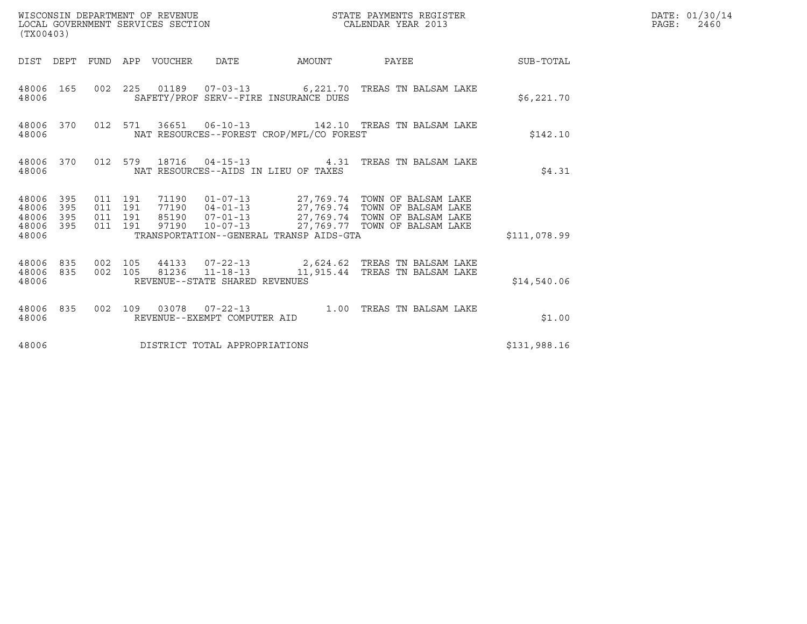| (TX00403)                                                       |                                          | WISCONSIN DEPARTMENT OF REVENUE<br>LOCAL GOVERNMENT SERVICES SECTION |                                          | STATE PAYMENTS REGISTER<br>CALENDAR YEAR 2013                                                                                                                                                                        |              | DATE: 01/30/14<br>$\mathtt{PAGE:}$<br>2460 |
|-----------------------------------------------------------------|------------------------------------------|----------------------------------------------------------------------|------------------------------------------|----------------------------------------------------------------------------------------------------------------------------------------------------------------------------------------------------------------------|--------------|--------------------------------------------|
| DIST DEPT FUND APP VOUCHER DATE                                 |                                          |                                                                      |                                          | AMOUNT PAYEE SUB-TOTAL                                                                                                                                                                                               |              |                                            |
| 48006 165<br>48006                                              |                                          |                                                                      | SAFETY/PROF SERV--FIRE INSURANCE DUES    | 002 225 01189 07-03-13 6,221.70 TREAS TN BALSAM LAKE                                                                                                                                                                 | \$6,221.70   |                                            |
| 48006 370<br>48006                                              |                                          |                                                                      | NAT RESOURCES--FOREST CROP/MFL/CO FOREST | 012 571 36651 06-10-13 142.10 TREAS TN BALSAM LAKE                                                                                                                                                                   | \$142.10     |                                            |
| 48006                                                           |                                          | NAT RESOURCES--AIDS IN LIEU OF TAXES                                 |                                          | 48006 370 012 579 18716 04-15-13 4.31 TREAS TN BALSAM LAKE                                                                                                                                                           | \$4.31       |                                            |
| 48006 395<br>48006<br>395<br>48006<br>395<br>48006 395<br>48006 | 011 191<br>011 191<br>011 191<br>011 191 |                                                                      | TRANSPORTATION--GENERAL TRANSP AIDS-GTA  | 71190   01-07-13   27,769.74   TOWN OF BALSAM LAKE<br>77190   04-01-13   27,769.74   TOWN OF BALSAM LAKE<br>85190   07-01-13   27,769.74   TOWN OF BALSAM LAKE<br>97190   10-07-13   27,769.77   TOWN OF BALSAM LAKE | \$111,078.99 |                                            |
| 48006 835 002 105<br>48006 835<br>48006                         |                                          | REVENUE--STATE SHARED REVENUES                                       |                                          | 44133  07-22-13  2,624.62  TREAS TN BALSAM LAKE<br>002 105 81236 11-18-13 11,915.44 TREAS TN BALSAM LAKE                                                                                                             | \$14,540.06  |                                            |
| 48006                                                           |                                          | REVENUE--EXEMPT COMPUTER AID                                         |                                          | 48006 835 002 109 03078 07-22-13 1.00 TREAS TN BALSAM LAKE                                                                                                                                                           | \$1.00       |                                            |
| 48006                                                           |                                          | DISTRICT TOTAL APPROPRIATIONS                                        |                                          |                                                                                                                                                                                                                      | \$131,988.16 |                                            |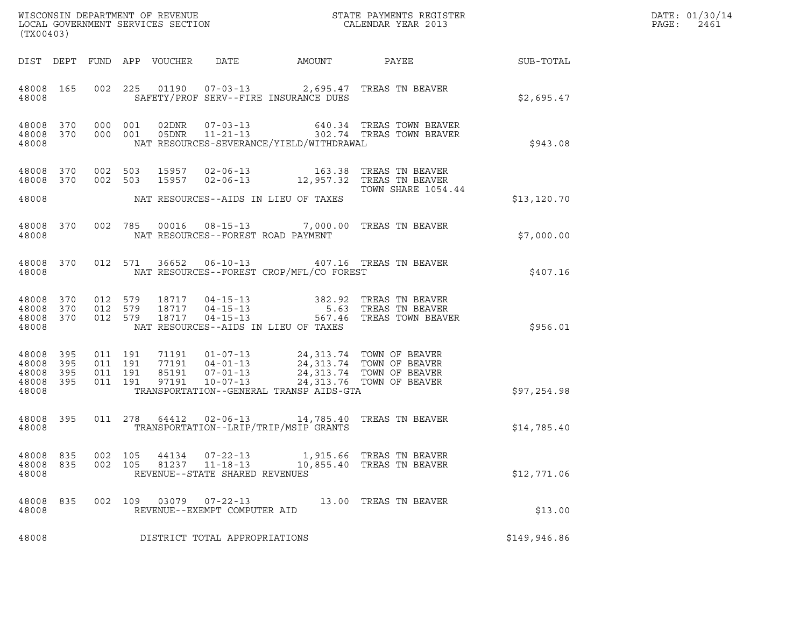| (TX00403)                                             |     |                              |                    |                            |                                                        |                                          | WISCONSIN DEPARTMENT OF REVENUE<br>LOCAL GOVERNMENT SERVICES SECTION<br>CALENDAR YEAR 2013                                                                                                                                             |              | DATE: 01/30/14<br>$\mathtt{PAGE:}$<br>2461 |
|-------------------------------------------------------|-----|------------------------------|--------------------|----------------------------|--------------------------------------------------------|------------------------------------------|----------------------------------------------------------------------------------------------------------------------------------------------------------------------------------------------------------------------------------------|--------------|--------------------------------------------|
|                                                       |     |                              |                    | DIST DEPT FUND APP VOUCHER | DATE                                                   | AMOUNT                                   | PAYEE                                                                                                                                                                                                                                  | SUB-TOTAL    |                                            |
| 48008 165<br>48008                                    |     |                              |                    |                            |                                                        | SAFETY/PROF SERV--FIRE INSURANCE DUES    | 002 225 01190 07-03-13 2,695.47 TREAS TN BEAVER                                                                                                                                                                                        | \$2,695.47   |                                            |
| 48008 370<br>48008                                    |     | 48008 370 000 001<br>000 001 |                    |                            |                                                        | NAT RESOURCES-SEVERANCE/YIELD/WITHDRAWAL | $\begin{tabular}{llllll} 02DNR & 07-03-13 & 640.34 TREAS TOWN BEAVER \\ 05DNR & 11-21-13 & 302.74 TREAS TOWN BEAVER \end{tabular}$                                                                                                     | \$943.08     |                                            |
| 48008 370<br>48008 370                                |     | 002 503<br>002 503           |                    |                            |                                                        |                                          |                                                                                                                                                                                                                                        |              |                                            |
| 48008                                                 |     |                              |                    |                            |                                                        | NAT RESOURCES--AIDS IN LIEU OF TAXES     | TOWN SHARE 1054.44                                                                                                                                                                                                                     | \$13, 120.70 |                                            |
| 48008 370<br>48008                                    |     |                              |                    |                            | NAT RESOURCES--FOREST ROAD PAYMENT                     |                                          | 002 785 00016 08-15-13 7,000.00 TREAS TN BEAVER                                                                                                                                                                                        | \$7,000.00   |                                            |
| 48008 370<br>48008                                    |     |                              | 012 571            |                            |                                                        | NAT RESOURCES--FOREST CROP/MFL/CO FOREST | 36652  06-10-13  407.16  TREAS TN BEAVER                                                                                                                                                                                               | \$407.16     |                                            |
| 48008 370<br>48008 370<br>48008 370<br>48008          |     | 012 579<br>012 579           | 012 579            |                            |                                                        | NAT RESOURCES--AIDS IN LIEU OF TAXES     | 18717   04-15-13   382.92 TREAS TN BEAVER<br>18717   04-15-13   5.63 TREAS TN BEAVER<br>18717   04-15-13   567.46 TREAS TOWN BEAVER                                                                                                    | \$956.01     |                                            |
| 48008 395<br>48008 395<br>48008<br>48008 395<br>48008 | 395 | 011 191<br>011 191           | 011 191<br>011 191 |                            |                                                        | TRANSPORTATION--GENERAL TRANSP AIDS-GTA  | $\begin{tabular}{cccc} 71191 & 01-07-13 & 24,313.74 & TOWN OF BEAVER \\ 77191 & 04-01-13 & 24,313.74 & TOWN OF BEAVER \\ 85191 & 07-01-13 & 24,313.74 & TOWN OF BEAVER \\ 97191 & 10-07-13 & 24,313.76 & TOWN OF BEAVER \end{tabular}$ | \$97,254.98  |                                            |
| 48008 395<br>48008                                    |     |                              |                    |                            |                                                        | TRANSPORTATION--LRIP/TRIP/MSIP GRANTS    | 011 278 64412 02-06-13 14,785.40 TREAS TN BEAVER                                                                                                                                                                                       | \$14,785.40  |                                            |
| 48008 835<br>48008<br>48008                           | 835 | 002 105<br>002 105           |                    | 44134<br>81237             | 07-22-13<br>11-18-13<br>REVENUE--STATE SHARED REVENUES |                                          | 1,915.66 TREAS TN BEAVER<br>10,855.40 TREAS TN BEAVER                                                                                                                                                                                  | \$12,771.06  |                                            |
| 48008 835<br>48008                                    |     | 002 109                      |                    |                            | REVENUE--EXEMPT COMPUTER AID                           |                                          | 13.00 TREAS TN BEAVER                                                                                                                                                                                                                  | \$13.00      |                                            |
| 48008                                                 |     |                              |                    |                            | DISTRICT TOTAL APPROPRIATIONS                          |                                          |                                                                                                                                                                                                                                        | \$149,946.86 |                                            |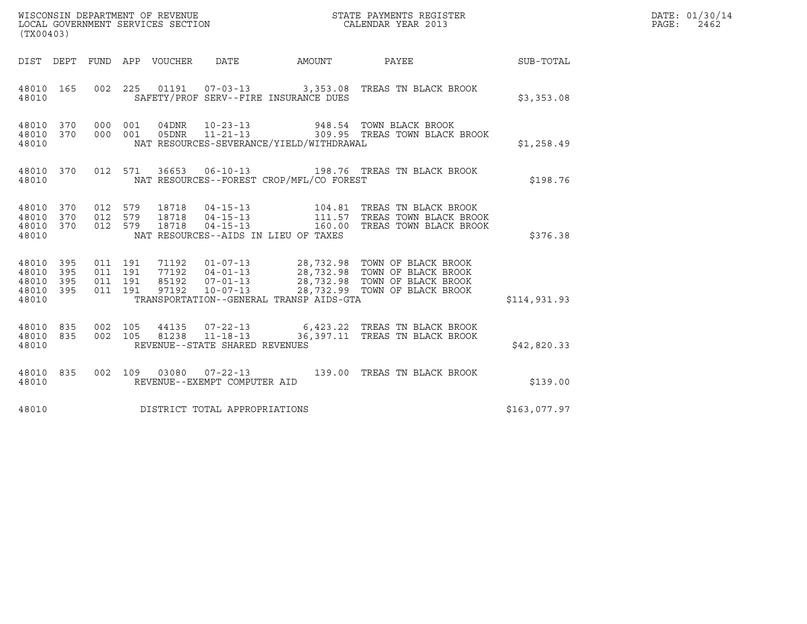| (TX00403)                                     |                        |                               |         |                                |                                          | $\tt WISCONSIM DEPARTMENT OF REVENUE$ $\tt WISCONSIMENT$ SERVICES SECTION $\tt CALENDAR$ YEAR 2013                    |              | DATE: 01/30/14<br>$\mathtt{PAGE}$ :<br>2462 |
|-----------------------------------------------|------------------------|-------------------------------|---------|--------------------------------|------------------------------------------|-----------------------------------------------------------------------------------------------------------------------|--------------|---------------------------------------------|
|                                               |                        |                               |         |                                |                                          | DIST DEPT FUND APP VOUCHER DATE AMOUNT PAYEE SUB-TOTAL                                                                |              |                                             |
| 48010 165<br>48010                            |                        |                               |         |                                | SAFETY/PROF SERV--FIRE INSURANCE DUES    | 002 225 01191 07-03-13 3,353.08 TREAS TN BLACK BROOK                                                                  | \$3,353.08   |                                             |
| 48010 370<br>48010                            | 48010 370 000 001      | 000 001                       |         |                                | NAT RESOURCES-SEVERANCE/YIELD/WITHDRAWAL | 04DNR  10-23-13  948.54 TOWN BLACK BROOK<br>05DNR  11-21-13  309.95 TREAS TOWN BLACK<br>309.95 TREAS TOWN BLACK BROOK | \$1,258.49   |                                             |
| 48010                                         |                        |                               |         |                                | NAT RESOURCES--FOREST CROP/MFL/CO FOREST | 48010 370 012 571 36653 06-10-13 198.76 TREAS TN BLACK BROOK                                                          | \$198.76     |                                             |
| 48010 370<br>48010<br>48010<br>48010          | 370<br>370             | 012 579<br>012 579<br>012 579 |         |                                | NAT RESOURCES--AIDS IN LIEU OF TAXES     |                                                                                                                       | \$376.38     |                                             |
| 48010 395<br>48010<br>48010<br>48010<br>48010 | 395<br>395<br>395      | 011 191<br>011 191<br>011 191 | 011 191 |                                | TRANSPORTATION--GENERAL TRANSP AIDS-GTA  |                                                                                                                       | \$114,931.93 |                                             |
| 48010                                         | 48010 835<br>48010 835 |                               |         | REVENUE--STATE SHARED REVENUES |                                          | 002 105 44135 07-22-13 6,423.22 TREAS TN BLACK BROOK<br>002 105 81238 11-18-13 36,397.11 TREAS TN BLACK BROOK         | \$42,820.33  |                                             |
| 48010 835<br>48010                            |                        |                               |         | REVENUE--EXEMPT COMPUTER AID   |                                          | 002 109 03080 07-22-13 139.00 TREAS TN BLACK BROOK                                                                    | \$139.00     |                                             |
| 48010                                         |                        |                               |         | DISTRICT TOTAL APPROPRIATIONS  |                                          |                                                                                                                       | \$163,077.97 |                                             |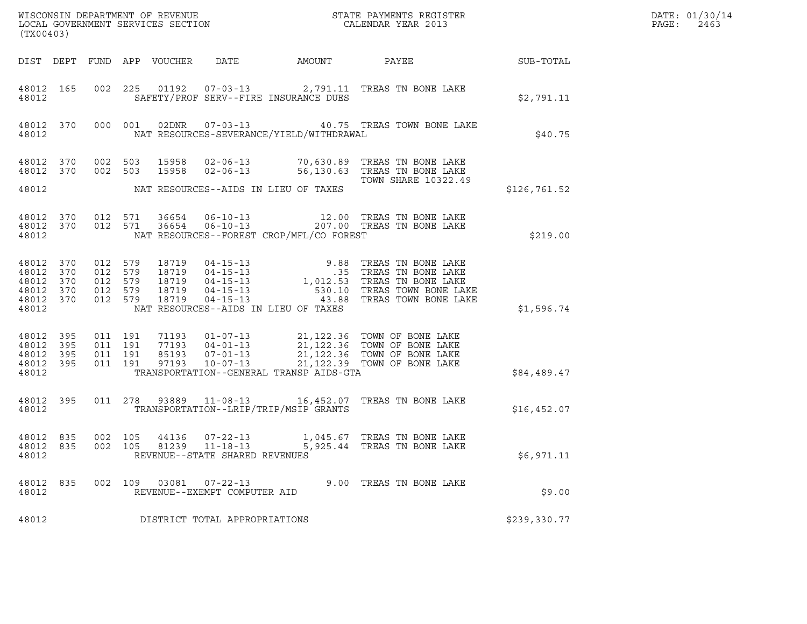| DATE: | 01/30/14 |
|-------|----------|
| PAGE: | 2463     |

| (TX00403)                                                          |     |                                                     |                               |                            | % WISCONSIN DEPARTMENT OF REVENUE $$\tt STATE~PAYMEMTS~REGISTER~LOCAL~GOVERNMENT~SERVICES~SECTION~CALENDAR~YEAR~2013$ |                                          | DATE: 01/30/14<br>$\mathtt{PAGE:}$<br>2463                                                                                                                                                                                                 |                  |  |
|--------------------------------------------------------------------|-----|-----------------------------------------------------|-------------------------------|----------------------------|-----------------------------------------------------------------------------------------------------------------------|------------------------------------------|--------------------------------------------------------------------------------------------------------------------------------------------------------------------------------------------------------------------------------------------|------------------|--|
|                                                                    |     |                                                     |                               | DIST DEPT FUND APP VOUCHER | DATE                                                                                                                  | AMOUNT                                   | PAYEE                                                                                                                                                                                                                                      | <b>SUB-TOTAL</b> |  |
| 48012 165<br>48012                                                 |     |                                                     |                               |                            |                                                                                                                       | SAFETY/PROF SERV--FIRE INSURANCE DUES    | 002 225 01192 07-03-13 2,791.11 TREAS TN BONE LAKE                                                                                                                                                                                         | \$2,791.11       |  |
| 48012 370<br>48012                                                 |     |                                                     |                               |                            |                                                                                                                       | NAT RESOURCES-SEVERANCE/YIELD/WITHDRAWAL | 000 001 02DNR 07-03-13 40.75 TREAS TOWN BONE LAKE                                                                                                                                                                                          | \$40.75          |  |
| 48012 370<br>48012 370                                             |     | 002 503                                             | 002 503                       | 15958                      |                                                                                                                       |                                          | 15958  02-06-13  70,630.89  TREAS TN BONE LAKE<br>02-06-13 56,130.63 TREAS TN BONE LAKE                                                                                                                                                    |                  |  |
| 48012                                                              |     |                                                     |                               |                            |                                                                                                                       | NAT RESOURCES--AIDS IN LIEU OF TAXES     | TOWN SHARE 10322.49                                                                                                                                                                                                                        | \$126,761.52     |  |
| 48012 370<br>48012 370<br>48012                                    |     |                                                     | 012 571<br>012 571            |                            |                                                                                                                       | NAT RESOURCES--FOREST CROP/MFL/CO FOREST |                                                                                                                                                                                                                                            | \$219.00         |  |
| 48012 370<br>48012 370<br>48012<br>48012 370<br>48012 370<br>48012 | 370 | 012 579<br>012 579<br>012 579<br>012 579<br>012 579 |                               |                            |                                                                                                                       | NAT RESOURCES--AIDS IN LIEU OF TAXES     | 18719    04-15-13    9.88    TREAS TN BONE LAKE<br>18719    04-15-13    .35    TREAS TN BONE LAKE<br>18719    04-15-13    1,012.53    TREAS TN BONE LAKE<br>18719    04-15-13    .530.10    TREAS TOWN BONE LAKE<br>18719    04-15-13    . | \$1,596.74       |  |
| 48012 395<br>48012 395<br>48012 395<br>48012 395<br>48012          |     | 011 191                                             | 011 191<br>011 191<br>011 191 |                            |                                                                                                                       | TRANSPORTATION--GENERAL TRANSP AIDS-GTA  | 71193  01-07-13  21,122.36  TOWN OF BONE LAKE<br>77193  04-01-13  21,122.36  TOWN OF BONE LAKE<br>85193  07-01-13  21,122.36  TOWN OF BONE LAKE<br>97193  10-07-13  21,122.39  TOWN OF BONE LAKE                                           | \$84,489.47      |  |
| 48012 395<br>48012                                                 |     |                                                     |                               |                            |                                                                                                                       | TRANSPORTATION--LRIP/TRIP/MSIP GRANTS    | 011  278  93889  11-08-13  16,452.07  TREAS TN BONE LAKE                                                                                                                                                                                   | \$16,452.07      |  |
| 48012 835<br>48012 835<br>48012                                    |     | 002 105                                             |                               |                            | 002 105 44136 07-22-13<br>81239 11-18-13<br>REVENUE--STATE SHARED REVENUES                                            |                                          | 1,045.67 TREAS TN BONE LAKE<br>5,925.44 TREAS TN BONE LAKE                                                                                                                                                                                 | \$6,971.11       |  |
| 48012<br>48012                                                     | 835 |                                                     | 002 109                       |                            | 03081 07-22-13<br>REVENUE--EXEMPT COMPUTER AID                                                                        |                                          | 9.00 TREAS TN BONE LAKE                                                                                                                                                                                                                    | \$9.00           |  |
| 48012                                                              |     |                                                     |                               |                            | DISTRICT TOTAL APPROPRIATIONS                                                                                         |                                          |                                                                                                                                                                                                                                            | \$239,330.77     |  |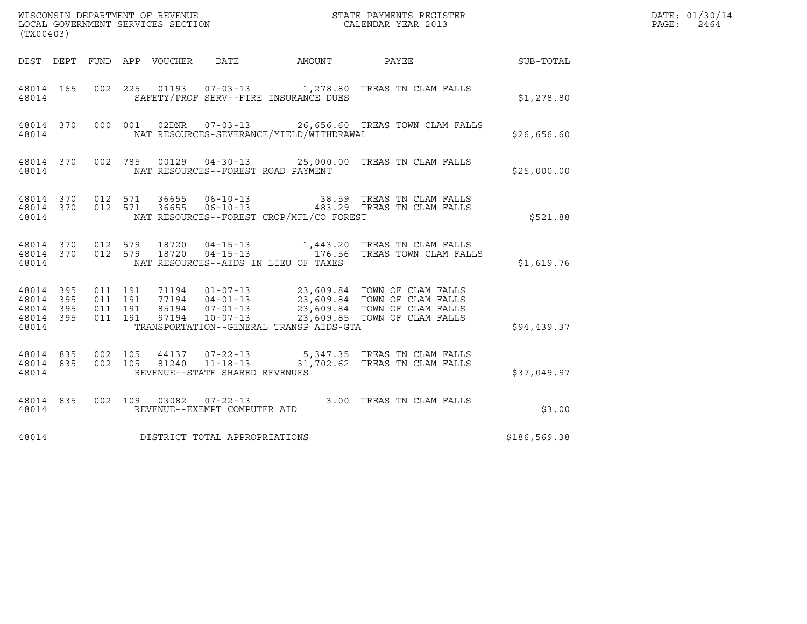| (TX00403)                                                 |                               |         |                        |                                                  |                                          |                                                                                                                                                                                                                                                                                                      |                  | DATE: 01/30/14<br>PAGE:<br>2464 |
|-----------------------------------------------------------|-------------------------------|---------|------------------------|--------------------------------------------------|------------------------------------------|------------------------------------------------------------------------------------------------------------------------------------------------------------------------------------------------------------------------------------------------------------------------------------------------------|------------------|---------------------------------|
|                                                           |                               |         |                        |                                                  | DIST DEPT FUND APP VOUCHER DATE AMOUNT   | PAYEE                                                                                                                                                                                                                                                                                                | <b>SUB-TOTAL</b> |                                 |
| 48014 165<br>48014                                        |                               |         |                        |                                                  | SAFETY/PROF SERV--FIRE INSURANCE DUES    | 002 225 01193 07-03-13 1,278.80 TREAS TN CLAM FALLS                                                                                                                                                                                                                                                  | \$1,278.80       |                                 |
| 48014                                                     |                               |         |                        |                                                  | NAT RESOURCES-SEVERANCE/YIELD/WITHDRAWAL | 48014 370 000 001 02DNR 07-03-13 26,656.60 TREAS TOWN CLAM FALLS                                                                                                                                                                                                                                     | \$26,656.60      |                                 |
| 48014                                                     |                               |         |                        |                                                  | NAT RESOURCES--FOREST ROAD PAYMENT       | 48014 370 002 785 00129 04-30-13 25,000.00 TREAS TN CLAM FALLS                                                                                                                                                                                                                                       | \$25,000.00      |                                 |
| 48014                                                     |                               |         |                        |                                                  | NAT RESOURCES--FOREST CROP/MFL/CO FOREST | $\begin{array}{cccccccc} 4\,8\,0\,14 & 3\,7\,0 & 0\,12 & 5\,7\,1 & 3\,6\,6\,5\,5 & 0\,6\, -\,1\,0\, -\,1\,3 & & & & & 3\,8\,.5\,9 & \text{TREAS TN CLAM FALLS} \\ 4\,8\,0\,1\,4 & 3\,7\,0 & 0\,1\,2 & 5\,7\,1 & 3\,6\,6\,5\,5 & 0\,6\, -\,1\,0\, -\,1\,3 & & & & 4\,8\,3\,.2\,9 & \text{TREAS TN CL$ | \$521.88         |                                 |
| 48014 370 012 579<br>48014 370<br>48014                   |                               |         | 18720<br>012 579 18720 |                                                  | NAT RESOURCES--AIDS IN LIEU OF TAXES     | 04-15-13 1,443.20 TREAS TN CLAM FALLS<br>04-15-13 176.56 TREAS TOWN CLAM FALLS                                                                                                                                                                                                                       | \$1,619.76       |                                 |
| 48014 395<br>48014 395<br>48014 395<br>48014 395<br>48014 | 011 191<br>011 191<br>011 191 | 011 191 |                        |                                                  | TRANSPORTATION--GENERAL TRANSP AIDS-GTA  | 71194   01-07-13   23,609.84   TOWN OF CLAM FALLS<br>77194   04-01-13   23,609.84   TOWN OF CLAM FALLS<br>85194   07-01-13   23,609.84   TOWN OF CLAM FALLS<br>97194   10-07-13   23,609.85   TOWN OF CLAM FALLS                                                                                     | \$94,439.37      |                                 |
| 48014 835<br>48014 835<br>48014                           | 002 105<br>002 105            |         | 81240                  | $11 - 18 - 13$<br>REVENUE--STATE SHARED REVENUES |                                          | 44137 07-22-13 5,347.35 TREAS TN CLAM FALLS<br>31,702.62 TREAS TN CLAM FALLS                                                                                                                                                                                                                         | \$37,049.97      |                                 |
| 48014                                                     |                               |         |                        | REVENUE--EXEMPT COMPUTER AID                     |                                          | 48014 835 002 109 03082 07-22-13 3.00 TREAS TN CLAM FALLS                                                                                                                                                                                                                                            | \$3.00           |                                 |
| 48014                                                     |                               |         |                        | DISTRICT TOTAL APPROPRIATIONS                    |                                          |                                                                                                                                                                                                                                                                                                      | \$186,569.38     |                                 |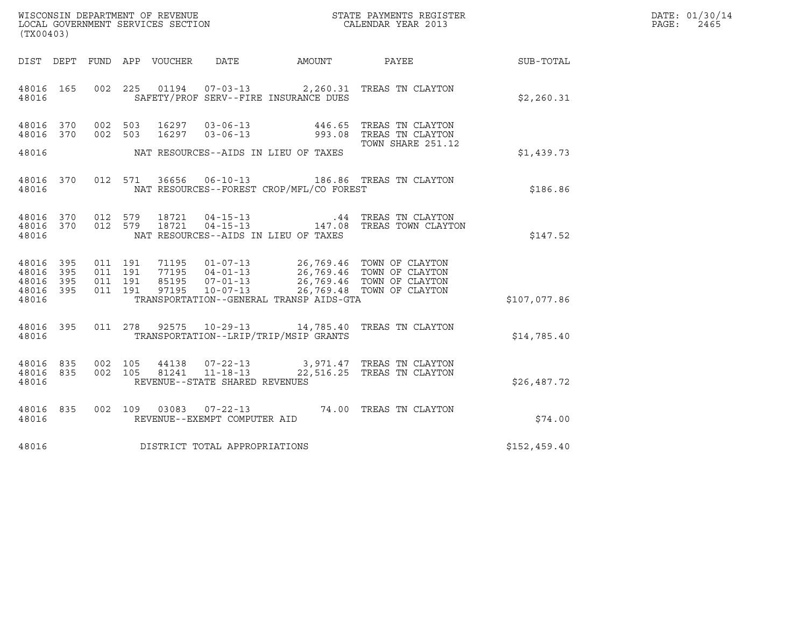| WISCONSIN DEPARTMENT OF REVENUE   | STATE PAYMENTS REGISTER | DATE: 01/30/14 |
|-----------------------------------|-------------------------|----------------|
| LOCAL GOVERNMENT SERVICES SECTION | CALENDAR YEAR 2013      | PAGE:<br>2465  |

| (TX00403)                                        |  |  |                                     |                                                | WISCONSIN DEPARTMENT OF REVENUE<br>LOCAL GOVERNMENT SERVICES SECTION<br>(TYO0402)                                                                                                                                                                                                                                                                     |              | DATE: 01/30/14<br>PAGE:<br>2465 |
|--------------------------------------------------|--|--|-------------------------------------|------------------------------------------------|-------------------------------------------------------------------------------------------------------------------------------------------------------------------------------------------------------------------------------------------------------------------------------------------------------------------------------------------------------|--------------|---------------------------------|
|                                                  |  |  |                                     |                                                | DIST DEPT FUND APP VOUCHER DATE AMOUNT PAYEE SUB-TOTAL                                                                                                                                                                                                                                                                                                |              |                                 |
| 48016                                            |  |  |                                     | SAFETY/PROF SERV--FIRE INSURANCE DUES          | 48016 165 002 225 01194 07-03-13 2,260.31 TREAS TN CLAYTON                                                                                                                                                                                                                                                                                            | \$2,260.31   |                                 |
| 48016 370<br>48016 370                           |  |  |                                     | 48016 MAT RESOURCES--AIDS IN LIEU OF TAXES     | 002 503 16297 03-06-13 446.65 TREAS TN CLAYTON<br>002 503 16297 03-06-13 993.08 TREAS TN CLAYTON<br>TOWN SHARE 251.12                                                                                                                                                                                                                                 | \$1,439.73   |                                 |
|                                                  |  |  |                                     | 48016 MAT RESOURCES--FOREST CROP/MFL/CO FOREST | 48016 370 012 571 36656 06-10-13 186.86 TREAS TN CLAYTON                                                                                                                                                                                                                                                                                              | \$186.86     |                                 |
| 48016                                            |  |  |                                     | NAT RESOURCES--AIDS IN LIEU OF TAXES           | $\begin{array}{cccccc} 4\,8\,0\,16 & 3\,70 & 0\,12 & 5\,79 & 18\,721 & 04\, -15\, -13 & & & .44 & \text{TREAS TN CLAYTON} \\ 4\,8\,0\,16 & 3\,70 & 0\,12 & 5\,79 & 18\,721 & 04\, -15\, -13 & & & 14\,7\, .\,08 & \text{TREAS TOWN CLAYTON} \end{array}$                                                                                              | \$147.52     |                                 |
| 48016 395<br>48016 395<br>48016 395<br>48016 395 |  |  |                                     | 48016 TRANSPORTATION--GENERAL TRANSP AIDS-GTA  | $\begin{array}{cccccc} 011 & 191 & 71195 & 01\text{--}07\text{--}13 & 26\text{,}769.46 & \text{TOWN OF CLAYTON} \\ 011 & 191 & 77195 & 04\text{--}01\text{--}13 & 26\text{,}769.46 & \text{TOWN OF CLAYTON} \\ 011 & 191 & 85195 & 07\text{--}01\text{--}13 & 26\text{,}769.46 & \text{TOWN OF CLAYTON} \\ 011 & 191 & 97195 & 10\text{--}07\text{--$ | \$107,077.86 |                                 |
| 48016                                            |  |  |                                     | TRANSPORTATION--LRIP/TRIP/MSIP GRANTS          | 48016 395 011 278 92575 10-29-13 14,785.40 TREAS TN CLAYTON                                                                                                                                                                                                                                                                                           | \$14,785.40  |                                 |
| 48016 835<br>48016 835<br>48016                  |  |  | REVENUE--STATE SHARED REVENUES      |                                                | 002 105 44138 07-22-13 3,971.47 TREAS TN CLAYTON 002 105 81241 11-18-13 22,516.25 TREAS TN CLAYTON                                                                                                                                                                                                                                                    | \$26,487.72  |                                 |
|                                                  |  |  |                                     |                                                | $\begin{array}{cccc} 4\,8\,016 & 83\,5 & 002 & 109 & 030\,83 & 07-22-13 & 74.00 & \text{TREAS TN CLAYTON}\\ 4\,8\,016 & \text{REVENUE--EXEMENT COMPUTER ALD \end{array}$                                                                                                                                                                              | \$74.00      |                                 |
|                                                  |  |  | 48016 DISTRICT TOTAL APPROPRIATIONS |                                                |                                                                                                                                                                                                                                                                                                                                                       | \$152,459.40 |                                 |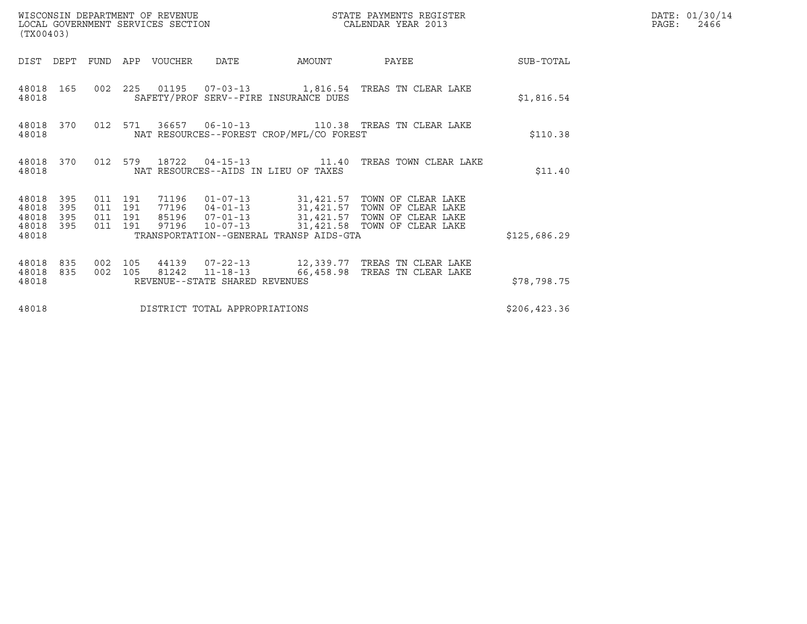| WISCONSIN DEPARTMENT OF REVENUE<br>LOCAL GOVERNMENT SERVICES SECTION<br>(TX00403) |                                          |                                |                                          | STATE PAYMENTS REGISTER<br>CALENDAR YEAR 2013                                                                                                                                      | DATE: 01/30/14<br>$\mathtt{PAGE:}$<br>2466 |  |
|-----------------------------------------------------------------------------------|------------------------------------------|--------------------------------|------------------------------------------|------------------------------------------------------------------------------------------------------------------------------------------------------------------------------------|--------------------------------------------|--|
| DIST<br>DEPT                                                                      | FUND APP VOUCHER                         | DATE                           | AMOUNT                                   | PAYEE                                                                                                                                                                              | SUB-TOTAL                                  |  |
| 48018 165<br>48018                                                                |                                          |                                | SAFETY/PROF SERV--FIRE INSURANCE DUES    | 002 225 01195 07-03-13 1,816.54 TREAS TN CLEAR LAKE                                                                                                                                | \$1,816.54                                 |  |
| 48018 370<br>48018                                                                |                                          |                                | NAT RESOURCES--FOREST CROP/MFL/CO FOREST | 012 571 36657 06-10-13 110.38 TREAS TN CLEAR LAKE                                                                                                                                  | \$110.38                                   |  |
| 48018 370<br>48018                                                                |                                          |                                | NAT RESOURCES--AIDS IN LIEU OF TAXES     | 012 579 18722 04-15-13 11.40 TREAS TOWN CLEAR LAKE                                                                                                                                 | \$11.40                                    |  |
| 48018<br>395<br>48018<br>395<br>48018<br>395<br>48018<br>395<br>48018             | 011 191<br>011 191<br>011 191<br>011 191 | 97196 10-07-13                 | TRANSPORTATION--GENERAL TRANSP AIDS-GTA  | 71196  01-07-13  31,421.57  TOWN OF CLEAR LAKE<br>77196  04-01-13  31,421.57  TOWN OF CLEAR LAKE<br>85196  07-01-13  31,421.57  TOWN OF CLEAR LAKE<br>31,421.58 TOWN OF CLEAR LAKE | \$125,686.29                               |  |
| 48018<br>835<br>48018<br>835<br>48018                                             | 002 105<br>002 105                       | REVENUE--STATE SHARED REVENUES |                                          | 81242   11-18-13   66,458.98   TREAS TN CLEAR LAKE                                                                                                                                 | \$78,798.75                                |  |
| 48018                                                                             |                                          | DISTRICT TOTAL APPROPRIATIONS  |                                          |                                                                                                                                                                                    | \$206, 423.36                              |  |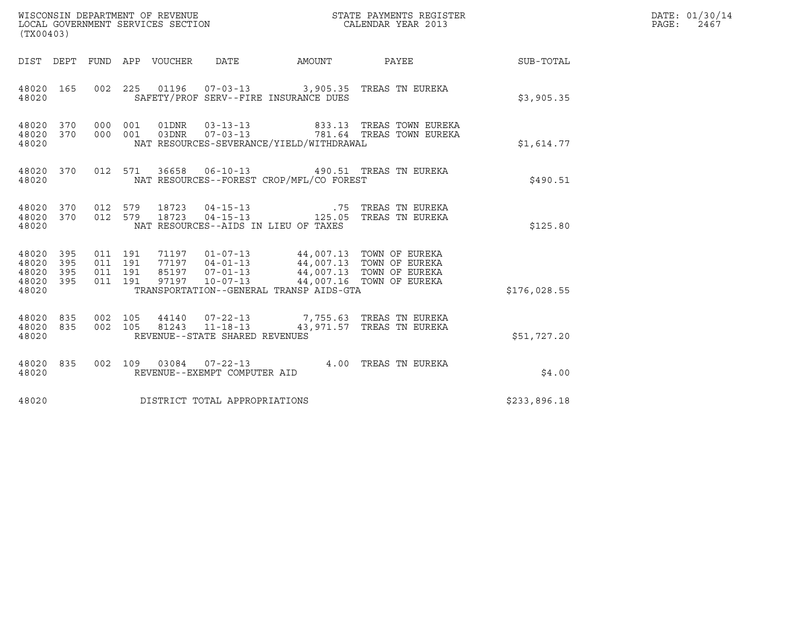| WISCONSIN DEPARTMENT OF REVENUE<br>LOCAL GOVERNMENT SERVICES SECTION<br>STATE PAYMENTS REGISTER<br>CALENDAR YEAR 2013<br>(TX00403)<br>DIST DEPT FUND APP VOUCHER DATE<br>AMOUNT<br><b>SUB-TOTAL</b><br>PAYEE<br>002  225  01196  07-03-13  3,905.35  TREAS TN EUREKA<br>48020 165<br>SAFETY/PROF SERV--FIRE INSURANCE DUES<br>\$3,905.35                                                                                                                                                           | DATE: 01/30/14<br>PAGE: 2467 |
|----------------------------------------------------------------------------------------------------------------------------------------------------------------------------------------------------------------------------------------------------------------------------------------------------------------------------------------------------------------------------------------------------------------------------------------------------------------------------------------------------|------------------------------|
|                                                                                                                                                                                                                                                                                                                                                                                                                                                                                                    |                              |
|                                                                                                                                                                                                                                                                                                                                                                                                                                                                                                    |                              |
| 48020                                                                                                                                                                                                                                                                                                                                                                                                                                                                                              |                              |
| 370 000 001<br>01DNR        03-13-13<br>833.13 TREAS TOWN EUREKA<br>48020<br>370 000 001 03DNR  07-03-13  781.64 TREAS TOWN EUREKA<br>48020<br>NAT RESOURCES-SEVERANCE/YIELD/WITHDRAWAL<br>48020<br>\$1,614.77                                                                                                                                                                                                                                                                                     |                              |
| 36658  06-10-13  490.51  TREAS TN EUREKA<br>48020 370 012 571<br>NAT RESOURCES--FOREST CROP/MFL/CO FOREST<br>48020<br>\$490.51                                                                                                                                                                                                                                                                                                                                                                     |                              |
| 48020 370 012 579 18723 04-15-13 .75 TREAS TN EUREKA<br>48020 370 012 579 18723 04-15-13 .125.05 TREAS TN EUREKA<br>48020<br>NAT RESOURCES--AIDS IN LIEU OF TAXES<br>\$125.80                                                                                                                                                                                                                                                                                                                      |                              |
| $\begin{array}{cccccc} 011 & 191 & 71197 & 01\texttt{-}07\texttt{-}13 & & 44\texttt{,}007.13 & \texttt{TOWN OF EURO} \\ 011 & 191 & 77197 & 04\texttt{-}01\texttt{-}13 & & 44\texttt{,}007.13 & \texttt{TOWN OF EURO} \\ 011 & 191 & 85197 & 07\texttt{-}01\texttt{-}13 & & 44\texttt{,}007.13 & \texttt{TOWN OF EURO} \\ 011 & 191 & 97197 & 10\texttt{-}07\$<br>48020<br>395<br>48020<br>395<br>395<br>48020<br>48020<br>395<br>TRANSPORTATION--GENERAL TRANSP AIDS-GTA<br>\$176,028.55<br>48020 |                              |
| 002 105 44140 07-22-13 7,755.63 TREAS TN EUREKA<br>48020<br>835<br>835<br>002 105 81243 11-18-13 43,971.57 TREAS TN EUREKA<br>48020<br>REVENUE--STATE SHARED REVENUES<br>48020<br>\$51,727.20                                                                                                                                                                                                                                                                                                      |                              |
| 002 109 03084 07-22-13 4.00 TREAS TN EUREKA<br>48020 835<br>\$4.00<br>48020<br>REVENUE--EXEMPT COMPUTER AID                                                                                                                                                                                                                                                                                                                                                                                        |                              |
| DISTRICT TOTAL APPROPRIATIONS<br>48020<br>\$233,896.18                                                                                                                                                                                                                                                                                                                                                                                                                                             |                              |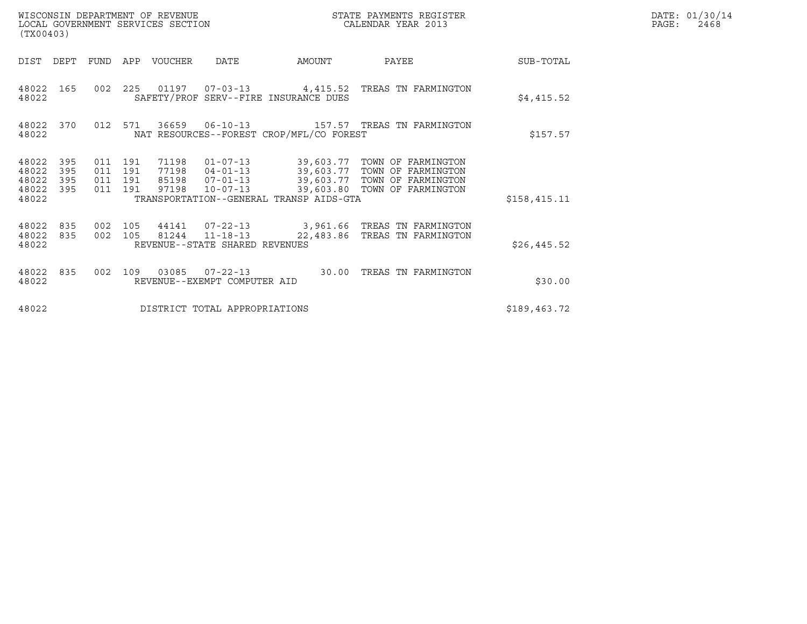| (TX00403)                                 |                          |                                      |     | WISCONSIN DEPARTMENT OF REVENUE<br>LOCAL GOVERNMENT SERVICES SECTION |                                                  |                                          | STATE PAYMENTS REGISTER<br>CALENDAR YEAR 2013                                                                                                                             | DATE: 01/30/14<br>$\mathtt{PAGE:}$<br>2468 |  |
|-------------------------------------------|--------------------------|--------------------------------------|-----|----------------------------------------------------------------------|--------------------------------------------------|------------------------------------------|---------------------------------------------------------------------------------------------------------------------------------------------------------------------------|--------------------------------------------|--|
| DIST                                      | DEPT                     | FUND                                 |     | APP VOUCHER                                                          | DATE                                             | AMOUNT                                   | PAYEE                                                                                                                                                                     | SUB-TOTAL                                  |  |
| 48022                                     | 48022 165                |                                      |     |                                                                      |                                                  | SAFETY/PROF SERV--FIRE INSURANCE DUES    | 002 225 01197 07-03-13 4,415.52 TREAS TN FARMINGTON                                                                                                                       | \$4,415.52                                 |  |
| 48022                                     | 48022 370                | 012 571                              |     |                                                                      |                                                  | NAT RESOURCES--FOREST CROP/MFL/CO FOREST |                                                                                                                                                                           | \$157.57                                   |  |
| 48022<br>48022<br>48022<br>48022<br>48022 | 395<br>395<br>395<br>395 | 011 191<br>011<br>011 191<br>011 191 | 191 | 71198<br>97198                                                       | $10 - 07 - 13$                                   | TRANSPORTATION--GENERAL TRANSP AIDS-GTA  | 01-07-13 39,603.77 TOWN OF FARMINGTON<br>77198  04-01-13  39,603.77  TOWN OF FARMINGTON<br>85198  07-01-13  39,603.77  TOWN OF FARMINGTON<br>39,603.80 TOWN OF FARMINGTON | \$158,415.11                               |  |
| 48022 835<br>48022<br>48022               | 835                      | 002 105<br>002 105                   |     |                                                                      | 81244 11-18-13<br>REVENUE--STATE SHARED REVENUES |                                          | 44141  07-22-13  3,961.66 TREAS TN FARMINGTON<br>22,483.86 TREAS TN FARMINGTON                                                                                            | \$26,445.52                                |  |
| 48022 835<br>48022                        |                          | 002                                  | 109 |                                                                      | 03085  07-22-13<br>REVENUE--EXEMPT COMPUTER AID  | 30.00                                    | TREAS TN FARMINGTON                                                                                                                                                       | \$30.00                                    |  |
| 48022                                     |                          |                                      |     |                                                                      | DISTRICT TOTAL APPROPRIATIONS                    |                                          |                                                                                                                                                                           | \$189,463.72                               |  |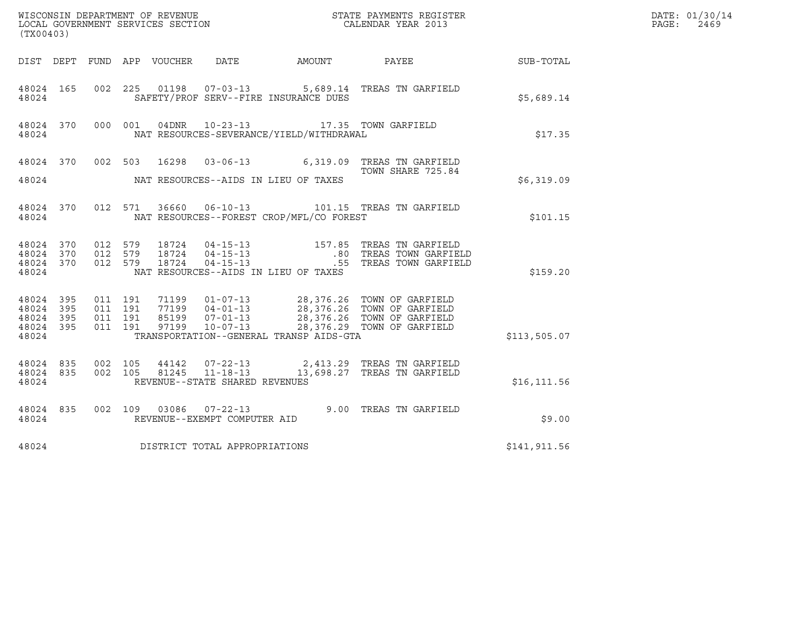|                                 |           |                                                   |  |                                | DATE: 01/30/14                                                                                   |                                                                                                                                                                                              |              |                           |
|---------------------------------|-----------|---------------------------------------------------|--|--------------------------------|--------------------------------------------------------------------------------------------------|----------------------------------------------------------------------------------------------------------------------------------------------------------------------------------------------|--------------|---------------------------|
| (TX00403)                       |           |                                                   |  |                                |                                                                                                  |                                                                                                                                                                                              |              | $\mathtt{PAGE}$ :<br>2469 |
|                                 |           |                                                   |  |                                |                                                                                                  | DIST DEPT FUND APP VOUCHER DATE AMOUNT PAYEE                                                                                                                                                 | SUB-TOTAL    |                           |
| 48024                           | 48024 165 |                                                   |  |                                | SAFETY/PROF SERV--FIRE INSURANCE DUES                                                            | 002  225  01198  07-03-13  5,689.14 TREAS TN GARFIELD                                                                                                                                        | \$5,689.14   |                           |
| 48024                           |           |                                                   |  |                                | 48024 370 000 001 04DNR 10-23-13 17.35 TOWN GARFIELD<br>NAT RESOURCES-SEVERANCE/YIELD/WITHDRAWAL |                                                                                                                                                                                              | \$17.35      |                           |
|                                 |           |                                                   |  |                                |                                                                                                  | 48024 370 002 503 16298 03-06-13 6,319.09 TREAS TN GARFIELD<br>TOWN SHARE 725.84                                                                                                             |              |                           |
|                                 |           |                                                   |  |                                | 48024 NAT RESOURCES--AIDS IN LIEU OF TAXES                                                       |                                                                                                                                                                                              | \$6,319.09   |                           |
| 48024                           |           |                                                   |  |                                | NAT RESOURCES--FOREST CROP/MFL/CO FOREST                                                         | 48024 370 012 571 36660 06-10-13 101.15 TREAS TN GARFIELD                                                                                                                                    | \$101.15     |                           |
| 48024 370<br>48024              |           | 48024 370 012 579<br>012 579<br>48024 370 012 579 |  |                                | NAT RESOURCES--AIDS IN LIEU OF TAXES                                                             | 18724   04-15-13   157.85   TREAS TN GARFIELD<br>18724   04-15-13   160   TREAS TOWN GARFIELD<br>18724   04-15-13   18724   16724   1691                                                     | \$159.20     |                           |
|                                 |           |                                                   |  |                                |                                                                                                  |                                                                                                                                                                                              |              |                           |
| 48024 395<br>48024<br>48024 395 | 395       | 011 191<br>011 191<br>011 191                     |  |                                |                                                                                                  | 71199  01-07-13  28,376.26  TOWN OF GARFIELD<br>77199  04-01-13  28,376.26  TOWN OF GARFIELD<br>85199  07-01-13  28,376.26  TOWN OF GARFIELD<br>97199  10-07-13  28,376.29  TOWN OF GARFIELD |              |                           |
| 48024                           | 48024 395 | 011 191                                           |  |                                | TRANSPORTATION--GENERAL TRANSP AIDS-GTA                                                          |                                                                                                                                                                                              | \$113,505.07 |                           |
| 48024 835<br>48024              |           | 48024 835 002 105<br>002 105                      |  | REVENUE--STATE SHARED REVENUES |                                                                                                  | 44142  07-22-13  2,413.29  TREAS TN GARFIELD<br>81245  11-18-13   13,698.27  TREAS TN GARFIELD                                                                                               | \$16, 111.56 |                           |
| 48024                           |           |                                                   |  | REVENUE--EXEMPT COMPUTER AID   |                                                                                                  | 48024 835 002 109 03086 07-22-13 9.00 TREAS TN GARFIELD<br>48024 PEVENUE--EXEMPT COMPUTER AID                                                                                                | \$9.00       |                           |
| 48024                           |           |                                                   |  | DISTRICT TOTAL APPROPRIATIONS  |                                                                                                  |                                                                                                                                                                                              | \$141,911.56 |                           |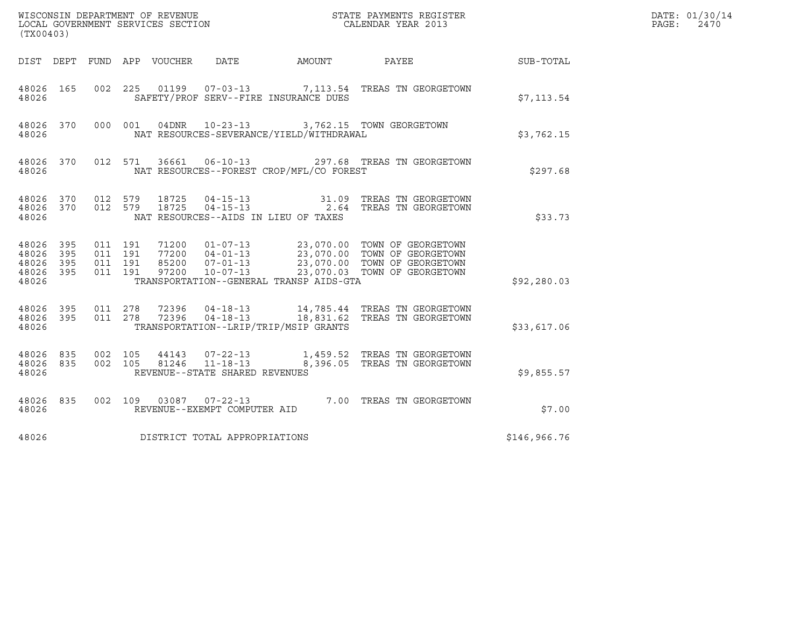| (TX00403)                                             |     |                    |                               |                                  |                                                  |                                          | $\tt WISCONSIM DEPARTMENT OF REVENUE$ $\tt WISCONBINS REGISTER$<br>LOCAL GOVERNMENT SERVICES SECTION $\tt CALENDAR YEAR$ 2013                                                                                                                                                                              |                  | DATE: 01/30/14<br>PAGE:<br>2470 |
|-------------------------------------------------------|-----|--------------------|-------------------------------|----------------------------------|--------------------------------------------------|------------------------------------------|------------------------------------------------------------------------------------------------------------------------------------------------------------------------------------------------------------------------------------------------------------------------------------------------------------|------------------|---------------------------------|
|                                                       |     |                    |                               |                                  |                                                  | DIST DEPT FUND APP VOUCHER DATE AMOUNT   | PAYEE                                                                                                                                                                                                                                                                                                      | <b>SUB-TOTAL</b> |                                 |
| 48026 165<br>48026                                    |     |                    |                               |                                  |                                                  | SAFETY/PROF SERV--FIRE INSURANCE DUES    | 002  225  01199  07-03-13  7,113.54  TREAS TN GEORGETOWN                                                                                                                                                                                                                                                   | \$7,113.54       |                                 |
| 48026 370<br>48026                                    |     |                    | 000 001                       |                                  |                                                  | NAT RESOURCES-SEVERANCE/YIELD/WITHDRAWAL | 04DNR  10-23-13  3,762.15  TOWN GEORGETOWN                                                                                                                                                                                                                                                                 | \$3,762.15       |                                 |
| 48026 370<br>48026                                    |     |                    |                               |                                  |                                                  | NAT RESOURCES--FOREST CROP/MFL/CO FOREST | 012 571 36661 06-10-13 297.68 TREAS TN GEORGETOWN                                                                                                                                                                                                                                                          | \$297.68         |                                 |
| 48026 370 012 579<br>48026                            |     |                    |                               | 18725<br>48026 370 012 579 18725 |                                                  | NAT RESOURCES--AIDS IN LIEU OF TAXES     | 04-15-13 31.09 TREAS TN GEORGETOWN<br>04-15-13 2.64 TREAS TN GEORGETOWN                                                                                                                                                                                                                                    | \$33.73          |                                 |
| 48026 395<br>48026<br>48026 395<br>48026 395<br>48026 | 395 | 011 191            | 011 191<br>011 191<br>011 191 |                                  |                                                  | TRANSPORTATION--GENERAL TRANSP AIDS-GTA  | $\begin{array}{cccc} 71200 & 01-07-13 & 23\, , 070\, .00 & \text{TOWN OF GEORGETOWN} \\ 77200 & 04-01-13 & 23\, , 070\, .00 & \text{TOWN OF GEORGETOWN} \\ 85200 & 07-01-13 & 23\, , 070\, .00 & \text{TOWN OF GEORGETOWN} \\ 97200 & 10-07-13 & 23\, , 070\, .03 & \text{TOWN OF GEORGETOWN} \end{array}$ | \$92,280.03      |                                 |
| 48026 395 011 278<br>48026 395<br>48026               |     | 011 278            |                               |                                  |                                                  | TRANSPORTATION--LRIP/TRIP/MSIP GRANTS    | 72396  04-18-13  14,785.44  TREAS TN GEORGETOWN<br>72396  04-18-13  18,831.62  TREAS TN GEORGETOWN                                                                                                                                                                                                         | \$33,617.06      |                                 |
| 48026 835<br>48026 835<br>48026                       |     | 002 105<br>002 105 |                               | 44143<br>81246                   | $11 - 18 - 13$<br>REVENUE--STATE SHARED REVENUES |                                          | 07-22-13 1,459.52 TREAS TN GEORGETOWN<br>8,396.05 TREAS TN GEORGETOWN                                                                                                                                                                                                                                      | \$9,855.57       |                                 |
| 48026 835<br>48026                                    |     |                    |                               |                                  | REVENUE--EXEMPT COMPUTER AID                     |                                          | 002 109 03087 07-22-13 7.00 TREAS TN GEORGETOWN                                                                                                                                                                                                                                                            | \$7.00           |                                 |
| 48026                                                 |     |                    |                               |                                  | DISTRICT TOTAL APPROPRIATIONS                    |                                          |                                                                                                                                                                                                                                                                                                            | \$146,966.76     |                                 |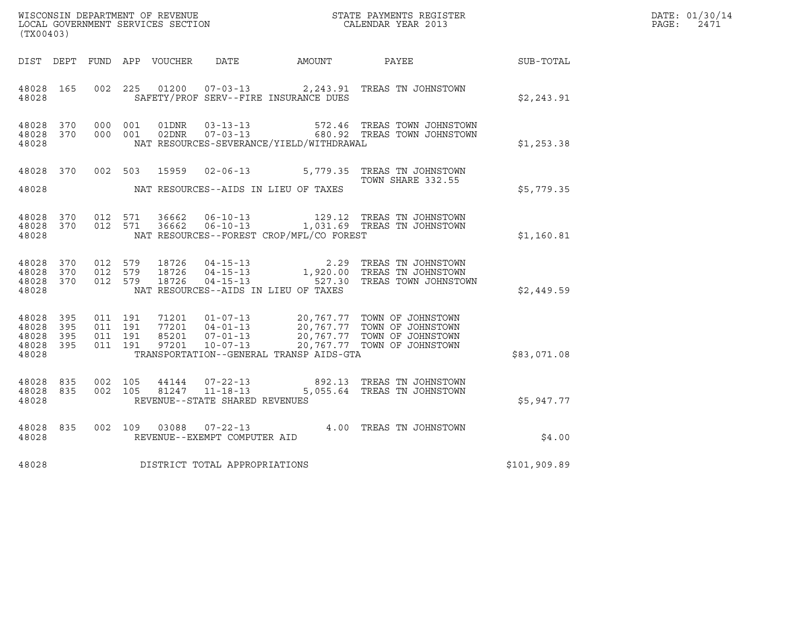|       | DATE: 01/30/14 |
|-------|----------------|
| PAGE: | 2471           |

|                                               |                   |                               |                    |       |                                                  | DATE: 01/30/14                           |                                                                                                                                                                                |              |               |
|-----------------------------------------------|-------------------|-------------------------------|--------------------|-------|--------------------------------------------------|------------------------------------------|--------------------------------------------------------------------------------------------------------------------------------------------------------------------------------|--------------|---------------|
| (TX00403)                                     |                   |                               |                    |       |                                                  |                                          | $\tt WISCONSIM DEPARTMENT OF REVENUE$ $\tt TOCALENDAR YEAR$ 2013 $\tt LOCALENDAR YEAR$ 2013                                                                                    |              | PAGE:<br>2471 |
|                                               |                   |                               |                    |       |                                                  | DIST DEPT FUND APP VOUCHER DATE AMOUNT   | <b>PAYEE</b>                                                                                                                                                                   | SUB-TOTAL    |               |
| 48028 165<br>48028                            |                   |                               | 002 225            | 01200 |                                                  | SAFETY/PROF SERV--FIRE INSURANCE DUES    | 07-03-13 2, 243.91 TREAS TN JOHNSTOWN                                                                                                                                          | \$2,243.91   |               |
| 48028 370<br>48028 370<br>48028               |                   | 000 001                       | 000 001            |       |                                                  | NAT RESOURCES-SEVERANCE/YIELD/WITHDRAWAL | 01DNR  03-13-13  572.46 TREAS TOWN JOHNSTOWN<br>02DNR  07-03-13  680.92 TREAS TOWN JOHNSTOWN                                                                                   | \$1,253.38   |               |
| 48028 370                                     |                   | 002 503                       |                    | 15959 |                                                  |                                          | 02-06-13 5,779.35 TREAS TN JOHNSTOWN<br>TOWN SHARE 332.55                                                                                                                      |              |               |
| 48028                                         |                   |                               |                    |       |                                                  | NAT RESOURCES--AIDS IN LIEU OF TAXES     |                                                                                                                                                                                | \$5,779.35   |               |
| 48028 370<br>48028                            | 48028 370         |                               | 012 571<br>012 571 |       |                                                  | NAT RESOURCES--FOREST CROP/MFL/CO FOREST |                                                                                                                                                                                | \$1,160.81   |               |
| 48028<br>48028<br>48028 370<br>48028          | 370<br>370        | 012 579<br>012 579<br>012 579 |                    |       |                                                  | NAT RESOURCES--AIDS IN LIEU OF TAXES     | 18726  04-15-13   2.29 TREAS TN JOHNSTOWN<br>18726  04-15-13   1,920.00 TREAS TN JOHNSTOWN<br>18726  04-15-13   527.30 TREAS TOWN JOHNSTOWN                                    | \$2,449.59   |               |
| 48028<br>48028<br>48028<br>48028 395<br>48028 | 395<br>395<br>395 | 011 191<br>011 191<br>011 191 | 011 191            | 97201 | $10 - 07 - 13$                                   | TRANSPORTATION--GENERAL TRANSP AIDS-GTA  | 71201  01-07-13  20,767.77  TOWN OF JOHNSTOWN<br>77201  04-01-13  20,767.77  TOWN OF JOHNSTOWN<br>85201  07-01-13  20,767.77  TOWN OF JOHNSTOWN<br>20,767.77 TOWN OF JOHNSTOWN | \$83,071.08  |               |
| 48028<br>48028 835<br>48028                   | 835               | 002 105                       | 002 105            | 44144 | 81247 11-18-13<br>REVENUE--STATE SHARED REVENUES |                                          | 07-22-13 892.13 TREAS TN JOHNSTOWN<br>5,055.64 TREAS TN JOHNSTOWN                                                                                                              | \$5,947.77   |               |
| 48028<br>48028                                | 835               |                               | 002 109            | 03088 | REVENUE--EXEMPT COMPUTER AID                     |                                          | 07-22-13 4.00 TREAS TN JOHNSTOWN                                                                                                                                               | \$4.00       |               |
| 48028                                         |                   |                               |                    |       | DISTRICT TOTAL APPROPRIATIONS                    |                                          |                                                                                                                                                                                | \$101,909.89 |               |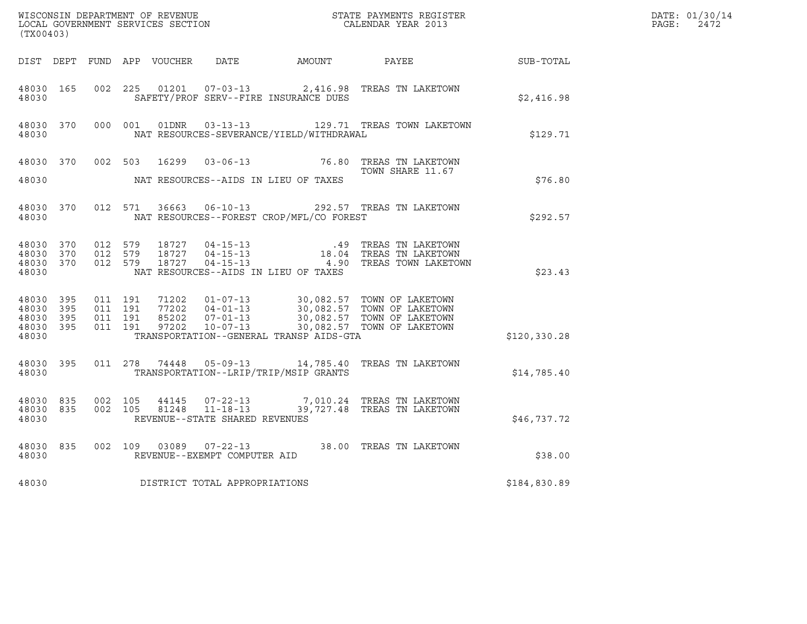| $\tt WISCONSIM DEPARTMENT OF REVENUE$ $\tt TOCAL EONDRNENTS REGISTER$<br>LOCAL GOVERNMENT SERVICES SECTION<br>$\tt CALENDAR YEAR$<br>2013<br>(TX00403) |  |                                         |                               |  |                                |                                          |                                                                                               |              | DATE: 01/30/14<br>PAGE:<br>2472 |
|--------------------------------------------------------------------------------------------------------------------------------------------------------|--|-----------------------------------------|-------------------------------|--|--------------------------------|------------------------------------------|-----------------------------------------------------------------------------------------------|--------------|---------------------------------|
|                                                                                                                                                        |  |                                         |                               |  |                                |                                          | DIST DEPT FUND APP VOUCHER DATE AMOUNT PAYEE SUB-TOTAL                                        |              |                                 |
| 48030 165<br>48030                                                                                                                                     |  | 002 225                                 |                               |  |                                | SAFETY/PROF SERV--FIRE INSURANCE DUES    | 01201  07-03-13  2,416.98 TREAS TN LAKETOWN                                                   | \$2,416.98   |                                 |
| 48030 370<br>48030                                                                                                                                     |  |                                         | 000 001                       |  |                                | NAT RESOURCES-SEVERANCE/YIELD/WITHDRAWAL | 01DNR  03-13-13    129.71 TREAS TOWN LAKETOWN                                                 | \$129.71     |                                 |
|                                                                                                                                                        |  |                                         |                               |  |                                |                                          | 48030 370 002 503 16299 03-06-13 76.80 TREAS TN LAKETOWN<br>TOWN SHARE 11.67                  |              |                                 |
| 48030                                                                                                                                                  |  |                                         |                               |  |                                | NAT RESOURCES--AIDS IN LIEU OF TAXES     |                                                                                               | \$76.80      |                                 |
| 48030                                                                                                                                                  |  | 48030 370 012 571                       |                               |  |                                | NAT RESOURCES--FOREST CROP/MFL/CO FOREST | 36663  06-10-13  292.57  TREAS TN LAKETOWN                                                    | \$292.57     |                                 |
| 48030 370<br>48030 370<br>48030                                                                                                                        |  | 48030 370 012 579<br>012 579<br>012 579 |                               |  |                                | NAT RESOURCES--AIDS IN LIEU OF TAXES     |                                                                                               | \$23.43      |                                 |
| 48030 395<br>48030 395<br>48030 395<br>48030 395<br>48030                                                                                              |  | 011 191                                 | 011 191<br>011 191<br>011 191 |  |                                | TRANSPORTATION--GENERAL TRANSP AIDS-GTA  |                                                                                               | \$120,330.28 |                                 |
| 48030 395<br>48030                                                                                                                                     |  |                                         |                               |  |                                | TRANSPORTATION--LRIP/TRIP/MSIP GRANTS    | 011  278  74448  05-09-13  14,785.40  TREAS TN LAKETOWN                                       | \$14,785.40  |                                 |
| 48030 835<br>48030                                                                                                                                     |  | 48030 835 002 105                       | 002 105                       |  | REVENUE--STATE SHARED REVENUES |                                          | 44145  07-22-13  7,010.24  TREAS TN LAKETOWN<br>81248  11-18-13  39,727.48  TREAS TN LAKETOWN | \$46,737.72  |                                 |
| 48030 835<br>48030                                                                                                                                     |  |                                         |                               |  | REVENUE--EXEMPT COMPUTER AID   |                                          | 002 109 03089 07-22-13 38.00 TREAS TN LAKETOWN                                                | \$38.00      |                                 |
| 48030                                                                                                                                                  |  |                                         |                               |  | DISTRICT TOTAL APPROPRIATIONS  |                                          |                                                                                               | \$184,830.89 |                                 |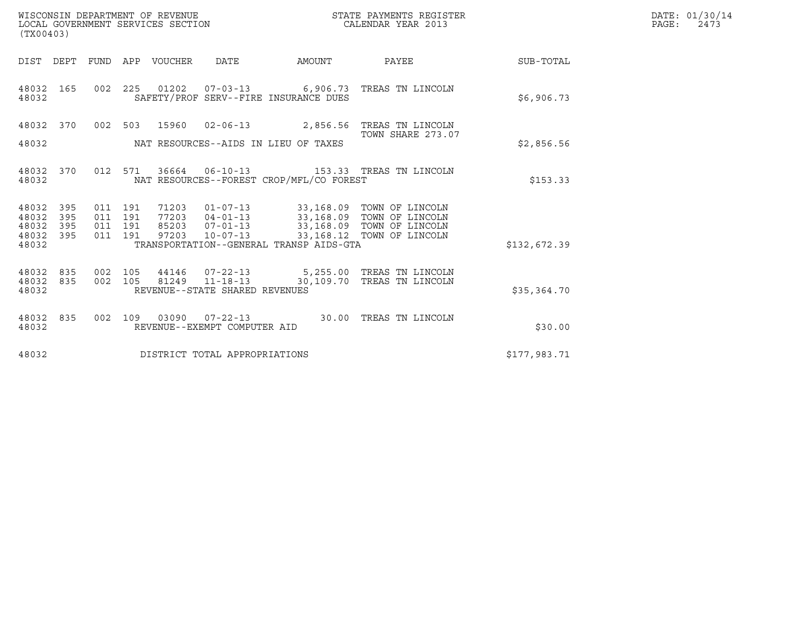| (TX00403)                                                    | WISCONSIN DEPARTMENT OF REVENUE<br>LOCAL GOVERNMENT SERVICES SECTION            |                                                                                                                              |        | STATE PAYMENTS REGISTER<br>CALENDAR YEAR 2013                                       |              | DATE: 01/30/14<br>PAGE:<br>2473 |
|--------------------------------------------------------------|---------------------------------------------------------------------------------|------------------------------------------------------------------------------------------------------------------------------|--------|-------------------------------------------------------------------------------------|--------------|---------------------------------|
| DIST DEPT                                                    | FUND APP VOUCHER                                                                | <b>DATE</b>                                                                                                                  | AMOUNT | PAYEE                                                                               | SUB-TOTAL    |                                 |
| 48032 165<br>48032                                           | 002 225                                                                         | 01202  07-03-13  6,906.73  TREAS TN LINCOLN<br>SAFETY/PROF SERV--FIRE INSURANCE DUES                                         |        |                                                                                     | \$6,906.73   |                                 |
| 48032 370                                                    | 002 503 15960 02-06-13 2,856.56 TREAS TN LINCOLN                                |                                                                                                                              |        |                                                                                     |              |                                 |
| 48032                                                        |                                                                                 | NAT RESOURCES--AIDS IN LIEU OF TAXES                                                                                         |        | TOWN SHARE 273.07                                                                   | \$2,856.56   |                                 |
| 48032 370<br>48032                                           | 012 571                                                                         | NAT RESOURCES--FOREST CROP/MFL/CO FOREST                                                                                     |        |                                                                                     | \$153.33     |                                 |
| 48032<br>395<br>48032<br>395<br>48032<br>395<br>48032<br>395 | 011 191<br>71203<br>011 191<br>77203<br>191<br>85203<br>011<br>011 191<br>97203 | 01-07-13 33,168.09 TOWN OF LINCOLN<br>$04 - 01 - 13$<br>$07 - 01 - 13$<br>$10 - 07 - 13$                                     |        | 33,168.09 TOWN OF LINCOLN<br>33,168.09 TOWN OF LINCOLN<br>33,168.12 TOWN OF LINCOLN |              |                                 |
| 48032                                                        |                                                                                 | TRANSPORTATION--GENERAL TRANSP AIDS-GTA                                                                                      |        |                                                                                     | \$132,672.39 |                                 |
| 48032<br>835<br>48032 835<br>48032                           | 002<br>105<br>002 105                                                           | 44146  07-22-13  5,255.00 TREAS TN LINCOLN<br>81249  11-18-13  30,109.70  TREAS TN LINCOLN<br>REVENUE--STATE SHARED REVENUES |        |                                                                                     | \$35,364.70  |                                 |
| 48032 835<br>48032                                           | 002 109                                                                         | 03090  07-22-13  30.00 TREAS TN LINCOLN<br>REVENUE--EXEMPT COMPUTER AID                                                      |        |                                                                                     | \$30.00      |                                 |
| 48032                                                        | DISTRICT TOTAL APPROPRIATIONS                                                   |                                                                                                                              |        |                                                                                     | \$177,983.71 |                                 |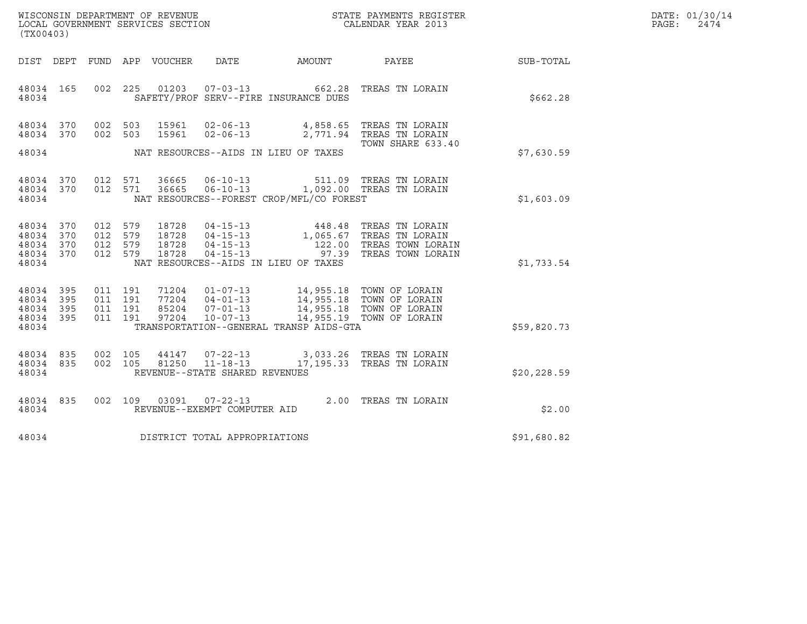| WISCONSIN DEPARTMENT OF REVENUE<br>LOCAL GOVERNMENT SERVICES SECTION | STATE PAYMENTS REGISTER<br>CALENDAR YEAR 2013 | DATE: 01/30/14<br>PAGE:<br>2474 |
|----------------------------------------------------------------------|-----------------------------------------------|---------------------------------|

| WISCONSIN DEPARTMENT OF REVENUE<br>LOCAL GOVERNMENT SERVICES SECTION THE CONFIDENT STATE PAYMENTS REGISTER<br>(TWOOACO)<br>(TX00403) |  |  |  |  |                                      |                                                |                                                                                                                                                                                                                                                                                                       |                                                              | DATE: 01/30/14<br>PAGE: 2474 |
|--------------------------------------------------------------------------------------------------------------------------------------|--|--|--|--|--------------------------------------|------------------------------------------------|-------------------------------------------------------------------------------------------------------------------------------------------------------------------------------------------------------------------------------------------------------------------------------------------------------|--------------------------------------------------------------|------------------------------|
|                                                                                                                                      |  |  |  |  |                                      |                                                |                                                                                                                                                                                                                                                                                                       | DIST DEPT FUND APP VOUCHER DATE AMOUNT PAYEE PAYER SUB-TOTAL |                              |
|                                                                                                                                      |  |  |  |  |                                      | 48034 SAFETY/PROF SERV--FIRE INSURANCE DUES    | 48034 165 002 225 01203 07-03-13 662.28 TREAS TN LORAIN                                                                                                                                                                                                                                               | \$662.28                                                     |                              |
|                                                                                                                                      |  |  |  |  |                                      |                                                | $\begin{array}{cccc} 4\,8\,0\,3\,4 & 3\,7\,0 & 0\,0\,2 & 5\,0\,3 & 1\,5\,9\,6\,1 & 0\,2\, -\,0\,6\, -\,1\,3 & 4\,,\,8\,5\,8\,. \,6\,5 & \text{TREAS TN LORAIN} \\ 4\,8\,0\,3\,4 & 3\,7\,0 & 0\,0\,2 & 5\,0\,3 & 1\,5\,9\,6\,1 & 0\,2\, -\,0\,6\, -\,1\,3 & 2\,,\,7\,7\,1\,. \,9$<br>TOWN SHARE 633.40 |                                                              |                              |
|                                                                                                                                      |  |  |  |  |                                      | 48034 NAT RESOURCES--AIDS IN LIEU OF TAXES     |                                                                                                                                                                                                                                                                                                       | \$7,630.59                                                   |                              |
|                                                                                                                                      |  |  |  |  |                                      | 48034 NAT RESOURCES--FOREST CROP/MFL/CO FOREST | $\begin{array}{cccccccc} 4\,8\,0\,3\,4 & 3\,7\,0 & 0\,1\,2 & 5\,7\,1 & 3\,6\,6\,6\,5 & 0\,6\,-\,1\,0\,-\,1\,3 & 5\,1\,1\,.0\,9 & \text{TREAS TN LORAIN} \\ 4\,8\,0\,3\,4 & 3\,7\,0 & 0\,1\,2 & 5\,7\,1 & 3\,6\,6\,6\,5 & 0\,6\,-\,1\,0\,-\,1\,3 & 1\,,\,0\,9\,2\,.0\,0 & \text{TREAS TN LOR$          | \$1,603.09                                                   |                              |
| 48034 370<br>48034 370<br>48034 370<br>48034 370<br>48034                                                                            |  |  |  |  |                                      | NAT RESOURCES--AIDS IN LIEU OF TAXES           | 012 579 18728 04-15-13 448.48 TREAS TN LORAIN<br>012 579 18728 04-15-13 1,065.67 TREAS TN LORAIN<br>012 579 18728 04-15-13 122.00 TREAS TOWN LORAIN<br>012 579 18728 04-15-13 97.39 TREAS TOWN LORAIN                                                                                                 | \$1,733.54                                                   |                              |
| 48034 395<br>48034 395<br>48034 395<br>48034 395                                                                                     |  |  |  |  |                                      | 48034 TRANSPORTATION--GENERAL TRANSP AIDS-GTA  | 011 191 71204 01-07-13 14,955.18 TOWN OF LORAIN<br>011 191 77204 04-01-13 14,955.18 TOWN OF LORAIN<br>011 191 85204 07-01-13 14,955.18 TOWN OF LORAIN<br>011 191 97204 10-07-13 14,955.19 TOWN OF LORAIN                                                                                              | \$59,820.73                                                  |                              |
|                                                                                                                                      |  |  |  |  | 48034 REVENUE--STATE SHARED REVENUES |                                                | $\begin{array}{cccccccc} 4\,8\,0\,3\,4 & 8\,3\,5 & 0\,0\,2 & 1\,0\,5 & 4\,4\,1\,4\,7 & 0\,7\,-2\,2\,-1\,3 & 3\,,0\,3\,3\,.2\,6 & \text{TREAS TN LORAIN} \\ 4\,8\,0\,3\,4 & 8\,3\,5 & 0\,0\,2 & 1\,0\,5 & 8\,1\,2\,5\,0 & 11\,-1\,8\,-\,1\,3 & 1\,7\,,\,1\,9\,5\,.3\,3 & \text{TREAS TN LORAIN}$       | \$20,228.59                                                  |                              |
|                                                                                                                                      |  |  |  |  |                                      |                                                | $\begin{tabular}{lllllll} 48034 & 835 & 002 & 109 & 03091 & 07-22-13 & & 2.00 \end{tabular} \begin{tabular}{lllll} \bf 48034 & 835 & 002 & 109 & 03091 & 07-22-13 & & 2.00 \end{tabular}$                                                                                                             | \$2.00                                                       |                              |
|                                                                                                                                      |  |  |  |  | 48034 DISTRICT TOTAL APPROPRIATIONS  |                                                |                                                                                                                                                                                                                                                                                                       | \$91,680.82                                                  |                              |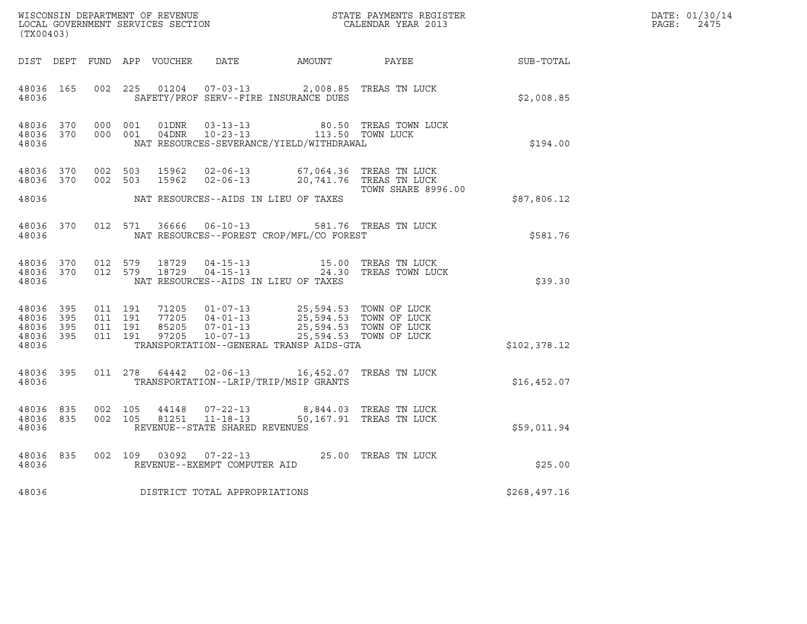| $\tt WISCONSIM DEPARTMENT OF REVENUE$ $\tt WISCONSIMENT$ SERVICES SECTION $\tt CALENDAR YEAR$ 2013<br>(TX00403) |  |                                                                                                                |         |  |                                |                                                                                                                                                                                                                                                                                    |                                                                                                                                                                                                                                                                                            |              | DATE: 01/30/14<br>$\mathtt{PAGE:}$<br>2475 |
|-----------------------------------------------------------------------------------------------------------------|--|----------------------------------------------------------------------------------------------------------------|---------|--|--------------------------------|------------------------------------------------------------------------------------------------------------------------------------------------------------------------------------------------------------------------------------------------------------------------------------|--------------------------------------------------------------------------------------------------------------------------------------------------------------------------------------------------------------------------------------------------------------------------------------------|--------------|--------------------------------------------|
|                                                                                                                 |  |                                                                                                                |         |  |                                |                                                                                                                                                                                                                                                                                    | DIST DEPT FUND APP VOUCHER DATE AMOUNT PAYEE SUB-TOTAL                                                                                                                                                                                                                                     |              |                                            |
| 48036                                                                                                           |  |                                                                                                                |         |  |                                | 48036 165 002 225 01204 07-03-13 2,008.85 TREAS TN LUCK<br>SAFETY/PROF SERV--FIRE INSURANCE DUES                                                                                                                                                                                   |                                                                                                                                                                                                                                                                                            | \$2,008.85   |                                            |
| 48036 370<br>48036                                                                                              |  | 48036 370 000 001                                                                                              | 000 001 |  |                                | NAT RESOURCES-SEVERANCE/YIELD/WITHDRAWAL                                                                                                                                                                                                                                           | $\begin{tabular}{lllllllllll} 01\text{DNR} & 03-13-13 & & 80.50 & \text{TREAS} & \text{TOWN} & \text{LUCK} \\ 04\text{DNR} & 10-23-13 & & 113.50 & \text{TOWN} & \text{LUCK} \end{tabular}$                                                                                                | \$194.00     |                                            |
|                                                                                                                 |  |                                                                                                                |         |  |                                | 48036 370 002 503 15962 02-06-13 67,064.36 TREAS TN LUCK<br>48036 370 002 503 15962 02-06-13 20,741.76 TREAS TN LUCK<br>48036 MAT RESOURCES--AIDS IN LIEU OF TAXES                                                                                                                 | <b>TOWN SHARE 8996.00</b>                                                                                                                                                                                                                                                                  | \$87,806.12  |                                            |
| 48036                                                                                                           |  |                                                                                                                |         |  |                                | 48036 370 012 571 36666 06-10-13 581.76 TREAS TN LUCK<br>NAT RESOURCES--FOREST CROP/MFL/CO FOREST                                                                                                                                                                                  |                                                                                                                                                                                                                                                                                            | \$581.76     |                                            |
| 48036                                                                                                           |  |                                                                                                                |         |  |                                | NAT RESOURCES--AIDS IN LIEU OF TAXES                                                                                                                                                                                                                                               | $\begin{array}{cccccc} 4\,8\,0\,3\,6 & 3\,7\,0 & 0\,1\,2 & 5\,7\,9 & 1\,8\,7\,2\,9 & 0\,4\,-1\,5\,-1\,3 & & & & 15\,.0\,0 & \text{TREAS TN LUCK} \\ 4\,8\,0\,3\,6 & 3\,7\,0 & 0\,1\,2 & 5\,7\,9 & 1\,8\,7\,2\,9 & 0\,4\,-1\,5\,-1\,3 & & & 24\,.3\,0 & \text{TREAS TOWN LUCK} \end{array}$ | \$39.30      |                                            |
| 48036                                                                                                           |  |                                                                                                                |         |  |                                | 48036 395 011 191 71205 01-07-13 25,594.53 TOWN OF LUCK<br>48036 395 011 191 77205 04-01-13 25,594.53 TOWN OF LUCK<br>48036 395 011 191 85205 07-01-13 25,594.53 TOWN OF LUCK<br>48036 395 011 191 97205 10-07-13 25,594.53 TOWN OF LUC<br>TRANSPORTATION--GENERAL TRANSP AIDS-GTA |                                                                                                                                                                                                                                                                                            | \$102,378.12 |                                            |
| 48036 395                                                                                                       |  | 48036 and 1800 and 1800 and 1800 and 1800 and 1800 and 1800 and 1800 and 1800 and 1800 and 1800 and 1800 and 1 |         |  |                                | 011 278 64442 02-06-13 16,452.07 TREAS TN LUCK<br>TRANSPORTATION--LRIP/TRIP/MSIP GRANTS                                                                                                                                                                                            |                                                                                                                                                                                                                                                                                            | \$16,452.07  |                                            |
| 48036 835<br>48036                                                                                              |  | 48036 835 002 105                                                                                              | 002 105 |  | REVENUE--STATE SHARED REVENUES | $\begin{array}{cccc} 44148 & 07-22-13 & & 8,844.03 & \text{TREAS TN LUCK} \\ 81251 & 11-18-13 & & 50,167.91 & \text{TREAS TN LUCK} \end{array}$                                                                                                                                    |                                                                                                                                                                                                                                                                                            | \$59,011.94  |                                            |
| 48036                                                                                                           |  |                                                                                                                |         |  | REVENUE--EXEMPT COMPUTER AID   | 48036 835 002 109 03092 07-22-13 25.00 TREAS TN LUCK                                                                                                                                                                                                                               |                                                                                                                                                                                                                                                                                            | \$25.00      |                                            |
| 48036                                                                                                           |  |                                                                                                                |         |  | DISTRICT TOTAL APPROPRIATIONS  |                                                                                                                                                                                                                                                                                    |                                                                                                                                                                                                                                                                                            | \$268,497.16 |                                            |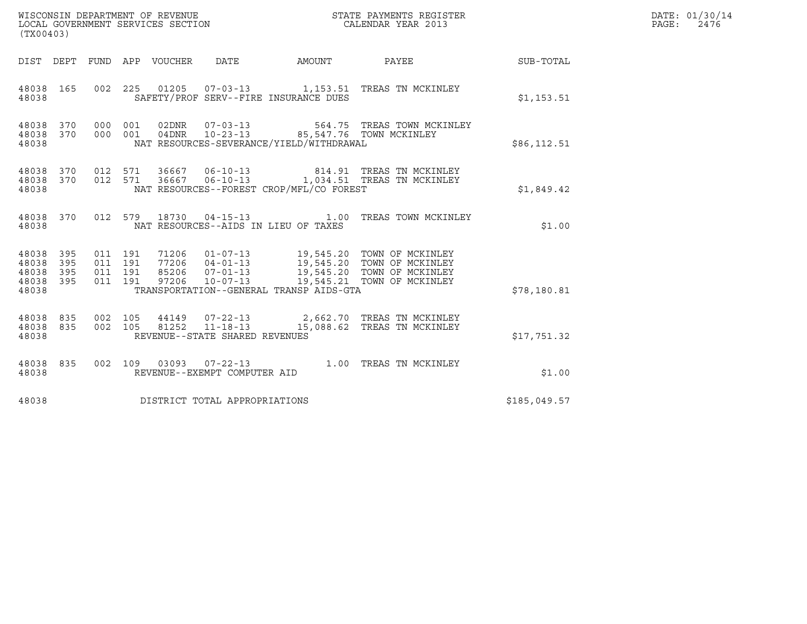| WISCONSIN DEPARTMENT OF REVENUE<br>LOCAL GOVERNMENT SERVICES SECTION<br>(TX00403) |                          |                                          |     |                                 |                                |                                                                                       | STATE PAYMENTS REGISTER<br>CALENDAR YEAR 2013                                                                                                                                            |              | DATE: 01/30/14<br>PAGE: 2476 |
|-----------------------------------------------------------------------------------|--------------------------|------------------------------------------|-----|---------------------------------|--------------------------------|---------------------------------------------------------------------------------------|------------------------------------------------------------------------------------------------------------------------------------------------------------------------------------------|--------------|------------------------------|
|                                                                                   |                          |                                          |     | DIST DEPT FUND APP VOUCHER DATE |                                |                                                                                       | AMOUNT PAYEE SUB-TOTAL                                                                                                                                                                   |              |                              |
| 48038 165<br>48038                                                                |                          |                                          |     |                                 |                                | SAFETY/PROF SERV--FIRE INSURANCE DUES                                                 | 002 225 01205 07-03-13 1,153.51 TREAS TN MCKINLEY                                                                                                                                        | \$1,153.51   |                              |
| 48038<br>48038<br>48038                                                           | 370                      | 370 000<br>000 001                       | 001 |                                 |                                | 04DNR  10-23-13  85,547.76  TOWN MCKINLEY<br>NAT RESOURCES-SEVERANCE/YIELD/WITHDRAWAL | 02DNR  07-03-13  564.75 TREAS TOWN MCKINLEY                                                                                                                                              | \$86, 112.51 |                              |
| 48038<br>48038 370<br>48038                                                       |                          |                                          |     |                                 |                                | NAT RESOURCES--FOREST CROP/MFL/CO FOREST                                              | 370  012  571  36667  06-10-13  814.91  TREAS TN MCKINLEY<br>012 571 36667 06-10-13 1,034.51 TREAS TN MCKINLEY                                                                           | \$1,849.42   |                              |
| 48038 370<br>48038                                                                |                          |                                          |     |                                 |                                | NAT RESOURCES--AIDS IN LIEU OF TAXES                                                  | 012 579 18730 04-15-13 1.00 TREAS TOWN MCKINLEY                                                                                                                                          | \$1.00       |                              |
| 48038<br>48038<br>48038<br>48038<br>48038                                         | 395<br>395<br>395<br>395 | 011 191<br>011 191<br>011 191<br>011 191 |     |                                 |                                | TRANSPORTATION--GENERAL TRANSP AIDS-GTA                                               | 71206  01-07-13  19,545.20 TOWN OF MCKINLEY<br>77206  04-01-13  19,545.20 TOWN OF MCKINLEY<br>85206  07-01-13  19,545.20 TOWN OF MCKINLEY<br>97206  10-07-13  19,545.21 TOWN OF MCKINLEY | \$78,180.81  |                              |
| 48038<br>48038<br>48038                                                           | 835<br>835               | 002 105                                  |     |                                 | REVENUE--STATE SHARED REVENUES |                                                                                       | 44149  07-22-13  2,662.70  TREAS TN MCKINLEY<br>002 105 81252 11-18-13 15,088.62 TREAS TN MCKINLEY                                                                                       | \$17,751.32  |                              |
| 48038<br>48038                                                                    | 835                      |                                          |     |                                 | REVENUE--EXEMPT COMPUTER AID   |                                                                                       | 002 109 03093 07-22-13 1.00 TREAS TN MCKINLEY                                                                                                                                            | \$1.00       |                              |
| 48038                                                                             |                          |                                          |     |                                 | DISTRICT TOTAL APPROPRIATIONS  |                                                                                       |                                                                                                                                                                                          | \$185,049.57 |                              |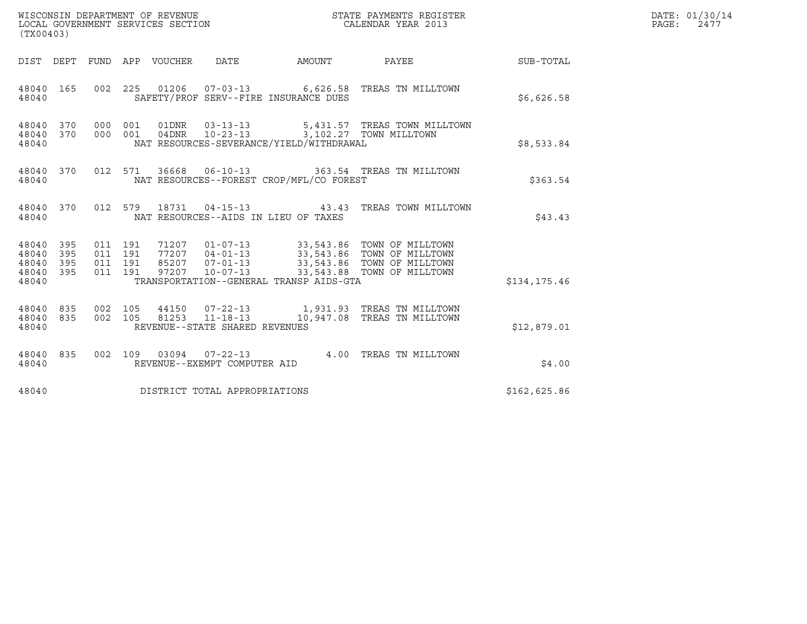| WISCONSIN DEPARTMENT OF REVENUE   | STATE PAYMENTS REGISTER | DATE: 01/30/14 |
|-----------------------------------|-------------------------|----------------|
| LOCAL GOVERNMENT SERVICES SECTION | CALENDAR YEAR 2013      | PAGE:<br>2477  |

| (TX00403)                                                                                                                                                                                                                                                                                                                   |                              | DATE: 01/30/14<br>PAGE:<br>2477 |  |
|-----------------------------------------------------------------------------------------------------------------------------------------------------------------------------------------------------------------------------------------------------------------------------------------------------------------------------|------------------------------|---------------------------------|--|
| DIST DEPT FUND APP VOUCHER DATE AMOUNT PAYEE                                                                                                                                                                                                                                                                                |                              | SUB-TOTAL                       |  |
| 48040 165 002 225 01206 07-03-13 6,626.58 TREAS TN MILLTOWN<br>SAFETY/PROF SERV--FIRE INSURANCE DUES<br>48040                                                                                                                                                                                                               |                              | \$6,626.58                      |  |
| 48040 370<br>000  001  01DNR  03-13-13<br>000 001 04DNR 10-23-13 3,102.27 TOWN MILLTOWN<br>48040 370<br>NAT RESOURCES-SEVERANCE/YIELD/WITHDRAWAL<br>48040                                                                                                                                                                   | 5,431.57 TREAS TOWN MILLTOWN | \$8,533.84                      |  |
| 012 571 36668 06-10-13 363.54 TREAS TN MILLTOWN<br>48040 370<br>NAT RESOURCES--FOREST CROP/MFL/CO FOREST<br>48040                                                                                                                                                                                                           |                              | \$363.54                        |  |
| 012 579 18731 04-15-13 43.43 TREAS TOWN MILLTOWN<br>48040 370<br>NAT RESOURCES--AIDS IN LIEU OF TAXES<br>48040                                                                                                                                                                                                              |                              | \$43.43                         |  |
| 011 191 71207 01-07-13 33,543.86 TOWN OF MILLTOWN<br>011 191 77207 04-01-13 33,543.86 TOWN OF MILLTOWN<br>011 191 85207 07-01-13 33,543.86 TOWN OF MILLTOWN<br>011 191 97207 10-07-13 33,543.88 TOWN OF MILLTOWN<br>48040 395<br>48040<br>395<br>48040 395<br>48040 395<br>TRANSPORTATION--GENERAL TRANSP AIDS-GTA<br>48040 |                              | \$134,175.46                    |  |
| 002 105  44150  07-22-13   1,931.93  TREAS TN MILLTOWN   002 105  81253  11-18-13   10,947.08  TREAS TN MILLTOWN<br>48040 835<br>48040 835<br>REVENUE--STATE SHARED REVENUES<br>48040                                                                                                                                       |                              | \$12,879.01                     |  |
| 002 109 03094 07-22-13 4.00 TREAS TN MILLTOWN<br>48040<br>835<br>REVENUE--EXEMPT COMPUTER AID<br>48040                                                                                                                                                                                                                      |                              | \$4.00                          |  |
| 48040<br>DISTRICT TOTAL APPROPRIATIONS                                                                                                                                                                                                                                                                                      |                              | \$162,625.86                    |  |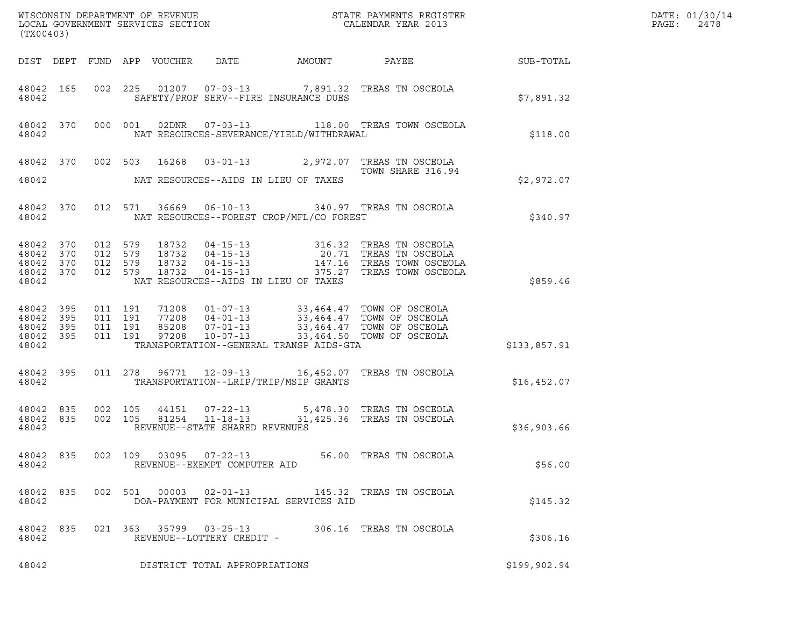| $\tt WISCONSIM DEPARTMENT OF REVENUE$ $\tt WISCONSIMENTS REGISTER$<br>LOCAL GOVERNMENT SERVICES SECTION $\tt CALENDAR YEAR$ 2013<br>(TX00403) |            |                    |                                          |  |                                                     |                                          |                                                                                                                                                                                          |  |                  | DATE: 01/30/14<br>PAGE:<br>2478 |
|-----------------------------------------------------------------------------------------------------------------------------------------------|------------|--------------------|------------------------------------------|--|-----------------------------------------------------|------------------------------------------|------------------------------------------------------------------------------------------------------------------------------------------------------------------------------------------|--|------------------|---------------------------------|
|                                                                                                                                               |            |                    | DIST DEPT FUND APP VOUCHER               |  | DATE                                                | AMOUNT                                   | PAYEE                                                                                                                                                                                    |  | <b>SUB-TOTAL</b> |                                 |
| 48042 165<br>48042                                                                                                                            |            |                    |                                          |  |                                                     | SAFETY/PROF SERV--FIRE INSURANCE DUES    | 002 225 01207 07-03-13 7,891.32 TREAS TN OSCEOLA                                                                                                                                         |  | \$7,891.32       |                                 |
| 48042 370<br>48042                                                                                                                            |            |                    | 000 001                                  |  |                                                     | NAT RESOURCES-SEVERANCE/YIELD/WITHDRAWAL | 02DNR  07-03-13   118.00 TREAS TOWN OSCEOLA                                                                                                                                              |  | \$118.00         |                                 |
|                                                                                                                                               |            |                    |                                          |  |                                                     |                                          | 48042 370 002 503 16268 03-01-13 2,972.07 TREAS TN OSCEOLA<br>TOWN SHARE 316.94                                                                                                          |  |                  |                                 |
| 48042                                                                                                                                         |            |                    |                                          |  |                                                     | NAT RESOURCES--AIDS IN LIEU OF TAXES     |                                                                                                                                                                                          |  | \$2,972.07       |                                 |
| 48042 370<br>48042                                                                                                                            |            |                    |                                          |  |                                                     | NAT RESOURCES--FOREST CROP/MFL/CO FOREST | 012 571 36669 06-10-13 340.97 TREAS TN OSCEOLA                                                                                                                                           |  | \$340.97         |                                 |
| 48042<br>48042 370<br>48042<br>48042 370<br>48042                                                                                             | 370<br>370 | 012 579<br>012 579 | 012 579<br>012 579                       |  |                                                     | NAT RESOURCES--AIDS IN LIEU OF TAXES     | 18732  04-15-13  316.32  TREAS TN OSCEOLA<br>18732  04-15-13  20.71  TREAS TN OSCEOLA<br>18732  04-15-13  147.16  TREAS TOWN OSCEOLA<br>18732  04-15-13  375.27  TREAS TOWN OSCEOLA      |  | \$859.46         |                                 |
| 48042 395<br>48042<br>48042 395<br>48042 395<br>48042                                                                                         | 395        |                    | 011 191<br>011 191<br>011 191<br>011 191 |  |                                                     | TRANSPORTATION--GENERAL TRANSP AIDS-GTA  | 71208  01-07-13  33,464.47  TOWN OF OSCEOLA<br>77208  04-01-13  33,464.47  TOWN OF OSCEOLA<br>85208  07-01-13  33,464.47  TOWN OF OSCEOLA<br>97208  10-07-13  33,464.50  TOWN OF OSCEOLA |  | \$133,857.91     |                                 |
| 48042 395<br>48042                                                                                                                            |            |                    | 011 278                                  |  |                                                     | TRANSPORTATION--LRIP/TRIP/MSIP GRANTS    | 96771  12-09-13   16,452.07   TREAS TN OSCEOLA                                                                                                                                           |  | \$16,452.07      |                                 |
| 48042 835<br>48042 835<br>48042                                                                                                               |            |                    | 002 105<br>002 105                       |  | REVENUE--STATE SHARED REVENUES                      |                                          | 44151  07-22-13  5,478.30 TREAS TN OSCEOLA<br>81254  11-18-13  31,425.36  TREAS TN OSCEOLA                                                                                               |  | \$36,903.66      |                                 |
| 48042 835<br>48042                                                                                                                            |            |                    |                                          |  | REVENUE--EXEMPT COMPUTER AID                        |                                          | 002 109 03095 07-22-13 56.00 TREAS TN OSCEOLA                                                                                                                                            |  | \$56.00          |                                 |
| 48042 835<br>48042                                                                                                                            |            |                    |                                          |  | 002 501 00003 02-01-13                              | DOA-PAYMENT FOR MUNICIPAL SERVICES AID   | 145.32 TREAS TN OSCEOLA                                                                                                                                                                  |  | \$145.32         |                                 |
| 48042 835<br>48042                                                                                                                            |            |                    |                                          |  | 021 363 35799 03-25-13<br>REVENUE--LOTTERY CREDIT - |                                          | 306.16 TREAS TN OSCEOLA                                                                                                                                                                  |  | \$306.16         |                                 |
| 48042                                                                                                                                         |            |                    |                                          |  | DISTRICT TOTAL APPROPRIATIONS                       |                                          |                                                                                                                                                                                          |  | \$199,902.94     |                                 |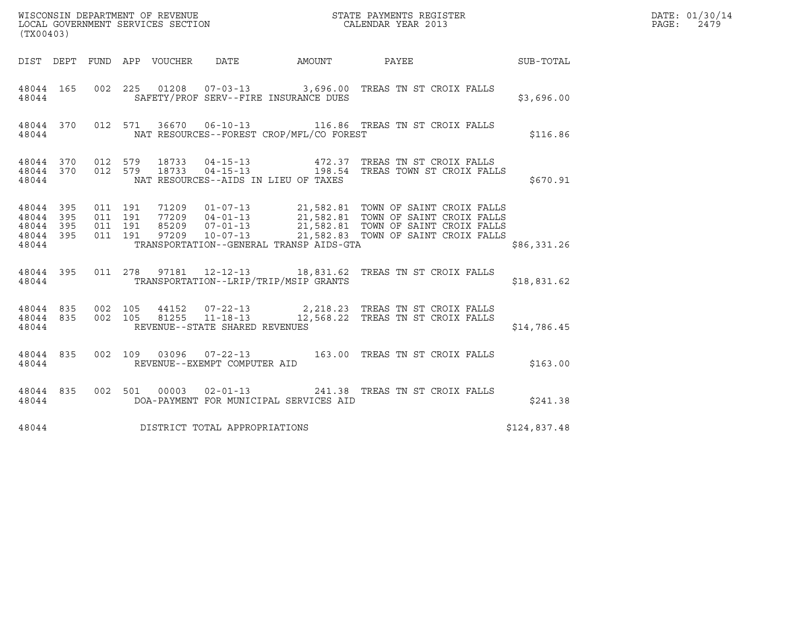| (TX00403)                                                                                                         |                                                                                                                                                                                                                                                                                                                                                   |                                |              | DATE: 01/30/14<br>PAGE:<br>2479 |
|-------------------------------------------------------------------------------------------------------------------|---------------------------------------------------------------------------------------------------------------------------------------------------------------------------------------------------------------------------------------------------------------------------------------------------------------------------------------------------|--------------------------------|--------------|---------------------------------|
|                                                                                                                   |                                                                                                                                                                                                                                                                                                                                                   |                                |              |                                 |
| 48044 165<br>48044                                                                                                | 002 225 01208 07-03-13 3,696.00 TREAS TN ST CROIX FALLS<br>SAFETY/PROF SERV--FIRE INSURANCE DUES                                                                                                                                                                                                                                                  |                                | \$3,696.00   |                                 |
| 48044                                                                                                             | 48044 370 012 571 36670 06-10-13 116.86 TREAS TN ST CROIX FALLS<br>NAT RESOURCES--FOREST CROP/MFL/CO FOREST                                                                                                                                                                                                                                       |                                | \$116.86     |                                 |
| 48044                                                                                                             | $\begin{array}{cccccc} 4\,8\,0\,4\,4 & 3\,7\,0 & 0\,12 & 5\,7\,9 & 1\,8\,7\,3\,3 & 0\,4\,-1\,5\,-1\,3 & & 4\,7\,2\,.3\,7 & \text{TREAS TN ST CROIX FALLS} \\ 4\,8\,0\,4\,4 & 3\,7\,0 & 0\,1\,2 & 5\,7\,9 & 1\,8\,7\,3\,3 & 0\,4\,-1\,5\,-1\,3 & & 1\,9\,8\,.5\,4 & \text{TREAS TOWN ST CROIX FALLS} \end$<br>NAT RESOURCES--AIDS IN LIEU OF TAXES |                                | \$670.91     |                                 |
| 011 191<br>48044<br>395<br>395<br>011 191<br>48044<br>011 191<br>48044<br>395<br>395<br>011 191<br>48044<br>48044 | 71209  01-07-13  21,582.81  TOWN OF SAINT CROIX FALLS<br>77209  04-01-13  21,582.81  TOWN OF SAINT CROIX FALLS<br>85209  07-01-13  21,582.81  TOWN OF SAINT CROIX FALLS<br>77209  10-07-13  21,582.83  TOWN OF SAINT CROIX FALLS<br>TRANSPORTATION--GENERAL TRANSP AIDS-GTA                                                                       |                                | \$86,331.26  |                                 |
| 48044                                                                                                             | 48044 395 011 278 97181 12-12-13 18,831.62 TREAS TN ST CROIX FALLS<br>TRANSPORTATION--LRIP/TRIP/MSIP GRANTS                                                                                                                                                                                                                                       |                                | \$18,831.62  |                                 |
| 48044 835<br>48044 835<br>48044                                                                                   | 002 105 44152 07-22-13 2,218.23 TREAS TN ST CROIX FALLS<br>002 105 81255 11-18-13 12,568.22 TREAS TN ST CROIX FALLS<br>REVENUE--STATE SHARED REVENUES                                                                                                                                                                                             |                                | \$14,786.45  |                                 |
| 48044 835<br>48044                                                                                                | 002 109 03096 07-22-13 163.00 TREAS TN ST CROIX FALLS<br>REVENUE--EXEMPT COMPUTER AID                                                                                                                                                                                                                                                             |                                | \$163.00     |                                 |
| 48044 835<br>48044                                                                                                | 002 501 00003 02-01-13<br>DOA-PAYMENT FOR MUNICIPAL SERVICES AID                                                                                                                                                                                                                                                                                  | 241.38 TREAS TN ST CROIX FALLS | \$241.38     |                                 |
| 48044                                                                                                             | DISTRICT TOTAL APPROPRIATIONS                                                                                                                                                                                                                                                                                                                     |                                | \$124,837.48 |                                 |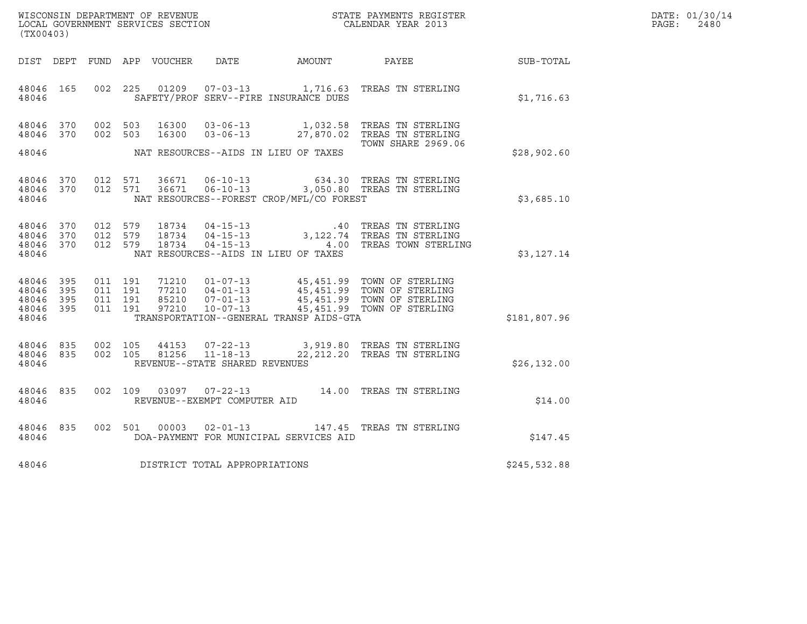| WISCONSIN DEPARTMENT OF REVENUE   | STATE PAYMENTS REGISTER | DATE: 01/30/14 |
|-----------------------------------|-------------------------|----------------|
| LOCAL GOVERNMENT SERVICES SECTION | CALENDAR YEAR 2013      | 2480<br>PAGE:  |

| (TX00403)                                             |     |  |  |                            |                                     |                                          |                                                                                                                                                                                                                  | DATE: 01/30/14<br>$\mathtt{PAGE:}$<br>2480 |  |
|-------------------------------------------------------|-----|--|--|----------------------------|-------------------------------------|------------------------------------------|------------------------------------------------------------------------------------------------------------------------------------------------------------------------------------------------------------------|--------------------------------------------|--|
|                                                       |     |  |  | DIST DEPT FUND APP VOUCHER |                                     | DATE AMOUNT                              | PAYEE                                                                                                                                                                                                            | SUB-TOTAL                                  |  |
| 48046 165<br>48046                                    |     |  |  |                            |                                     | SAFETY/PROF SERV--FIRE INSURANCE DUES    | 002 225 01209 07-03-13 1,716.63 TREAS TN STERLING                                                                                                                                                                | \$1,716.63                                 |  |
| 48046 370<br>48046 370                                |     |  |  |                            |                                     |                                          | 002 503 16300 03-06-13 1,032.58 TREAS TN STERLING<br>002 503 16300 03-06-13 27,870.02 TREAS TN STERLING<br><b>TOWN SHARE 2969.06</b>                                                                             | \$28,902.60                                |  |
| 48046 370<br>48046 370<br>48046                       |     |  |  |                            |                                     | NAT RESOURCES--FOREST CROP/MFL/CO FOREST | 012 571 36671 06-10-13 634.30 TREAS TN STERLING<br>012 571 36671 06-10-13 3,050.80 TREAS TN STERLING                                                                                                             | \$3,685.10                                 |  |
| 48046 370<br>48046 370<br>48046 370<br>48046          |     |  |  |                            |                                     | NAT RESOURCES--AIDS IN LIEU OF TAXES     | 012 579 18734 04-15-13 .40 TREAS TN STERLING<br>012 579 18734 04-15-13 3,122.74 TREAS TN STERLING<br>012 579 18734 04-15-13 .4.00 TREAS TOWN STERLING                                                            | \$3,127.14                                 |  |
| 48046<br>48046 395<br>48046 395<br>48046 395<br>48046 | 395 |  |  |                            |                                     | TRANSPORTATION--GENERAL TRANSP AIDS-GTA  | 011 191 71210 01-07-13 45,451.99 TOWN OF STERLING<br>011 191 77210 04-01-13 45,451.99 TOWN OF STERLING<br>011 191 85210 07-01-13 45,451.99 TOWN OF STERLING<br>011 191 97210 10-07-13 45,451.99 TOWN OF STERLING | \$181,807.96                               |  |
| 48046 835<br>48046 835<br>48046                       |     |  |  |                            | REVENUE--STATE SHARED REVENUES      |                                          | 002 105 44153 07-22-13 3,919.80 TREAS TN STERLING<br>002 105 81256 11-18-13 22,212.20 TREAS TN STERLING                                                                                                          | \$26, 132.00                               |  |
| 48046 835<br>48046                                    |     |  |  |                            | REVENUE--EXEMPT COMPUTER AID        |                                          | 002 109 03097 07-22-13 14.00 TREAS TN STERLING                                                                                                                                                                   | \$14.00                                    |  |
| 48046 835<br>48046                                    |     |  |  |                            |                                     | DOA-PAYMENT FOR MUNICIPAL SERVICES AID   | 002 501 00003 02-01-13 147.45 TREAS TN STERLING                                                                                                                                                                  | \$147.45                                   |  |
|                                                       |     |  |  |                            | 48046 DISTRICT TOTAL APPROPRIATIONS |                                          |                                                                                                                                                                                                                  | \$245,532.88                               |  |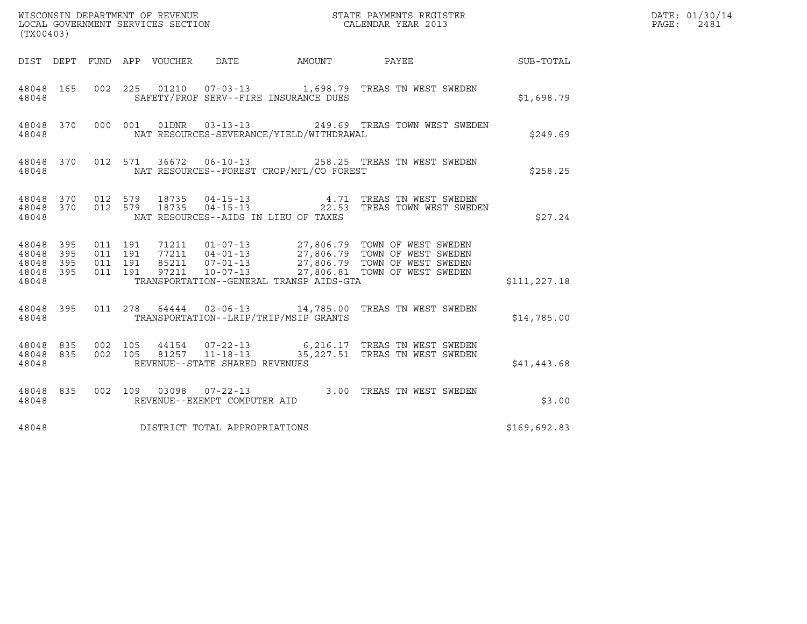| (TX00403)                                                 |            |                               |                                 |                                | DATE: 01/30/14<br>PAGE:<br>2481          |                                                                                                                                                                                                                                                                                                           |              |  |
|-----------------------------------------------------------|------------|-------------------------------|---------------------------------|--------------------------------|------------------------------------------|-----------------------------------------------------------------------------------------------------------------------------------------------------------------------------------------------------------------------------------------------------------------------------------------------------------|--------------|--|
|                                                           |            |                               | DIST DEPT FUND APP VOUCHER DATE |                                | AMOUNT PAYEE                             |                                                                                                                                                                                                                                                                                                           | SUB-TOTAL    |  |
| 48048                                                     |            |                               |                                 |                                | SAFETY/PROF SERV--FIRE INSURANCE DUES    | 48048 165 002 225 01210 07-03-13 1,698.79 TREAS TN WEST SWEDEN                                                                                                                                                                                                                                            | \$1,698.79   |  |
| 48048                                                     |            |                               |                                 |                                | NAT RESOURCES-SEVERANCE/YIELD/WITHDRAWAL | 48048 370 000 001 01DNR 03-13-13 249.69 TREAS TOWN WEST SWEDEN                                                                                                                                                                                                                                            | \$249.69     |  |
| 48048                                                     |            |                               |                                 |                                | NAT RESOURCES--FOREST CROP/MFL/CO FOREST | 48048 370 012 571 36672 06-10-13 258.25 TREAS TN WEST SWEDEN                                                                                                                                                                                                                                              | \$258.25     |  |
| 48048                                                     |            |                               |                                 |                                | NAT RESOURCES--AIDS IN LIEU OF TAXES     | $\begin{array}{cccccc} 4\,8\,0\,4\,8 & 3\,7\,0 & 0\,12 & 5\,7\,9 & 1\,8\,7\,3\,5 & 0\,4\,-1\,5\,-1\,3 & & & & 4\,.7\,1 & \text{TREAS TN WEST SWEDEN} \\ 4\,8\,0\,4\,8 & 3\,7\,0 & 0\,1\,2 & 5\,7\,9 & 1\,8\,7\,3\,5 & 0\,4\,-1\,5\,-1\,3 & & & & 2\,2\,.5\,3 & \text{TREAS TOWN WEST SWEDEN} \end{array}$ | \$27.24      |  |
| 48048<br>48048<br>48048 395 011 191<br>48048 395<br>48048 | 395<br>395 | 011 191<br>011 191<br>011 191 |                                 |                                | TRANSPORTATION--GENERAL TRANSP AIDS-GTA  | $\begin{tabular}{llllllll} 71211 & 01-07-13 & 27,806.79 & TOWN OF WEST SWEDEN \\ 77211 & 04-01-13 & 27,806.79 & TOWN OF WEST SWEDEN \\ 85211 & 07-01-13 & 27,806.79 & TOWN OF WEST SWEDEN \\ 97211 & 10-07-13 & 27,806.81 & TOWN OF WEST SWEDEN \\ \end{tabular}$                                         | \$111,227.18 |  |
| 48048                                                     |            |                               |                                 |                                | TRANSPORTATION--LRIP/TRIP/MSIP GRANTS    | 48048 395 011 278 64444 02-06-13 14,785.00 TREAS TN WEST SWEDEN                                                                                                                                                                                                                                           | \$14,785.00  |  |
| 48048 835<br>48048 835<br>48048                           |            |                               |                                 | REVENUE--STATE SHARED REVENUES |                                          | 002 105 44154 07-22-13 6,216.17 TREAS TN WEST SWEDEN<br>002 105 81257 11-18-13 35,227.51 TREAS TN WEST SWEDEN                                                                                                                                                                                             | \$41,443.68  |  |
| 48048                                                     |            |                               |                                 | REVENUE--EXEMPT COMPUTER AID   |                                          | 48048 835 002 109 03098 07-22-13 3.00 TREAS TN WEST SWEDEN                                                                                                                                                                                                                                                | \$3.00       |  |
| 48048                                                     |            |                               |                                 | DISTRICT TOTAL APPROPRIATIONS  |                                          |                                                                                                                                                                                                                                                                                                           | \$169,692.83 |  |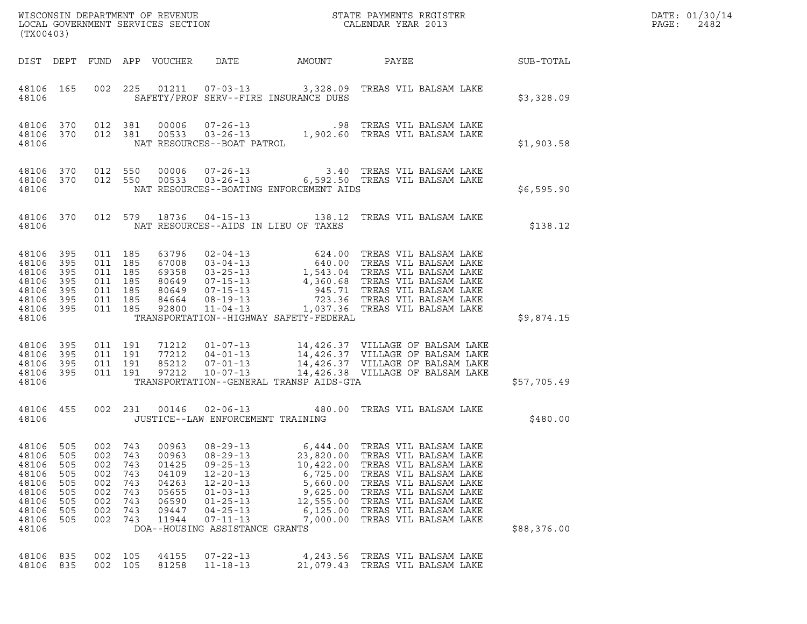| (TX00403)                                                                              |                                                             |                                                                           |                                                             |                                                                               |                                                                                                                                                                                                  |                                                                                                              |                                                                                                                                                                                                                                                                                                                    |  |             | DATE: 01/30/14<br>PAGE:<br>2482 |
|----------------------------------------------------------------------------------------|-------------------------------------------------------------|---------------------------------------------------------------------------|-------------------------------------------------------------|-------------------------------------------------------------------------------|--------------------------------------------------------------------------------------------------------------------------------------------------------------------------------------------------|--------------------------------------------------------------------------------------------------------------|--------------------------------------------------------------------------------------------------------------------------------------------------------------------------------------------------------------------------------------------------------------------------------------------------------------------|--|-------------|---------------------------------|
|                                                                                        |                                                             |                                                                           |                                                             |                                                                               |                                                                                                                                                                                                  |                                                                                                              |                                                                                                                                                                                                                                                                                                                    |  |             |                                 |
| 48106                                                                                  | 48106 165                                                   |                                                                           |                                                             |                                                                               |                                                                                                                                                                                                  | SAFETY/PROF SERV--FIRE INSURANCE DUES                                                                        | 002 225 01211 07-03-13 3,328.09 TREAS VIL BALSAM LAKE                                                                                                                                                                                                                                                              |  | \$3,328.09  |                                 |
| 48106                                                                                  | 48106 370                                                   | 48106 370 012 381                                                         |                                                             |                                                                               |                                                                                                                                                                                                  |                                                                                                              | 370 012 381 00006 07-26-13 .98 TREAS VIL BALSAM LAKE<br>370 012 381 00533 03-26-13 1,902.60 TREAS VIL BALSAM LAKE<br>NAT RESOURCES--BOAT PATROL                                                                                                                                                                    |  | \$1,903.58  |                                 |
| 48106                                                                                  |                                                             |                                                                           |                                                             |                                                                               |                                                                                                                                                                                                  | NAT RESOURCES--BOATING ENFORCEMENT AIDS                                                                      | $\begin{array}{cccc} 4\,8\,10\,6 & 3\,70 & 0\,12 & 5\,50 & 0\,0\,00\,6 & 0\,7\, -2\,6\, -1\,3 & 3\,.4\,0 & \text{TREAS VIL BALSAM LAKE} \\ 4\,8\,10\,6 & 3\,70 & 0\,12 & 5\,50 & 0\,0\,5\,3\,3 & 0\,3\, -2\,6\, -1\,3 & 6\,, 5\,9\,2\,.5\,0 & \text{TREAS VIL BALSAM LAKE} \end{array}$                            |  | \$6,595.90  |                                 |
|                                                                                        |                                                             | 48106                                                                     |                                                             | 48106 370 012 579 18736                                                       |                                                                                                                                                                                                  | NAT RESOURCES--AIDS IN LIEU OF TAXES                                                                         | 04-15-13 138.12 TREAS VIL BALSAM LAKE                                                                                                                                                                                                                                                                              |  | \$138.12    |                                 |
| 48106 395<br>48106<br>48106<br>48106<br>48106<br>48106 395<br>48106 395<br>48106       | 395<br>395<br>395<br>395                                    | 011 185<br>011 185<br>011 185<br>011 185<br>011 185<br>011 185<br>011 185 |                                                             |                                                                               |                                                                                                                                                                                                  | TRANSPORTATION--HIGHWAY SAFETY-FEDERAL                                                                       |                                                                                                                                                                                                                                                                                                                    |  | \$9,874.15  |                                 |
| 48106 395<br>48106<br>48106 395<br>48106 395<br>48106                                  | 395                                                         | 011 191<br>011 191<br>011 191<br>011 191                                  |                                                             |                                                                               |                                                                                                                                                                                                  | TRANSPORTATION--GENERAL TRANSP AIDS-GTA                                                                      | $\begin{tabular}{lllllllllllll} \hline 71212 & 01-07-13 & 14,426.37 & \text{VILLAGE OF BALSAM LAKE} \\ 77212 & 04-01-13 & 14,426.37 & \text{VILLAGE OF BALSAM LAKE} \\ 85212 & 07-01-13 & 14,426.37 & \text{VILLAGE OF BALSAM LAKE} \\ 97212 & 10-07-13 & 14,426.38 & \text{VILLAGE OF BALSAM LAKE} \end{tabular}$ |  | \$57,705.49 |                                 |
| 48106                                                                                  | 48106 455                                                   |                                                                           |                                                             |                                                                               | JUSTICE--LAW ENFORCEMENT TRAINING                                                                                                                                                                |                                                                                                              | 002 231 00146 02-06-13 480.00 TREAS VIL BALSAM LAKE                                                                                                                                                                                                                                                                |  | \$480.00    |                                 |
| 48106<br>48106<br>48106<br>48106<br>48106<br>48106<br>48106<br>48106<br>48106<br>48106 | 505<br>505<br>505<br>505<br>505<br>505<br>505<br>505<br>505 | 002<br>002<br>002<br>002<br>002<br>002<br>002<br>002<br>002               | 743<br>743<br>743<br>743<br>743<br>743<br>743<br>743<br>743 | 00963<br>00963<br>01425<br>04109<br>04263<br>05655<br>06590<br>09447<br>11944 | $08 - 29 - 13$<br>$08 - 29 - 13$<br>$09 - 25 - 13$<br>$12 - 20 - 13$<br>$12 - 20 - 13$<br>$01 - 03 - 13$<br>$01 - 25 - 13$<br>$04 - 25 - 13$<br>$07 - 11 - 13$<br>DOA--HOUSING ASSISTANCE GRANTS | 6,444.00<br>23,820.00<br>10,422.00<br>6,725.00<br>5,660.00<br>9,625.00<br>12,555.00<br>6, 125.00<br>7,000.00 | TREAS VIL BALSAM LAKE<br>TREAS VIL BALSAM LAKE<br>TREAS VIL BALSAM LAKE<br>TREAS VIL BALSAM LAKE<br>TREAS VIL BALSAM LAKE<br>TREAS VIL BALSAM LAKE<br>TREAS VIL BALSAM LAKE<br>TREAS VIL BALSAM LAKE<br>TREAS VIL BALSAM LAKE                                                                                      |  | \$88,376.00 |                                 |
| 48106<br>48106                                                                         | 835<br>835                                                  | 002<br>002                                                                | 105<br>105                                                  | 44155<br>81258                                                                | $07 - 22 - 13$<br>$11 - 18 - 13$                                                                                                                                                                 | 4,243.56<br>21,079.43                                                                                        | TREAS VIL BALSAM LAKE<br>TREAS VIL BALSAM LAKE                                                                                                                                                                                                                                                                     |  |             |                                 |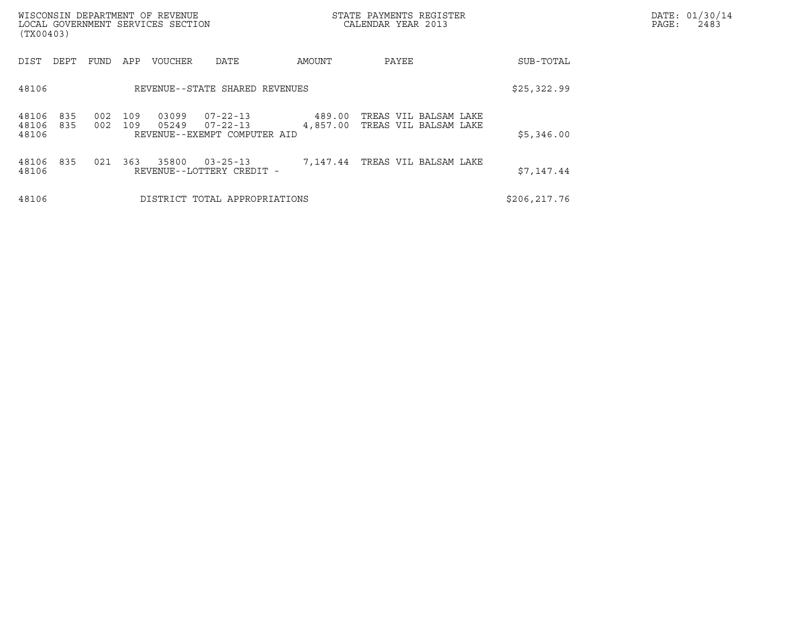| (TX00403)               |            |            |            | WISCONSIN DEPARTMENT OF REVENUE<br>LOCAL GOVERNMENT SERVICES SECTION |                                                                  |                    | STATE PAYMENTS REGISTER<br>CALENDAR YEAR 2013  | DATE: 01/30/14<br>PAGE:<br>2483 |  |
|-------------------------|------------|------------|------------|----------------------------------------------------------------------|------------------------------------------------------------------|--------------------|------------------------------------------------|---------------------------------|--|
| DIST                    | DEPT       | FUND       | APP        | <b>VOUCHER</b>                                                       | DATE                                                             | AMOUNT             | PAYEE                                          | SUB-TOTAL                       |  |
| 48106                   |            |            |            |                                                                      | REVENUE--STATE SHARED REVENUES                                   |                    |                                                | \$25,322.99                     |  |
| 48106<br>48106<br>48106 | 835<br>835 | 002<br>002 | 109<br>109 | 03099<br>05249                                                       | $07 - 22 - 13$<br>$07 - 22 - 13$<br>REVENUE--EXEMPT COMPUTER AID | 489.00<br>4,857.00 | TREAS VIL BALSAM LAKE<br>TREAS VIL BALSAM LAKE | \$5,346.00                      |  |
| 48106<br>48106          | 835        | 021        | 363        | 35800                                                                | $03 - 25 - 13$<br>REVENUE--LOTTERY CREDIT -                      |                    | 7,147.44 TREAS VIL BALSAM LAKE                 | \$7,147.44                      |  |
| 48106                   |            |            |            |                                                                      | DISTRICT TOTAL APPROPRIATIONS                                    |                    |                                                | \$206, 217.76                   |  |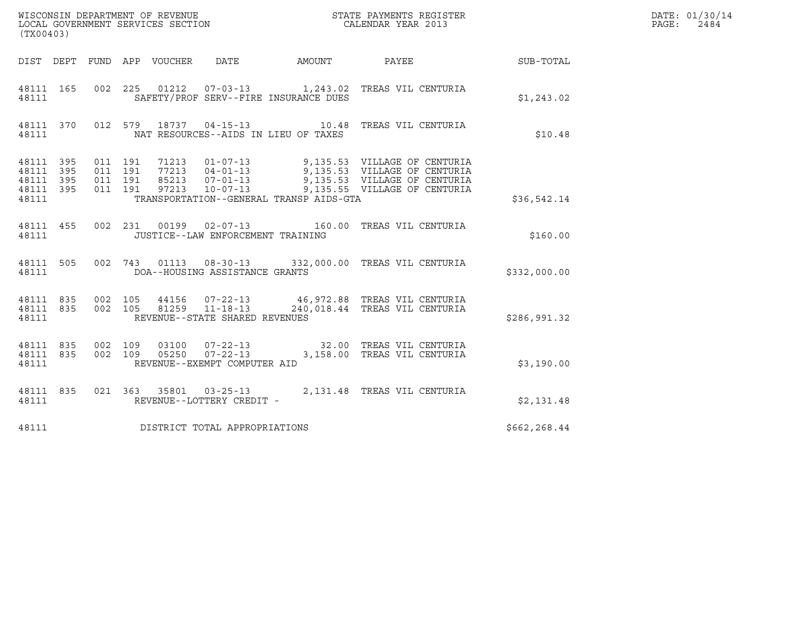| (TX00403)                                             |     |                               |         |                                 |                                                             |                                         |                                                                                                                                                                                                      |                 | DATE: 01/30/14<br>PAGE:<br>2484 |
|-------------------------------------------------------|-----|-------------------------------|---------|---------------------------------|-------------------------------------------------------------|-----------------------------------------|------------------------------------------------------------------------------------------------------------------------------------------------------------------------------------------------------|-----------------|---------------------------------|
|                                                       |     |                               |         | DIST DEPT FUND APP VOUCHER DATE |                                                             | AMOUNT                                  |                                                                                                                                                                                                      | PAYEE SUB-TOTAL |                                 |
| 48111 165<br>48111                                    |     |                               |         |                                 |                                                             | SAFETY/PROF SERV--FIRE INSURANCE DUES   | 002 225 01212 07-03-13 1,243.02 TREAS VIL CENTURIA                                                                                                                                                   | \$1,243.02      |                                 |
| 48111                                                 |     |                               |         |                                 |                                                             | NAT RESOURCES--AIDS IN LIEU OF TAXES    | 48111 370 012 579 18737 04-15-13 10.48 TREAS VIL CENTURIA                                                                                                                                            | \$10.48         |                                 |
| 48111 395<br>48111 395<br>48111<br>48111 395<br>48111 | 395 | 011 191<br>011 191<br>011 191 | 011 191 |                                 |                                                             | TRANSPORTATION--GENERAL TRANSP AIDS-GTA | 71213  01-07-13  9,135.53  VILLAGE OF CENTURIA<br>77213  04-01-13  9,135.53  VILLAGE OF CENTURIA<br>85213  07-01-13  9,135.53  VILLAGE OF CENTURIA<br>97213  10-07-13  9,135.55  VILLAGE OF CENTURIA | \$36,542.14     |                                 |
| 48111 455<br>48111                                    |     |                               |         |                                 | 002 231 00199 02-07-13<br>JUSTICE--LAW ENFORCEMENT TRAINING |                                         | 160.00 TREAS VIL CENTURIA                                                                                                                                                                            | \$160.00        |                                 |
| 48111 505<br>48111                                    |     |                               |         |                                 | 002 743 01113 08-30-13<br>DOA--HOUSING ASSISTANCE GRANTS    |                                         | 332,000.00 TREAS VIL CENTURIA                                                                                                                                                                        | \$332,000.00    |                                 |
| 48111 835 002 105<br>48111 835<br>48111               |     |                               | 002 105 |                                 | 81259 11-18-13<br>REVENUE--STATE SHARED REVENUES            |                                         | 44156  07-22-13  46,972.88  TREAS VIL CENTURIA<br>240,018.44 TREAS VIL CENTURIA                                                                                                                      | \$286,991.32    |                                 |
| 48111 835<br>48111 835<br>48111                       |     |                               |         |                                 | REVENUE--EXEMPT COMPUTER AID                                |                                         | $\begin{array}{cccc} 002 & 109 & 03100 & 07-22-13 & 32.00 & \text{TREAS VII CENTURIA} \\ 002 & 109 & 05250 & 07-22-13 & 3,158.00 & \text{TREAS VII CENTURIA} \end{array}$                            | \$3,190.00      |                                 |
| 48111 835<br>48111                                    |     |                               |         |                                 | REVENUE--LOTTERY CREDIT -                                   |                                         | 021  363  35801  03-25-13  2,131.48  TREAS VIL CENTURIA                                                                                                                                              | \$2,131.48      |                                 |
| 48111                                                 |     |                               |         |                                 | DISTRICT TOTAL APPROPRIATIONS                               |                                         |                                                                                                                                                                                                      | \$662,268.44    |                                 |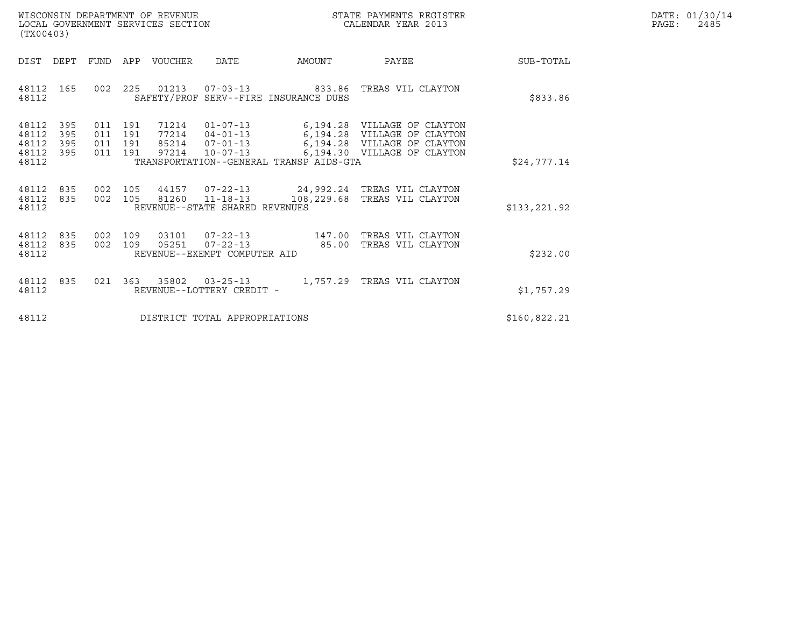| WISCONSIN DEPARTMENT OF REVENUE   | STATE PAYMENTS REGISTER | DATE: 01/30/14 |
|-----------------------------------|-------------------------|----------------|
| LOCAL GOVERNMENT SERVICES SECTION | CALENDAR YEAR 2013      | 2485<br>PAGE:  |

| (TX00403)                                               |            |                                          | WISCONSIN DEPARTMENT OF REVENUE<br>LOCAL GOVERNMENT SERVICES SECTION |                                                          |                                                                        | STATE PAYMENTS REGISTER<br>CALENDAR YEAR 2013                                                                            | DATE: 01/30/14<br>PAGE:<br>2485 |  |
|---------------------------------------------------------|------------|------------------------------------------|----------------------------------------------------------------------|----------------------------------------------------------|------------------------------------------------------------------------|--------------------------------------------------------------------------------------------------------------------------|---------------------------------|--|
| DIST<br>DEPT                                            | FUND       |                                          | APP VOUCHER DATE                                                     |                                                          | <b>AMOUNT</b>                                                          | PAYEE                                                                                                                    | SUB-TOTAL                       |  |
| 48112 165<br>48112                                      |            |                                          |                                                                      |                                                          | 002 225 01213 07-03-13 833.86<br>SAFETY/PROF SERV--FIRE INSURANCE DUES | TREAS VIL CLAYTON                                                                                                        | \$833.86                        |  |
| 48112<br>48112<br>48112<br>395<br>395<br>48112<br>48112 | 395<br>395 | 011 191<br>011 191<br>011 191<br>011 191 | 71214<br>77214                                                       | $04 - 01 - 13$<br>85214 07-01-13<br>97214 10-07-13       | 6,194.28<br>TRANSPORTATION--GENERAL TRANSP AIDS-GTA                    | 01-07-13 6,194.28 VILLAGE OF CLAYTON<br>6,194.28 VILLAGE OF CLAYTON<br>VILLAGE OF CLAYTON<br>6,194.30 VILLAGE OF CLAYTON | \$24,777.14                     |  |
| 48112 835<br>48112 835<br>48112                         |            |                                          |                                                                      | 002 105 81260 11-18-13<br>REVENUE--STATE SHARED REVENUES |                                                                        | 002 105 44157 07-22-13 24,992.24 TREAS VIL CLAYTON<br>108,229.68 TREAS VIL CLAYTON                                       | \$133,221.92                    |  |
| 48112 835<br>48112 835<br>48112                         | 002        | 002 109<br>109                           | 03101<br>05251                                                       | $07 - 22 - 13$<br>REVENUE--EXEMPT COMPUTER AID           | $07 - 22 - 13$ 147.00<br>85.00                                         | TREAS VIL CLAYTON<br>TREAS VIL CLAYTON                                                                                   | \$232.00                        |  |
| 48112 835<br>48112                                      |            |                                          |                                                                      | REVENUE--LOTTERY CREDIT -                                |                                                                        | 021  363  35802  03-25-13   1,757.29  TREAS VIL CLAYTON                                                                  | \$1,757.29                      |  |
| 48112                                                   |            |                                          |                                                                      | DISTRICT TOTAL APPROPRIATIONS                            |                                                                        |                                                                                                                          | \$160,822.21                    |  |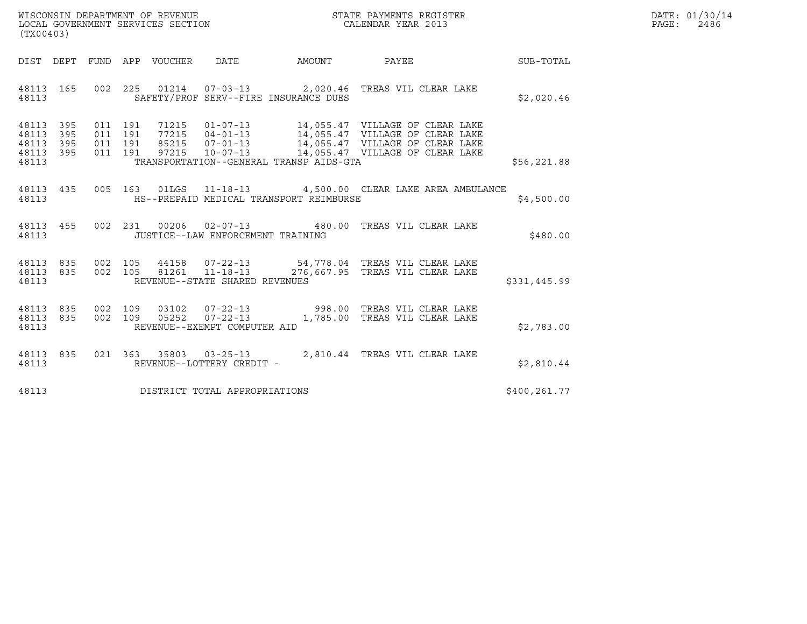| WISCONSIN DEPARTMENT OF REVENUE   | STATE PAYMENTS REGISTER | DATE: 01/30/14 |
|-----------------------------------|-------------------------|----------------|
| LOCAL GOVERNMENT SERVICES SECTION | CALENDAR YEAR 2013      | 2486<br>PAGE:  |

| (TX00403)                                                             |                                          |                                                            |          |                                                                                                       |              |
|-----------------------------------------------------------------------|------------------------------------------|------------------------------------------------------------|----------|-------------------------------------------------------------------------------------------------------|--------------|
| DIST<br>DEPT                                                          | FUND<br>APP VOUCHER                      | <b>DATE</b>                                                | AMOUNT   | PAYEE                                                                                                 | SUB-TOTAL    |
| 48113<br>165<br>48113                                                 | 002 225                                  | SAFETY/PROF SERV--FIRE INSURANCE DUES                      |          | 01214  07-03-13  2,020.46 TREAS VIL CLEAR LAKE                                                        | \$2,020.46   |
| 395<br>48113<br>395<br>48113<br>48113<br>395<br>395<br>48113<br>48113 | 011 191<br>011 191<br>011 191<br>011 191 | 77215  04-01-13<br>TRANSPORTATION--GENERAL TRANSP AIDS-GTA |          | 14,055.47 VILLAGE OF CLEAR LAKE<br>97215  10-07-13  14,055.47  VILLAGE OF CLEAR LAKE                  | \$56, 221.88 |
| 48113<br>435<br>48113                                                 | 005                                      | HS--PREPAID MEDICAL TRANSPORT REIMBURSE                    |          | 163  01LGS  11-18-13  4,500.00  CLEAR LAKE AREA AMBULANCE                                             | \$4,500.00   |
| 455<br>48113<br>48113                                                 | 0 <sub>02</sub><br>231                   | 00206 02-07-13 480.00<br>JUSTICE--LAW ENFORCEMENT TRAINING |          | TREAS VIL CLEAR LAKE                                                                                  | \$480.00     |
| 835<br>48113<br>835<br>48113<br>48113                                 | 002 105<br>002<br>105                    | REVENUE--STATE SHARED REVENUES                             |          | 44158  07-22-13  54,778.04  TREAS VIL CLEAR LAKE<br>81261  11-18-13  276,667.95  TREAS VIL CLEAR LAKE | \$331,445.99 |
| 48113 835<br>835<br>48113<br>48113                                    | 002 109<br>002<br>109<br>05252           | $07 - 22 - 13$<br>REVENUE--EXEMPT COMPUTER AID             | 1,785.00 | 03102  07-22-13  998.00 TREAS VIL CLEAR LAKE<br>TREAS VIL CLEAR LAKE                                  | \$2,783.00   |
| 835<br>48113<br>48113                                                 | 021                                      | 363 35803 03-25-13<br>REVENUE--LOTTERY CREDIT -            |          | 2,810.44 TREAS VIL CLEAR LAKE                                                                         | \$2,810.44   |
| 48113                                                                 |                                          | DISTRICT TOTAL APPROPRIATIONS                              |          |                                                                                                       | \$400,261.77 |

(TX00403)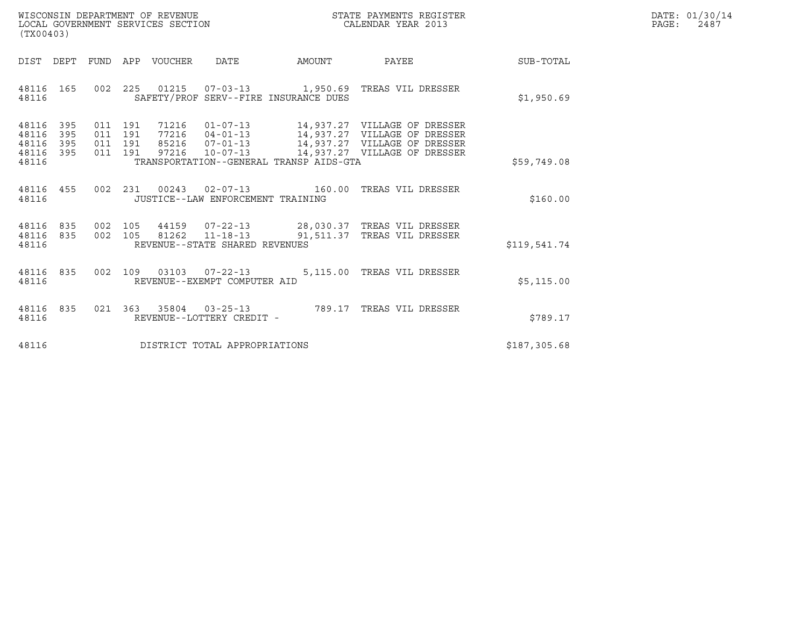| WISCONSIN DEPARTMENT OF REVENUE   | STATE PAYMENTS REGISTER | DATE: 01/30/14 |
|-----------------------------------|-------------------------|----------------|
| LOCAL GOVERNMENT SERVICES SECTION | CALENDAR YEAR 2013      | PAGE:<br>2487  |

| WISCONSIN DEPARTMENT OF REVENUE<br>LOCAL GOVERNMENT SERVICES SECTION<br>(TX00403)                                                                                                                                                                                                                                                   | STATE PAYMENTS REGISTER<br>CALENDAR YEAR 2013 |              |              | DATE: 01/30/14<br>PAGE:<br>2487 |
|-------------------------------------------------------------------------------------------------------------------------------------------------------------------------------------------------------------------------------------------------------------------------------------------------------------------------------------|-----------------------------------------------|--------------|--------------|---------------------------------|
| FUND APP VOUCHER DATE AMOUNT<br>DIST DEPT                                                                                                                                                                                                                                                                                           |                                               | <b>PAYEE</b> | SUB-TOTAL    |                                 |
| 48116 165<br>002 225 01215 07-03-13 1,950.69 TREAS VIL DRESSER<br>SAFETY/PROF SERV--FIRE INSURANCE DUES<br>48116                                                                                                                                                                                                                    |                                               |              | \$1,950.69   |                                 |
| 011 191 71216 01-07-13 14,937.27 VILLAGE OF DRESSER<br>011 191 77216 04-01-13 14,937.27 VILLAGE OF DRESSER<br>011 191 85216 07-01-13 14,937.27 VILLAGE OF DRESSER<br>011 191 97216 10-07-13 14,937.27 VILLAGE OF DRESSER<br>48116 395<br>48116<br>395<br>48116 395<br>48116 395<br>TRANSPORTATION--GENERAL TRANSP AIDS-GTA<br>48116 |                                               |              | \$59,749.08  |                                 |
| 002  231  00243  02-07-13  160.00  TREAS VIL DRESSER<br>48116 455<br>48116<br>JUSTICE--LAW ENFORCEMENT TRAINING                                                                                                                                                                                                                     |                                               |              | \$160.00     |                                 |
| 002  105  44159  07-22-13  28,030.37  TREAS VIL DRESSER<br>48116 835<br>002 105 81262 11-18-13 91,511.37 TREAS VIL DRESSER<br>48116 835<br>REVENUE--STATE SHARED REVENUES<br>48116                                                                                                                                                  |                                               |              | \$119,541.74 |                                 |
| 002  109  03103  07-22-13  5,115.00 TREAS VIL DRESSER<br>48116 835<br>48116<br>REVENUE--EXEMPT COMPUTER AID                                                                                                                                                                                                                         |                                               |              | \$5,115.00   |                                 |
| 021 363 35804 03-25-13 789.17 TREAS VIL DRESSER<br>48116 835<br>REVENUE--LOTTERY CREDIT -<br>48116                                                                                                                                                                                                                                  |                                               |              | \$789.17     |                                 |
| 48116<br>DISTRICT TOTAL APPROPRIATIONS                                                                                                                                                                                                                                                                                              |                                               |              | \$187,305.68 |                                 |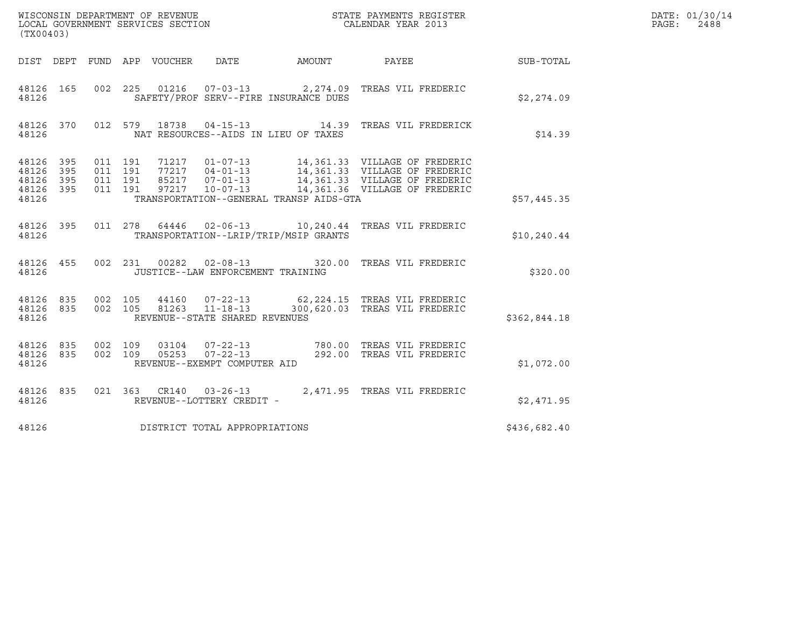| (TX00403)                                         |            |                    |                    |                                 |                                                  |                                         |                                                                                                                                                                                                          |              | DATE: 01/30/14<br>PAGE:<br>2488 |
|---------------------------------------------------|------------|--------------------|--------------------|---------------------------------|--------------------------------------------------|-----------------------------------------|----------------------------------------------------------------------------------------------------------------------------------------------------------------------------------------------------------|--------------|---------------------------------|
|                                                   |            |                    |                    | DIST DEPT FUND APP VOUCHER DATE |                                                  | AMOUNT                                  | PAYEE SUB-TOTAL                                                                                                                                                                                          |              |                                 |
| 48126 165<br>48126                                |            |                    |                    |                                 |                                                  | SAFETY/PROF SERV--FIRE INSURANCE DUES   | 002  225  01216  07-03-13  2,274.09  TREAS VIL FREDERIC                                                                                                                                                  | \$2,274.09   |                                 |
| 48126                                             |            |                    |                    |                                 |                                                  | NAT RESOURCES--AIDS IN LIEU OF TAXES    | 48126 370 012 579 18738 04-15-13 14.39 TREAS VIL FREDERICK                                                                                                                                               | \$14.39      |                                 |
| 48126 395<br>48126<br>48126<br>48126 395<br>48126 | 395<br>395 | 011 191<br>011 191 | 011 191<br>011 191 |                                 |                                                  | TRANSPORTATION--GENERAL TRANSP AIDS-GTA | 71217  01-07-13  14,361.33  VILLAGE OF FREDERIC<br>77217  04-01-13  14,361.33  VILLAGE OF FREDERIC<br>85217  07-01-13  14,361.33  VILLAGE OF FREDERIC<br>97217  10-07-13  14,361.36  VILLAGE OF FREDERIC | \$57,445.35  |                                 |
| 48126 395<br>48126                                |            |                    |                    |                                 |                                                  | TRANSPORTATION--LRIP/TRIP/MSIP GRANTS   | 011  278  64446  02-06-13  10,240.44  TREAS VIL FREDERIC                                                                                                                                                 | \$10, 240.44 |                                 |
| 48126 455<br>48126                                |            |                    |                    |                                 | JUSTICE--LAW ENFORCEMENT TRAINING                |                                         | 002 231 00282 02-08-13 320.00 TREAS VIL FREDERIC                                                                                                                                                         | \$320.00     |                                 |
| 48126 835 002 105<br>48126 835<br>48126           |            |                    | 002 105            |                                 | 81263 11-18-13<br>REVENUE--STATE SHARED REVENUES |                                         | 44160  07-22-13  62,224.15  TREAS VIL FREDERIC<br>300,620.03 TREAS VIL FREDERIC                                                                                                                          | \$362,844.18 |                                 |
| 48126 835<br>48126 835<br>48126                   |            | 002 109            | 002 109            |                                 | REVENUE--EXEMPT COMPUTER AID                     |                                         |                                                                                                                                                                                                          | \$1,072.00   |                                 |
| 48126 835<br>48126                                |            |                    |                    |                                 | REVENUE--LOTTERY CREDIT -                        |                                         | 021  363  CR140  03-26-13  2,471.95  TREAS VIL FREDERIC                                                                                                                                                  | \$2,471.95   |                                 |
| 48126                                             |            |                    |                    |                                 | DISTRICT TOTAL APPROPRIATIONS                    |                                         |                                                                                                                                                                                                          | \$436,682.40 |                                 |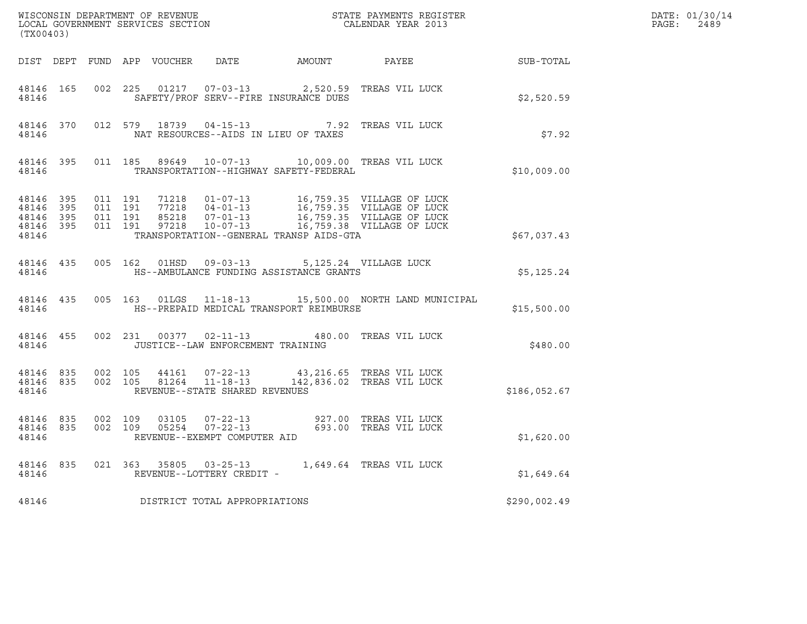|                    | (TX00403)                           |  |  |  |                                              |                                                                                                                                                                                                             | $R = \frac{1}{2}$ | DATE: 01/30/14<br>PAGE: 2489 |
|--------------------|-------------------------------------|--|--|--|----------------------------------------------|-------------------------------------------------------------------------------------------------------------------------------------------------------------------------------------------------------------|-------------------|------------------------------|
|                    |                                     |  |  |  |                                              | DIST DEPT FUND APP VOUCHER DATE AMOUNT PAYEE TO SUB-TOTAL                                                                                                                                                   |                   |                              |
| 48146              |                                     |  |  |  | SAFETY/PROF SERV--FIRE INSURANCE DUES        | 48146 165 002 225 01217 07-03-13 2,520.59 TREAS VIL LUCK                                                                                                                                                    | \$2,520.59        |                              |
| 48146              |                                     |  |  |  | NAT RESOURCES--AIDS IN LIEU OF TAXES         | 48146 370 012 579 18739 04-15-13 7.92 TREAS VIL LUCK                                                                                                                                                        | \$7.92            |                              |
|                    | 48146                               |  |  |  | TRANSPORTATION--HIGHWAY SAFETY-FEDERAL       | 48146 395 011 185 89649 10-07-13 10,009.00 TREAS VIL LUCK                                                                                                                                                   | \$10,009.00       |                              |
| 48146 395<br>48146 | 48146 395<br>48146 395<br>48146 395 |  |  |  | TRANSPORTATION--GENERAL TRANSP AIDS-GTA      |                                                                                                                                                                                                             | \$67,037.43       |                              |
| 48146              | 48146 435                           |  |  |  | 005 162 01HSD 09-03-13 5,125.24 VILLAGE LUCK | HS--AMBULANCE FUNDING ASSISTANCE GRANTS                                                                                                                                                                     | \$5,125.24        |                              |
|                    | 48146                               |  |  |  | HS--PREPAID MEDICAL TRANSPORT REIMBURSE      | 48146 435 005 163 01LGS 11-18-13 15,500.00 NORTH LAND MUNICIPAL                                                                                                                                             | \$15,500.00       |                              |
| 48146              | 48146 455                           |  |  |  | JUSTICE--LAW ENFORCEMENT TRAINING            | 002 231 00377 02-11-13 480.00 TREAS VIL LUCK                                                                                                                                                                | \$480.00          |                              |
|                    | 48146                               |  |  |  | REVENUE--STATE SHARED REVENUES               | $\begin{array}{cccccccc} 48146 & 835 & 002 & 105 & 44161 & 07-22-13 & & 43,216.65 & \text{TREAS VIL LUCK} \\ 48146 & 835 & 002 & 105 & 81264 & 11-18-13 & & 142,836.02 & \text{TREAS VIL LUCK} \end{array}$ | \$186,052.67      |                              |
| 48146              | 48146 835 002 109<br>48146 835      |  |  |  | REVENUE--EXEMPT COMPUTER AID                 | 002 109 03105 07-22-13 927.00 TREAS VIL LUCK<br>002 109 05254 07-22-13 693.00 TREAS VIL LUCK                                                                                                                | \$1,620.00        |                              |
|                    | 48146                               |  |  |  | REVENUE--LOTTERY CREDIT -                    | 48146 835 021 363 35805 03-25-13 1,649.64 TREAS VIL LUCK                                                                                                                                                    | \$1,649.64        |                              |
| 48146              |                                     |  |  |  | DISTRICT TOTAL APPROPRIATIONS                |                                                                                                                                                                                                             | \$290,002.49      |                              |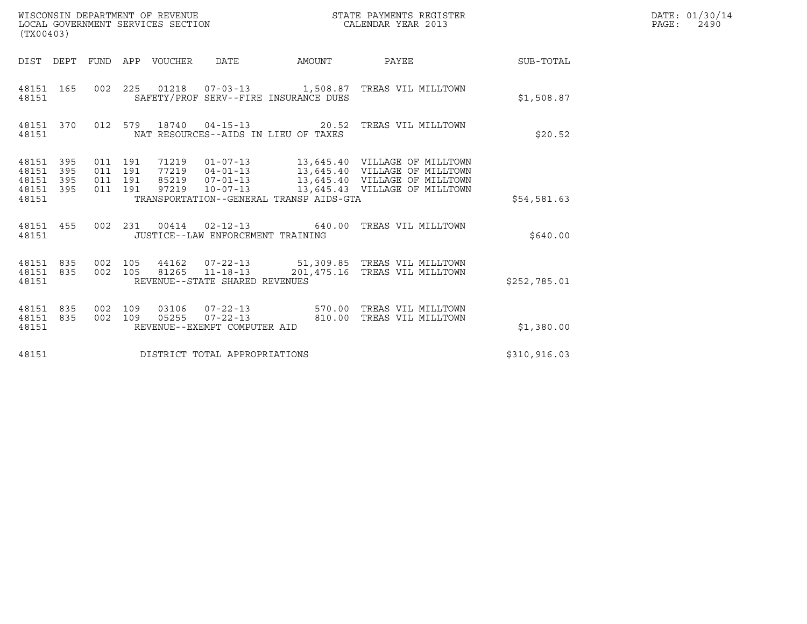| (TX00403)                                                       | WISCONSIN DEPARTMENT OF REVENUE<br>LOCAL GOVERNMENT SERVICES SECTION |                                                |                                         | STATE PAYMENTS REGISTER<br>CALENDAR YEAR 2013                                                      |               | DATE: 01/30/14<br>$\mathtt{PAGE:}$<br>2490 |
|-----------------------------------------------------------------|----------------------------------------------------------------------|------------------------------------------------|-----------------------------------------|----------------------------------------------------------------------------------------------------|---------------|--------------------------------------------|
|                                                                 | DIST DEPT FUND APP VOUCHER DATE                                      |                                                | AMOUNT                                  | PAYEE                                                                                              | SUB-TOTAL     |                                            |
| 48151 165<br>48151                                              | 002 225                                                              |                                                | SAFETY/PROF SERV--FIRE INSURANCE DUES   | 01218  07-03-13  1,508.87  TREAS VIL MILLTOWN                                                      | \$1,508.87    |                                            |
| 48151 370<br>48151                                              |                                                                      |                                                | NAT RESOURCES--AIDS IN LIEU OF TAXES    | 012 579 18740 04-15-13 20.52 TREAS VIL MILLTOWN                                                    | \$20.52       |                                            |
| 48151 395<br>48151<br>395<br>395<br>48151<br>48151 395<br>48151 | 011 191<br>011 191<br>011 191<br>011 191                             |                                                | TRANSPORTATION--GENERAL TRANSP AIDS-GTA | 71219  01-07-13  13,645.40  VILLAGE OF MILLTOWN                                                    | \$54,581.63   |                                            |
| 48151 455<br>48151                                              | 002 231                                                              | JUSTICE--LAW ENFORCEMENT TRAINING              |                                         | 00414  02-12-13  640.00  TREAS VIL MILLTOWN                                                        | \$640.00      |                                            |
| 48151 835<br>48151 835<br>48151                                 | 002 105<br>002 105                                                   | REVENUE--STATE SHARED REVENUES                 |                                         | 44162  07-22-13  51,309.85  TREAS VIL MILLTOWN<br>81265  11-18-13  201, 475.16  TREAS VIL MILLTOWN | \$252,785.01  |                                            |
| 48151 835<br>48151 835<br>48151                                 | 002 109<br>03106<br>002 109<br>05255                                 | $07 - 22 - 13$<br>REVENUE--EXEMPT COMPUTER AID |                                         | 07-22-13 570.00 TREAS VIL MILLTOWN<br>810.00 TREAS VIL MILLTOWN                                    | \$1,380.00    |                                            |
| 48151                                                           | DISTRICT TOTAL APPROPRIATIONS                                        |                                                |                                         |                                                                                                    | \$310, 916.03 |                                            |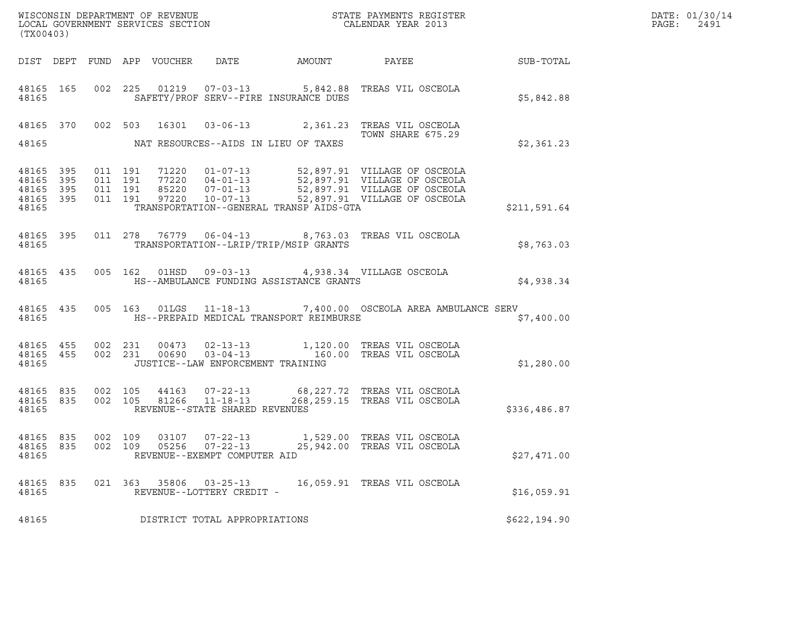| (TX00403)                                                 |         |  |                                                     |                                         | ${\tt WISCOONSIM} \begin{tabular}{lcccc} DEPARTMENT OF REVENUE & & & & & & \begin{tabular}{l} \bf STATE \end{tabular} \end{tabular} \begin{tabular}{lcccc} \bf RTATE \end{tabular} \end{tabular} \begin{tabular}{lcccc} \bf RTATE \end{tabular} \end{tabular} \begin{tabular}{lcccc} \bf RTATE \end{tabular} \end{tabular} \begin{tabular}{lcccc} \bf RTATE \end{tabular} \end{tabular} \begin{tabular}{lcccc} \bf RTATE \end{tabular} \end{tabular} \begin{tabular}{lcccc} \bf RTATE \end{tabular} \end{tabular} \begin{tabular}{lcccc} \bf RTATE \end{$ | DATE: 01/30/14<br>PAGE:<br>2491 |  |
|-----------------------------------------------------------|---------|--|-----------------------------------------------------|-----------------------------------------|-----------------------------------------------------------------------------------------------------------------------------------------------------------------------------------------------------------------------------------------------------------------------------------------------------------------------------------------------------------------------------------------------------------------------------------------------------------------------------------------------------------------------------------------------------------|---------------------------------|--|
|                                                           |         |  |                                                     |                                         |                                                                                                                                                                                                                                                                                                                                                                                                                                                                                                                                                           |                                 |  |
| 48165                                                     |         |  |                                                     | SAFETY/PROF SERV--FIRE INSURANCE DUES   | 48165  165  002  225  01219  07-03-13  5,842.88  TREAS VIL OSCEOLA                                                                                                                                                                                                                                                                                                                                                                                                                                                                                        | \$5,842.88                      |  |
| 48165                                                     |         |  |                                                     | NAT RESOURCES--AIDS IN LIEU OF TAXES    | 48165 370 002 503 16301 03-06-13 2,361.23 TREAS VIL OSCEOLA<br>TOWN SHARE 675.29                                                                                                                                                                                                                                                                                                                                                                                                                                                                          | \$2,361.23                      |  |
| 48165 395<br>48165 395<br>48165 395<br>48165 395<br>48165 |         |  |                                                     | TRANSPORTATION--GENERAL TRANSP AIDS-GTA |                                                                                                                                                                                                                                                                                                                                                                                                                                                                                                                                                           | \$211,591.64                    |  |
|                                                           | 48165   |  |                                                     | TRANSPORTATION--LRIP/TRIP/MSIP GRANTS   | 48165 395 011 278 76779 06-04-13 8,763.03 TREAS VIL OSCEOLA                                                                                                                                                                                                                                                                                                                                                                                                                                                                                               | \$8,763.03                      |  |
| 48165                                                     |         |  |                                                     | HS--AMBULANCE FUNDING ASSISTANCE GRANTS | 48165 435 005 162 01HSD 09-03-13 4,938.34 VILLAGE OSCEOLA                                                                                                                                                                                                                                                                                                                                                                                                                                                                                                 | \$4,938.34                      |  |
| 48165                                                     |         |  |                                                     | HS--PREPAID MEDICAL TRANSPORT REIMBURSE | 48165 435 005 163 01LGS 11-18-13 7,400.00 OSCEOLA AREA AMBULANCE SERV                                                                                                                                                                                                                                                                                                                                                                                                                                                                                     | \$7,400.00                      |  |
|                                                           |         |  | 48165 JUSTICE--LAW ENFORCEMENT TRAINING             |                                         | $\begin{array}{cccccc} 4\,8\,1\,6\,5 & 4\,5\,5 & 0\,0\,2 & 2\,3\,1 & 0\,0\,4\,7\,3 & 0\,2\,-1\,3\,-1\,3 & 1\,,\,1\,2\,0\,.0\,0 & \text{TREAS VIL OSCEOLA} \\ 4\,8\,1\,6\,5 & 4\,5\,5 & 0\,0\,2 & 2\,3\,1 & 0\,0\,6\,9\,0 & 0\,3\,-0\,4\,-1\,3 & 1\,6\,0\,.0\,0 & \text{TREAS VIL OSCEOLA} \end{array$                                                                                                                                                                                                                                                     | \$1,280.00                      |  |
| 48165                                                     |         |  | REVENUE--STATE SHARED REVENUES                      |                                         | $\begin{array}{cccc} 4\,8\,16\,5 & 8\,3\,5 & 0\,0\,2 & 1\,0\,5 & 4\,4\,1\,6\,3 & 0\,7\,-2\,2\,-1\,3 & 6\,8\,,\,2\,2\,7\,.7\,2 & \text{TREAS VII OSCEOLA} \\ 4\,8\,1\,6\,5 & 8\,3\,5 & 0\,0\,2 & 1\,0\,5 & 8\,1\,2\,6\,6 & 11\,-1\,8\,-1\,3 & 2\,6\,8\,,\,2\,5\,9\,.1\,5 & \text{TREAS$                                                                                                                                                                                                                                                                    | \$336,486.87                    |  |
| 48165 835<br>48165                                        | 002 109 |  | REVENUE--EXEMPT COMPUTER AID                        |                                         | 48165 835 002 109 03107 07-22-13 1,529.00 TREAS VIL OSCEOLA                                                                                                                                                                                                                                                                                                                                                                                                                                                                                               | \$27,471.00                     |  |
| 48165 835<br>48165                                        |         |  | 021 363 35806 03-25-13<br>REVENUE--LOTTERY CREDIT - |                                         | 16,059.91 TREAS VIL OSCEOLA                                                                                                                                                                                                                                                                                                                                                                                                                                                                                                                               | \$16,059.91                     |  |
| 48165                                                     |         |  | DISTRICT TOTAL APPROPRIATIONS                       |                                         |                                                                                                                                                                                                                                                                                                                                                                                                                                                                                                                                                           | \$622,194.90                    |  |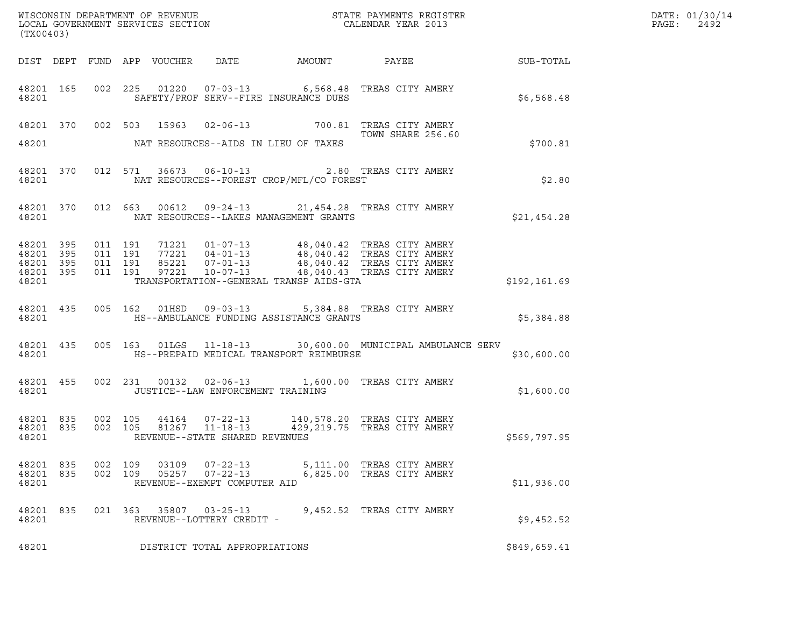| (TX00403)                                                 |       |                    |                                          |               |                                                 |                                                                                                                                                                                                                                                                                    |                                                        |              | DATE: 01/30/14<br>PAGE:<br>2492 |
|-----------------------------------------------------------|-------|--------------------|------------------------------------------|---------------|-------------------------------------------------|------------------------------------------------------------------------------------------------------------------------------------------------------------------------------------------------------------------------------------------------------------------------------------|--------------------------------------------------------|--------------|---------------------------------|
|                                                           |       |                    |                                          |               |                                                 |                                                                                                                                                                                                                                                                                    |                                                        |              |                                 |
| 48201                                                     |       |                    |                                          |               |                                                 | 48201 165 002 225 01220 07-03-13 6,568.48 TREAS CITY AMERY<br>SAFETY/PROF SERV--FIRE INSURANCE DUES                                                                                                                                                                                |                                                        | \$6,568.48   |                                 |
| 48201                                                     |       |                    |                                          |               |                                                 | 48201 370 002 503 15963 02-06-13 700.81 TREAS CITY AMERY<br>TOWN SHARE 256.60<br>NAT RESOURCES--AIDS IN LIEU OF TAXES                                                                                                                                                              | TOWN SHARE 256.60                                      | \$700.81     |                                 |
|                                                           |       | 48201              |                                          |               |                                                 | 48201 370 012 571 36673 06-10-13 2.80 TREAS CITY AMERY<br>NAT RESOURCES--FOREST CROP/MFL/CO FOREST                                                                                                                                                                                 |                                                        | \$2.80       |                                 |
|                                                           |       |                    |                                          |               |                                                 | 48201 370 012 663 00612 09-24-13 21,454.28 TREAS CITY AMERY<br>48201 NAT RESOURCES--LAKES MANAGEMENT GRANTS                                                                                                                                                                        |                                                        | \$21,454.28  |                                 |
| 48201 395<br>48201 395<br>48201 395<br>48201 395<br>48201 |       |                    | 011 191<br>011 191<br>011 191<br>011 191 |               |                                                 | 71221  01-07-13  48,040.42  TREAS CITY AMERY<br>77221  04-01-13  48,040.42  TREAS CITY AMERY<br>85221  07-01-13  48,040.42  TREAS CITY AMERY<br>97221  10-07-13  48,040.43  TREAS CITY AMERY<br>TRANSPORTATION--GENERAL TRANSP AIDS-GTA                                            |                                                        | \$192,161.69 |                                 |
|                                                           | 48201 |                    |                                          |               |                                                 | 48201 435 005 162 01HSD 09-03-13 5,384.88 TREAS CITY AMERY<br>HS--AMBULANCE FUNDING ASSISTANCE GRANTS                                                                                                                                                                              |                                                        | \$5,384.88   |                                 |
| 48201                                                     |       |                    |                                          |               |                                                 | 48201 435 005 163 01LGS 11-18-13 30,600.00 MUNICIPAL AMBULANCE SERV<br>HS--PREPAID MEDICAL TRANSPORT REIMBURSE                                                                                                                                                                     |                                                        | \$30,600.00  |                                 |
|                                                           | 48201 |                    |                                          |               | JUSTICE--LAW ENFORCEMENT TRAINING               | 48201 455 002 231 00132 02-06-13 1,600.00 TREAS CITY AMERY                                                                                                                                                                                                                         |                                                        | \$1,600.00   |                                 |
| 48201                                                     |       |                    |                                          |               | REVENUE--STATE SHARED REVENUES                  | $\begin{array}{cccccc} 4\,8\,2\,0\,1 & 8\,3\,5 & 0\,0\,2 & 1\,0\,5 & 4\,4\,1\,6\,4 & 0\,7\,{-}\,2\,2\,{-}\,1\,3 & 1\,4\,0\,,\,5\,7\,8\,.2\,0 & \text{TREAS CITY AMERY} \\ 4\,8\,2\,0\,1 & 8\,3\,5 & 0\,0\,2 & 1\,0\,5 & 8\,1\,2\,6\,7 & 1\,1\,{-}\,1\,8\,{-}\,1\,3 & 4\,2\,9\,,\,$ |                                                        | \$569,797.95 |                                 |
| 48201 835<br>48201 835<br>48201                           |       | 002 109<br>002 109 |                                          |               | 03109  07-22-13<br>REVENUE--EXEMPT COMPUTER AID |                                                                                                                                                                                                                                                                                    | 5,111.00 TREAS CITY AMERY<br>6,825.00 TREAS CITY AMERY | \$11,936.00  |                                 |
| 48201 835<br>48201                                        |       |                    |                                          | 021 363 35807 | $03 - 25 - 13$<br>REVENUE--LOTTERY CREDIT -     |                                                                                                                                                                                                                                                                                    | 9,452.52 TREAS CITY AMERY                              | \$9,452.52   |                                 |
| 48201                                                     |       |                    |                                          |               | DISTRICT TOTAL APPROPRIATIONS                   |                                                                                                                                                                                                                                                                                    |                                                        | \$849,659.41 |                                 |